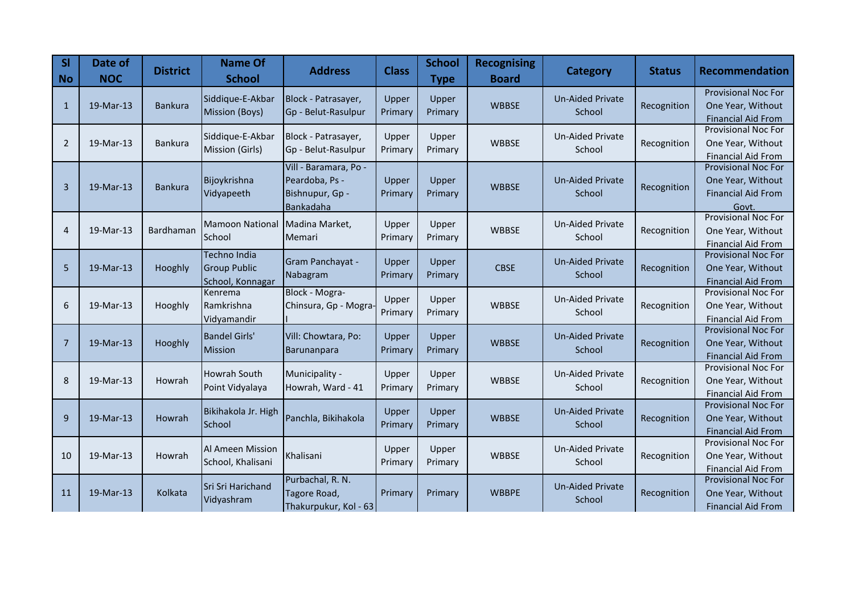| SI<br><b>No</b> | Date of<br><b>NOC</b> | <b>District</b> | <b>Name Of</b><br><b>School</b>                         | <b>Address</b>                                                          | <b>Class</b>     | <b>School</b><br><b>Type</b> | <b>Recognising</b><br><b>Board</b> | Category                          | <b>Status</b> | <b>Recommendation</b>                                                                 |
|-----------------|-----------------------|-----------------|---------------------------------------------------------|-------------------------------------------------------------------------|------------------|------------------------------|------------------------------------|-----------------------------------|---------------|---------------------------------------------------------------------------------------|
| $\mathbf{1}$    | 19-Mar-13             | <b>Bankura</b>  | Siddique-E-Akbar<br>Mission (Boys)                      | Block - Patrasayer,<br>Gp - Belut-Rasulpur                              | Upper<br>Primary | Upper<br>Primary             | <b>WBBSE</b>                       | <b>Un-Aided Private</b><br>School | Recognition   | <b>Provisional Noc For</b><br>One Year, Without<br><b>Financial Aid From</b>          |
| 2               | 19-Mar-13             | Bankura         | Siddique-E-Akbar<br>Mission (Girls)                     | Block - Patrasayer,<br>Gp - Belut-Rasulpur                              | Upper<br>Primary | Upper<br>Primary             | <b>WBBSE</b>                       | <b>Un-Aided Private</b><br>School | Recognition   | <b>Provisional Noc For</b><br>One Year, Without<br><b>Financial Aid From</b>          |
| 3               | 19-Mar-13             | <b>Bankura</b>  | Bijoykrishna<br>Vidyapeeth                              | Vill - Baramara, Po -<br>Peardoba, Ps -<br>Bishnupur, Gp -<br>Bankadaha | Upper<br>Primary | Upper<br>Primary             | <b>WBBSE</b>                       | <b>Un-Aided Private</b><br>School | Recognition   | <b>Provisional Noc For</b><br>One Year, Without<br><b>Financial Aid From</b><br>Govt. |
| 4               | 19-Mar-13             | Bardhaman       | <b>Mamoon National</b><br>School                        | Madina Market,<br>Memari                                                | Upper<br>Primary | Upper<br>Primary             | <b>WBBSE</b>                       | <b>Un-Aided Private</b><br>School | Recognition   | <b>Provisional Noc For</b><br>One Year, Without<br><b>Financial Aid From</b>          |
| 5               | 19-Mar-13             | Hooghly         | Techno India<br><b>Group Public</b><br>School, Konnagar | Gram Panchayat -<br>Nabagram                                            | Upper<br>Primary | Upper<br>Primary             | <b>CBSE</b>                        | <b>Un-Aided Private</b><br>School | Recognition   | <b>Provisional Noc For</b><br>One Year, Without<br><b>Financial Aid From</b>          |
| 6               | 19-Mar-13             | Hooghly         | Kenrema<br>Ramkrishna<br>Vidyamandir                    | Block - Mogra-<br>Chinsura, Gp - Mogra                                  | Upper<br>Primary | Upper<br>Primary             | <b>WBBSE</b>                       | <b>Un-Aided Private</b><br>School | Recognition   | Provisional Noc For<br>One Year, Without<br><b>Financial Aid From</b>                 |
| $\overline{7}$  | 19-Mar-13             | Hooghly         | <b>Bandel Girls'</b><br><b>Mission</b>                  | Vill: Chowtara, Po:<br><b>Barunanpara</b>                               | Upper<br>Primary | Upper<br>Primary             | <b>WBBSE</b>                       | <b>Un-Aided Private</b><br>School | Recognition   | Provisional Noc For<br>One Year, Without<br><b>Financial Aid From</b>                 |
| 8               | 19-Mar-13             | Howrah          | <b>Howrah South</b><br>Point Vidyalaya                  | Municipality -<br>Howrah, Ward - 41                                     | Upper<br>Primary | Upper<br>Primary             | <b>WBBSE</b>                       | <b>Un-Aided Private</b><br>School | Recognition   | <b>Provisional Noc For</b><br>One Year, Without<br><b>Financial Aid From</b>          |
| 9               | 19-Mar-13             | Howrah          | Bikihakola Jr. High<br>School                           | Panchla, Bikihakola                                                     | Upper<br>Primary | Upper<br>Primary             | <b>WBBSE</b>                       | <b>Un-Aided Private</b><br>School | Recognition   | <b>Provisional Noc For</b><br>One Year, Without<br><b>Financial Aid From</b>          |
| 10              | 19-Mar-13             | Howrah          | <b>Al Ameen Mission</b><br>School, Khalisani            | Khalisani                                                               | Upper<br>Primary | Upper<br>Primary             | <b>WBBSE</b>                       | <b>Un-Aided Private</b><br>School | Recognition   | <b>Provisional Noc For</b><br>One Year, Without<br><b>Financial Aid From</b>          |
| 11              | 19-Mar-13             | Kolkata         | Sri Sri Harichand<br>Vidyashram                         | Purbachal, R. N.<br>Tagore Road,<br>Thakurpukur, Kol - 63               | Primary          | Primary                      | <b>WBBPE</b>                       | <b>Un-Aided Private</b><br>School | Recognition   | Provisional Noc For<br>One Year, Without<br><b>Financial Aid From</b>                 |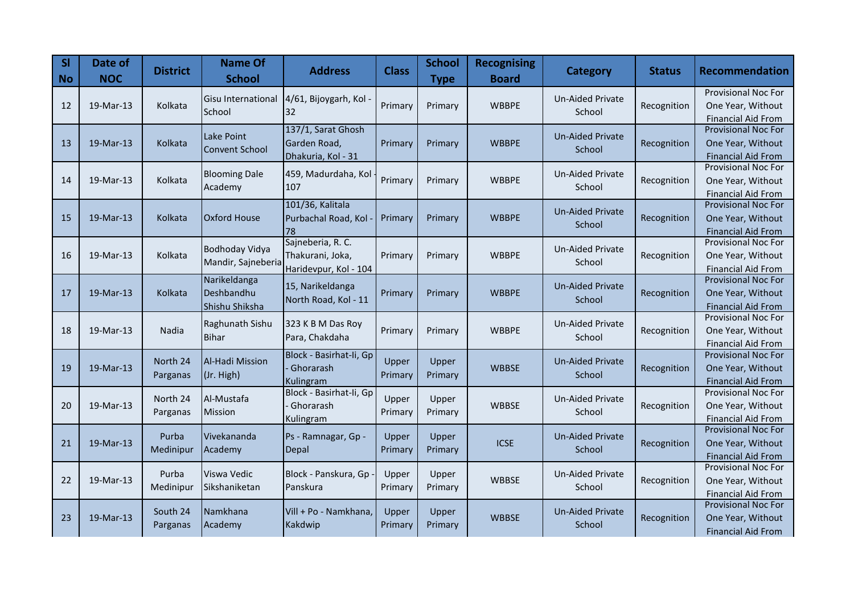| SI<br><b>No</b> | Date of<br><b>NOC</b> | <b>District</b> | <b>Name Of</b><br><b>School</b> | <b>Address</b>                     | <b>Class</b> | <b>School</b><br><b>Type</b> | <b>Recognising</b><br><b>Board</b> | <b>Category</b>         | <b>Status</b> | <b>Recommendation</b>                                   |
|-----------------|-----------------------|-----------------|---------------------------------|------------------------------------|--------------|------------------------------|------------------------------------|-------------------------|---------------|---------------------------------------------------------|
|                 |                       |                 | <b>Gisu International</b>       | 4/61, Bijoygarh, Kol               |              |                              |                                    | <b>Un-Aided Private</b> |               | <b>Provisional Noc For</b>                              |
| 12              | 19-Mar-13             | Kolkata         | School                          | 32                                 | Primary      | Primary                      | <b>WBBPE</b>                       | School                  | Recognition   | One Year, Without                                       |
|                 |                       |                 |                                 |                                    |              |                              |                                    |                         |               | <b>Financial Aid From</b><br><b>Provisional Noc For</b> |
|                 |                       | Kolkata         | Lake Point                      | 137/1, Sarat Ghosh                 |              |                              |                                    | <b>Un-Aided Private</b> |               |                                                         |
| 13              | 19-Mar-13             |                 | <b>Convent School</b>           | Garden Road,<br>Dhakuria, Kol - 31 | Primary      | Primary                      | <b>WBBPE</b>                       | School                  | Recognition   | One Year, Without<br><b>Financial Aid From</b>          |
|                 |                       |                 |                                 |                                    |              |                              |                                    |                         |               | Provisional Noc For                                     |
| 14              | 19-Mar-13             | Kolkata         | <b>Blooming Dale</b>            | 459, Madurdaha, Kol                | Primary      | Primary                      | <b>WBBPE</b>                       | Un-Aided Private        | Recognition   | One Year, Without                                       |
|                 |                       |                 | Academy                         | 107                                |              |                              |                                    | School                  |               | <b>Financial Aid From</b>                               |
|                 |                       |                 |                                 | 101/36, Kalitala                   |              |                              |                                    | <b>Un-Aided Private</b> |               | <b>Provisional Noc For</b>                              |
| 15              | 19-Mar-13             | Kolkata         | <b>Oxford House</b>             | Purbachal Road, Kol                | Primary      | Primary                      | <b>WBBPE</b>                       | School                  | Recognition   | One Year, Without                                       |
|                 |                       |                 |                                 | 78                                 |              |                              |                                    |                         |               | <b>Financial Aid From</b>                               |
|                 |                       |                 | Bodhoday Vidya                  | Sajneberia, R. C.                  |              |                              |                                    | <b>Un-Aided Private</b> |               | <b>Provisional Noc For</b>                              |
| 16              | 19-Mar-13             | Kolkata         | Mandir, Sajneberia              | Thakurani, Joka,                   | Primary      | Primary                      | <b>WBBPE</b>                       | School                  | Recognition   | One Year, Without                                       |
|                 |                       |                 |                                 | Haridevpur, Kol - 104              |              |                              |                                    |                         |               | <b>Financial Aid From</b>                               |
| 17              | 19-Mar-13             | Kolkata         | Narikeldanga                    | 15, Narikeldanga                   |              |                              | <b>WBBPE</b>                       | <b>Un-Aided Private</b> |               | <b>Provisional Noc For</b>                              |
|                 |                       |                 | Deshbandhu<br>Shishu Shiksha    | North Road, Kol - 11               | Primary      | Primary                      |                                    | School                  | Recognition   | One Year, Without<br><b>Financial Aid From</b>          |
|                 |                       |                 |                                 |                                    |              |                              |                                    |                         |               | <b>Provisional Noc For</b>                              |
| 18              | 19-Mar-13             | Nadia           | Raghunath Sishu                 | 323 K B M Das Roy                  | Primary      | Primary                      | <b>WBBPE</b>                       | <b>Un-Aided Private</b> | Recognition   | One Year, Without                                       |
|                 |                       |                 | <b>Bihar</b>                    | Para, Chakdaha                     |              |                              |                                    | School                  |               | <b>Financial Aid From</b>                               |
|                 |                       | North 24        | Al-Hadi Mission                 | Block - Basirhat-li, Gp            | Upper        |                              |                                    | <b>Un-Aided Private</b> |               | <b>Provisional Noc For</b>                              |
| 19              | 19-Mar-13             | Parganas        |                                 | Ghorarash                          | Primary      | Upper<br>Primary             | <b>WBBSE</b>                       | School                  | Recognition   | One Year, Without                                       |
|                 |                       |                 | (Jr. High)                      | Kulingram                          |              |                              |                                    |                         |               | <b>Financial Aid From</b>                               |
|                 |                       | North 24        | Al-Mustafa                      | Block - Basirhat-li, Gp            | Upper        | Upper                        |                                    | <b>Un-Aided Private</b> |               | Provisional Noc For                                     |
| 20              | 19-Mar-13             | Parganas        | Mission                         | Ghorarash                          | Primary      | Primary                      | <b>WBBSE</b>                       | School                  | Recognition   | One Year, Without                                       |
|                 |                       |                 |                                 | Kulingram                          |              |                              |                                    |                         |               | <b>Financial Aid From</b>                               |
|                 |                       | Purba           | Vivekananda                     | Ps - Ramnagar, Gp -                | Upper        | Upper                        |                                    | <b>Un-Aided Private</b> |               | <b>Provisional Noc For</b>                              |
| 21              | 19-Mar-13             | Medinipur       | Academy                         | Depal                              | Primary      | Primary                      | <b>ICSE</b>                        | School                  | Recognition   | One Year, Without                                       |
|                 |                       |                 |                                 |                                    |              |                              |                                    |                         |               | <b>Financial Aid From</b><br>Provisional Noc For        |
| 22              | 19-Mar-13             | Purba           | Viswa Vedic                     | Block - Panskura, Gp               | Upper        | Upper                        | <b>WBBSE</b>                       | <b>Un-Aided Private</b> | Recognition   | One Year, Without                                       |
|                 |                       | Medinipur       | Sikshaniketan                   | Panskura                           | Primary      | Primary                      |                                    | School                  |               | <b>Financial Aid From</b>                               |
|                 |                       |                 |                                 |                                    |              |                              |                                    |                         |               | Provisional Noc For                                     |
| 23              | 19-Mar-13             | South 24        | Namkhana                        | Vill + Po - Namkhana,              | Upper        | Upper                        | <b>WBBSE</b>                       | <b>Un-Aided Private</b> | Recognition   | One Year, Without                                       |
|                 |                       | Parganas        | Academy                         | Kakdwip                            | Primary      | Primary                      |                                    | School                  |               | <b>Financial Aid From</b>                               |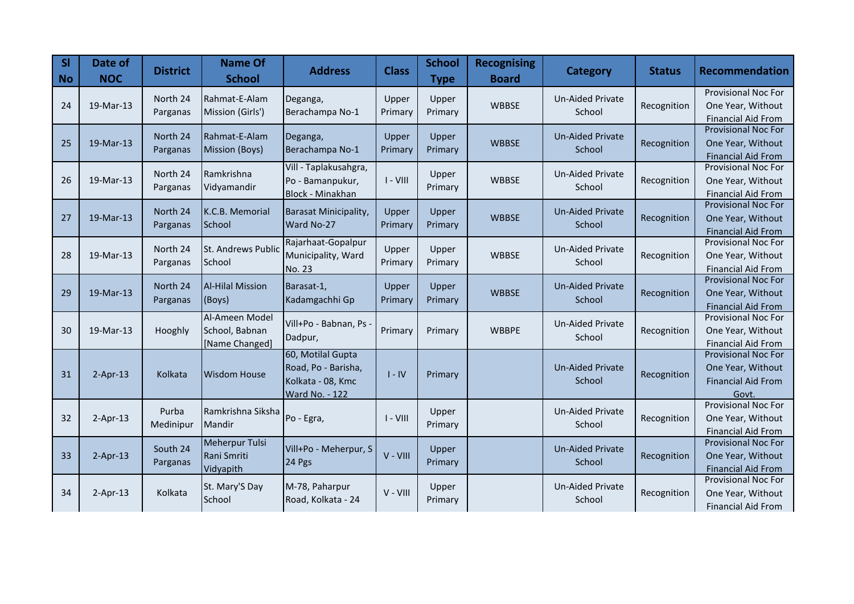| <b>SI</b><br><b>No</b> | Date of<br><b>NOC</b> | <b>District</b>      | <b>Name Of</b><br><b>School</b>                    | <b>Address</b>                                                                  | <b>Class</b>     | <b>School</b><br><b>Type</b> | <b>Recognising</b><br><b>Board</b> | <b>Category</b>                   | <b>Status</b> | <b>Recommendation</b>                                                                 |
|------------------------|-----------------------|----------------------|----------------------------------------------------|---------------------------------------------------------------------------------|------------------|------------------------------|------------------------------------|-----------------------------------|---------------|---------------------------------------------------------------------------------------|
| 24                     | 19-Mar-13             | North 24<br>Parganas | Rahmat-E-Alam<br>Mission (Girls')                  | Deganga,<br>Berachampa No-1                                                     | Upper<br>Primary | Upper<br>Primary             | <b>WBBSE</b>                       | <b>Un-Aided Private</b><br>School | Recognition   | <b>Provisional Noc For</b><br>One Year, Without<br><b>Financial Aid From</b>          |
| 25                     | 19-Mar-13             | North 24<br>Parganas | Rahmat-E-Alam<br>Mission (Boys)                    | Deganga,<br>Berachampa No-1                                                     | Upper<br>Primary | Upper<br>Primary             | <b>WBBSE</b>                       | <b>Un-Aided Private</b><br>School | Recognition   | <b>Provisional Noc For</b><br>One Year, Without<br><b>Financial Aid From</b>          |
| 26                     | 19-Mar-13             | North 24<br>Parganas | Ramkrishna<br>Vidyamandir                          | Vill - Taplakusahgra,<br>Po - Bamanpukur,<br>Block - Minakhan                   | $I - VIII$       | Upper<br>Primary             | <b>WBBSE</b>                       | <b>Un-Aided Private</b><br>School | Recognition   | <b>Provisional Noc For</b><br>One Year, Without<br><b>Financial Aid From</b>          |
| 27                     | 19-Mar-13             | North 24<br>Parganas | K.C.B. Memorial<br>School                          | <b>Barasat Minicipality,</b><br>Ward No-27                                      | Upper<br>Primary | Upper<br>Primary             | <b>WBBSE</b>                       | <b>Un-Aided Private</b><br>School | Recognition   | <b>Provisional Noc For</b><br>One Year, Without<br><b>Financial Aid From</b>          |
| 28                     | 19-Mar-13             | North 24<br>Parganas | <b>St. Andrews Public</b><br>School                | Rajarhaat-Gopalpur<br>Municipality, Ward<br>No. 23                              | Upper<br>Primary | Upper<br>Primary             | <b>WBBSE</b>                       | <b>Un-Aided Private</b><br>School | Recognition   | <b>Provisional Noc For</b><br>One Year, Without<br><b>Financial Aid From</b>          |
| 29                     | 19-Mar-13             | North 24<br>Parganas | <b>Al-Hilal Mission</b><br>(Boys)                  | Barasat-1,<br>Kadamgachhi Gp                                                    | Upper<br>Primary | Upper<br>Primary             | <b>WBBSE</b>                       | <b>Un-Aided Private</b><br>School | Recognition   | <b>Provisional Noc For</b><br>One Year, Without<br><b>Financial Aid From</b>          |
| 30                     | 19-Mar-13             | Hooghly              | Al-Ameen Model<br>School, Babnan<br>[Name Changed] | Vill+Po - Babnan, Ps<br>Dadpur,                                                 | Primary          | Primary                      | <b>WBBPE</b>                       | <b>Un-Aided Private</b><br>School | Recognition   | <b>Provisional Noc For</b><br>One Year, Without<br><b>Financial Aid From</b>          |
| 31                     | $2-Apr-13$            | Kolkata              | <b>Wisdom House</b>                                | 60, Motilal Gupta<br>Road, Po - Barisha,<br>Kolkata - 08, Kmc<br>Ward No. - 122 | $I - IV$         | Primary                      |                                    | <b>Un-Aided Private</b><br>School | Recognition   | <b>Provisional Noc For</b><br>One Year, Without<br><b>Financial Aid From</b><br>Govt. |
| 32                     | $2-Apr-13$            | Purba<br>Medinipur   | Ramkrishna Siksha<br>Mandir                        | Po - Egra,                                                                      | $I - VIII$       | Upper<br>Primary             |                                    | <b>Un-Aided Private</b><br>School | Recognition   | Provisional Noc For<br>One Year, Without<br><b>Financial Aid From</b>                 |
| 33                     | $2-Apr-13$            | South 24<br>Parganas | Meherpur Tulsi<br>Rani Smriti<br>Vidyapith         | Vill+Po - Meherpur, S<br>24 Pgs                                                 | V - VIII         | Upper<br>Primary             |                                    | <b>Un-Aided Private</b><br>School | Recognition   | <b>Provisional Noc For</b><br>One Year, Without<br><b>Financial Aid From</b>          |
| 34                     | $2-Apr-13$            | Kolkata              | St. Mary'S Day<br>School                           | M-78, Paharpur<br>Road, Kolkata - 24                                            | $V - VIII$       | Upper<br>Primary             |                                    | <b>Un-Aided Private</b><br>School | Recognition   | Provisional Noc For<br>One Year, Without<br><b>Financial Aid From</b>                 |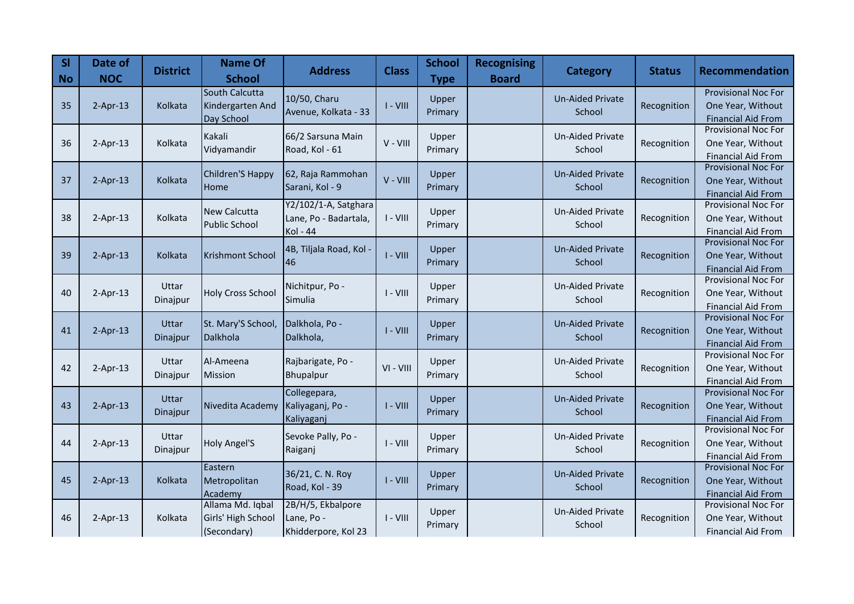| SI<br><b>No</b> | Date of<br><b>NOC</b> | <b>District</b> | <b>Name Of</b><br><b>School</b> | <b>Address</b>        | <b>Class</b> | <b>School</b><br><b>Type</b> | <b>Recognising</b><br><b>Board</b> | <b>Category</b>         | <b>Status</b> | <b>Recommendation</b>                                   |
|-----------------|-----------------------|-----------------|---------------------------------|-----------------------|--------------|------------------------------|------------------------------------|-------------------------|---------------|---------------------------------------------------------|
|                 |                       |                 | South Calcutta                  | 10/50, Charu          |              | Upper                        |                                    | <b>Un-Aided Private</b> |               | <b>Provisional Noc For</b>                              |
| 35              | $2-Apr-13$            | Kolkata         | Kindergarten And                | Avenue, Kolkata - 33  | $I - VIII$   | Primary                      |                                    | School                  | Recognition   | One Year, Without                                       |
|                 |                       |                 | Day School                      |                       |              |                              |                                    |                         |               | <b>Financial Aid From</b>                               |
|                 |                       |                 | Kakali                          | 66/2 Sarsuna Main     | $V - VIII$   | Upper                        |                                    | <b>Un-Aided Private</b> |               | <b>Provisional Noc For</b>                              |
| 36              | $2-Apr-13$            | Kolkata         | Vidyamandir                     | Road, Kol - 61        |              | Primary                      |                                    | School                  | Recognition   | One Year, Without<br><b>Financial Aid From</b>          |
|                 |                       |                 |                                 |                       |              |                              |                                    |                         |               | <b>Provisional Noc For</b>                              |
| 37              | $2-Apr-13$            | Kolkata         | Children'S Happy                | 62, Raja Rammohan     | V - VIII     | Upper                        |                                    | <b>Un-Aided Private</b> | Recognition   | One Year, Without                                       |
|                 |                       |                 | Home                            | Sarani, Kol - 9       |              | Primary                      |                                    | School                  |               | <b>Financial Aid From</b>                               |
|                 |                       |                 | <b>New Calcutta</b>             | Y2/102/1-A, Satghara  |              |                              |                                    | <b>Un-Aided Private</b> |               | <b>Provisional Noc For</b>                              |
| 38              | $2-Apr-13$            | Kolkata         | <b>Public School</b>            | Lane, Po - Badartala, | $I - VIII$   | Upper                        |                                    | School                  | Recognition   | One Year, Without                                       |
|                 |                       |                 |                                 | Kol - 44              |              | Primary                      |                                    |                         |               | <b>Financial Aid From</b>                               |
|                 |                       |                 |                                 | 4B, Tiljala Road, Kol |              | Upper                        |                                    | <b>Un-Aided Private</b> |               | Provisional Noc For                                     |
| 39              | $2-Apr-13$            | Kolkata         | <b>Krishmont School</b>         | 46                    | $I - VIII$   | Primary                      |                                    | School                  | Recognition   | One Year, Without                                       |
|                 |                       |                 |                                 |                       |              |                              |                                    |                         |               | <b>Financial Aid From</b>                               |
|                 |                       | Uttar           |                                 | Nichitpur, Po -       |              | Upper                        |                                    | <b>Un-Aided Private</b> |               | <b>Provisional Noc For</b>                              |
| 40              | $2-Apr-13$            | Dinajpur        | <b>Holy Cross School</b>        | Simulia               | $I - VIII$   | Primary                      |                                    | School                  | Recognition   | One Year, Without                                       |
|                 |                       |                 |                                 |                       |              |                              |                                    |                         |               | <b>Financial Aid From</b><br><b>Provisional Noc For</b> |
| 41              | $2-Apr-13$            | <b>Uttar</b>    | St. Mary'S School,              | Dalkhola, Po -        | $I - VIII$   | Upper                        |                                    | <b>Un-Aided Private</b> | Recognition   | One Year, Without                                       |
|                 |                       | Dinajpur        | Dalkhola                        | Dalkhola,             |              | Primary                      |                                    | School                  |               | <b>Financial Aid From</b>                               |
|                 |                       |                 |                                 |                       |              |                              |                                    |                         |               | <b>Provisional Noc For</b>                              |
| 42              | $2-Apr-13$            | Uttar           | Al-Ameena                       | Rajbarigate, Po -     | VI - VIII    | Upper                        |                                    | <b>Un-Aided Private</b> | Recognition   | One Year, Without                                       |
|                 |                       | Dinajpur        | <b>Mission</b>                  | Bhupalpur             |              | Primary                      |                                    | School                  |               | <b>Financial Aid From</b>                               |
|                 |                       | <b>Uttar</b>    |                                 | Collegepara,          |              | Upper                        |                                    | <b>Un-Aided Private</b> |               | <b>Provisional Noc For</b>                              |
| 43              | $2-Apr-13$            | Dinajpur        | Nivedita Academy                | Kaliyaganj, Po -      | $I - VIII$   | Primary                      |                                    | School                  | Recognition   | One Year, Without                                       |
|                 |                       |                 |                                 | Kaliyaganj            |              |                              |                                    |                         |               | <b>Financial Aid From</b>                               |
|                 |                       | Uttar           |                                 | Sevoke Pally, Po -    |              | Upper                        |                                    | <b>Un-Aided Private</b> |               | <b>Provisional Noc For</b>                              |
| 44              | $2-Apr-13$            | Dinajpur        | <b>Holy Angel'S</b>             | Raiganj               | $I - VIII$   | Primary                      |                                    | School                  | Recognition   | One Year, Without                                       |
|                 |                       |                 | Eastern                         |                       |              |                              |                                    |                         |               | <b>Financial Aid From</b><br>Provisional Noc For        |
| 45              | $2-Apr-13$            | Kolkata         | Metropolitan                    | 36/21, C. N. Roy      | $I - VIII$   | Upper                        |                                    | <b>Un-Aided Private</b> | Recognition   | One Year, Without                                       |
|                 |                       |                 | Academy                         | Road, Kol - 39        |              | Primary                      |                                    | School                  |               | <b>Financial Aid From</b>                               |
|                 |                       |                 | Allama Md. Iqbal                | 2B/H/5, Ekbalpore     |              |                              |                                    |                         |               | Provisional Noc For                                     |
| 46              | $2-Apr-13$            | Kolkata         | Girls' High School              | Lane, Po -            | $I - VIII$   | Upper                        |                                    | <b>Un-Aided Private</b> | Recognition   | One Year, Without                                       |
|                 |                       |                 | (Secondary)                     | Khidderpore, Kol 23   |              | Primary                      |                                    | School                  |               | <b>Financial Aid From</b>                               |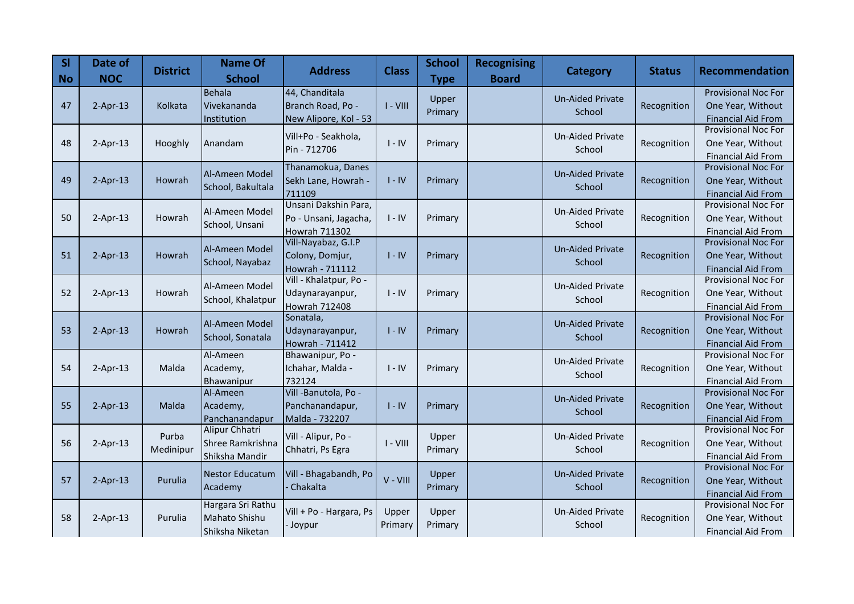| <b>SI</b><br><b>No</b> | Date of<br><b>NOC</b> | <b>District</b> | <b>Name Of</b><br><b>School</b>  | <b>Address</b>                            | <b>Class</b> | <b>School</b><br><b>Type</b> | <b>Recognising</b><br><b>Board</b> | <b>Category</b>         | <b>Status</b> | <b>Recommendation</b>                                   |
|------------------------|-----------------------|-----------------|----------------------------------|-------------------------------------------|--------------|------------------------------|------------------------------------|-------------------------|---------------|---------------------------------------------------------|
|                        |                       |                 | <b>Behala</b>                    | 44, Chanditala                            |              | Upper                        |                                    | <b>Un-Aided Private</b> |               | <b>Provisional Noc For</b>                              |
| 47                     | $2-Apr-13$            | Kolkata         | Vivekananda                      | Branch Road, Po -                         | $I - VIII$   | Primary                      |                                    | School                  | Recognition   | One Year, Without                                       |
|                        |                       |                 | Institution                      | New Alipore, Kol - 53                     |              |                              |                                    |                         |               | <b>Financial Aid From</b><br><b>Provisional Noc For</b> |
| 48                     |                       | Hooghly         |                                  | Vill+Po - Seakhola,                       | $I - IV$     |                              |                                    | <b>Un-Aided Private</b> | Recognition   | One Year, Without                                       |
|                        | $2-Apr-13$            |                 | Anandam                          | Pin - 712706                              |              | Primary                      |                                    | School                  |               | <b>Financial Aid From</b>                               |
|                        |                       |                 |                                  | Thanamokua, Danes                         |              |                              |                                    |                         |               | Provisional Noc For                                     |
| 49                     | $2-Apr-13$            | Howrah          | Al-Ameen Model                   | Sekh Lane, Howrah -                       | $I - IV$     | Primary                      |                                    | <b>Un-Aided Private</b> | Recognition   | One Year, Without                                       |
|                        |                       |                 | School, Bakultala                | 711109                                    |              |                              |                                    | School                  |               | <b>Financial Aid From</b>                               |
|                        |                       |                 | Al-Ameen Model                   | Unsani Dakshin Para,                      |              |                              |                                    | Un-Aided Private        |               | Provisional Noc For                                     |
| 50                     | $2-Apr-13$            | Howrah          | School, Unsani                   | Po - Unsani, Jagacha,                     | $I - IV$     | Primary                      |                                    | School                  | Recognition   | One Year, Without                                       |
|                        |                       |                 |                                  | Howrah 711302                             |              |                              |                                    |                         |               | <b>Financial Aid From</b>                               |
|                        |                       |                 | Al-Ameen Model                   | Vill-Nayabaz, G.I.P                       |              |                              |                                    | <b>Un-Aided Private</b> |               | <b>Provisional Noc For</b>                              |
| 51                     | $2-Apr-13$            | Howrah          | School, Nayabaz                  | Colony, Domjur,                           | $I - IV$     | Primary                      |                                    | School                  | Recognition   | One Year, Without                                       |
|                        |                       |                 |                                  | Howrah - 711112<br>Vill - Khalatpur, Po - |              |                              |                                    |                         |               | <b>Financial Aid From</b><br>Provisional Noc For        |
| 52                     | $2-Apr-13$            | Howrah          | Al-Ameen Model                   |                                           | $I - IV$     | Primary                      |                                    | <b>Un-Aided Private</b> | Recognition   | One Year, Without                                       |
|                        |                       |                 | School, Khalatpur                | Udaynarayanpur,<br><b>Howrah 712408</b>   |              |                              |                                    | School                  |               | <b>Financial Aid From</b>                               |
|                        |                       |                 |                                  | Sonatala,                                 |              |                              |                                    |                         |               | <b>Provisional Noc For</b>                              |
| 53                     | $2-Apr-13$            | Howrah          | Al-Ameen Model                   | Udaynarayanpur,                           | $I - IV$     | Primary                      |                                    | <b>Un-Aided Private</b> | Recognition   | One Year, Without                                       |
|                        |                       |                 | School, Sonatala                 | Howrah - 711412                           |              |                              |                                    | School                  |               | <b>Financial Aid From</b>                               |
|                        |                       |                 | Al-Ameen                         | Bhawanipur, Po -                          |              |                              |                                    | Un-Aided Private        |               | <b>Provisional Noc For</b>                              |
| 54                     | $2-Apr-13$            | Malda           | Academy,                         | Ichahar, Malda -                          | $I - IV$     | Primary                      |                                    | School                  | Recognition   | One Year, Without                                       |
|                        |                       |                 | Bhawanipur                       | 732124                                    |              |                              |                                    |                         |               | <b>Financial Aid From</b>                               |
|                        |                       |                 | Al-Ameen                         | Vill -Banutola, Po -                      |              |                              |                                    | <b>Un-Aided Private</b> |               | <b>Provisional Noc For</b>                              |
| 55                     | $2-Apr-13$            | Malda           | Academy,                         | Panchanandapur,                           | $I - IV$     | Primary                      |                                    | School                  | Recognition   | One Year, Without                                       |
|                        |                       |                 | Panchanandapur<br>Alipur Chhatri | Malda - 732207                            |              |                              |                                    |                         |               | <b>Financial Aid From</b><br><b>Provisional Noc For</b> |
|                        |                       | Purba           | Shree Ramkrishna                 | Vill - Alipur, Po -                       | $I - VIII$   | Upper                        |                                    | Un-Aided Private        |               |                                                         |
| 56                     | $2-Apr-13$            | Medinipur       |                                  | Chhatri, Ps Egra                          |              | Primary                      |                                    | School                  | Recognition   | One Year, Without                                       |
|                        |                       |                 | Shiksha Mandir                   |                                           |              |                              |                                    |                         |               | <b>Financial Aid From</b><br><b>Provisional Noc For</b> |
| 57                     | $2-Apr-13$            | Purulia         | <b>Nestor Educatum</b>           | Vill - Bhagabandh, Po                     | V - VIII     | Upper                        |                                    | <b>Un-Aided Private</b> | Recognition   | One Year, Without                                       |
|                        |                       |                 | Academy                          | Chakalta                                  |              | Primary                      |                                    | School                  |               | <b>Financial Aid From</b>                               |
|                        |                       |                 | Hargara Sri Rathu                |                                           |              |                              |                                    |                         |               | Provisional Noc For                                     |
| 58                     | $2-Apr-13$            | Purulia         | Mahato Shishu                    | Vill + Po - Hargara, Ps                   | Upper        | Upper                        |                                    | Un-Aided Private        | Recognition   | One Year, Without                                       |
|                        |                       |                 | Shiksha Niketan                  | - Joypur                                  | Primary      | Primary                      |                                    | School                  |               | <b>Financial Aid From</b>                               |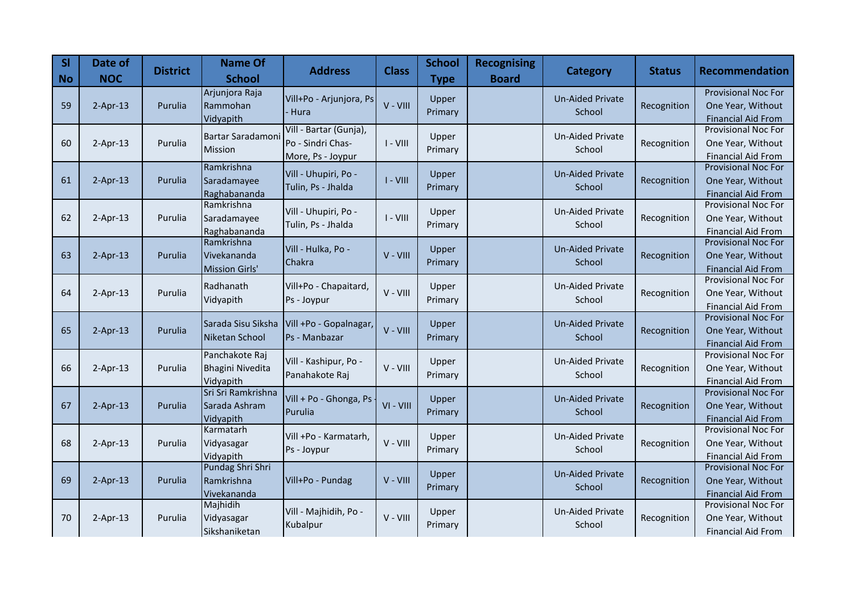| <b>SI</b><br><b>No</b> | Date of<br><b>NOC</b> | <b>District</b> | <b>Name Of</b><br><b>School</b> | <b>Address</b>          | <b>Class</b> | <b>School</b><br><b>Type</b> | <b>Recognising</b><br><b>Board</b> | <b>Category</b>         | <b>Status</b> | <b>Recommendation</b>                                   |
|------------------------|-----------------------|-----------------|---------------------------------|-------------------------|--------------|------------------------------|------------------------------------|-------------------------|---------------|---------------------------------------------------------|
|                        |                       |                 | Arjunjora Raja                  | Vill+Po - Arjunjora, Ps |              | Upper                        |                                    | <b>Un-Aided Private</b> |               | Provisional Noc For                                     |
| 59                     | $2-Apr-13$            | Purulia         | Rammohan                        | · Hura                  | V - VIII     | Primary                      |                                    | School                  | Recognition   | One Year, Without                                       |
|                        |                       |                 | Vidyapith                       | Vill - Bartar (Gunja),  |              |                              |                                    |                         |               | <b>Financial Aid From</b><br><b>Provisional Noc For</b> |
| 60                     | $2-Apr-13$            | Purulia         | Bartar Saradamoni               | Po - Sindri Chas-       | $I - VIII$   | Upper                        |                                    | <b>Un-Aided Private</b> | Recognition   | One Year, Without                                       |
|                        |                       |                 | Mission                         | More, Ps - Joypur       |              | Primary                      |                                    | School                  |               | <b>Financial Aid From</b>                               |
|                        |                       |                 | Ramkrishna                      |                         |              |                              |                                    |                         |               | <b>Provisional Noc For</b>                              |
| 61                     | $2-Apr-13$            | Purulia         | Saradamayee                     | Vill - Uhupiri, Po -    | $I - VIII$   | Upper                        |                                    | <b>Un-Aided Private</b> | Recognition   | One Year, Without                                       |
|                        |                       |                 | Raghabananda                    | Tulin, Ps - Jhalda      |              | Primary                      |                                    | School                  |               | <b>Financial Aid From</b>                               |
|                        |                       |                 | Ramkrishna                      | Vill - Uhupiri, Po -    |              | Upper                        |                                    | <b>Un-Aided Private</b> |               | Provisional Noc For                                     |
| 62                     | $2-Apr-13$            | Purulia         | Saradamayee                     | Tulin, Ps - Jhalda      | $I - VIII$   | Primary                      |                                    | School                  | Recognition   | One Year, Without                                       |
|                        |                       |                 | Raghabananda                    |                         |              |                              |                                    |                         |               | <b>Financial Aid From</b>                               |
|                        |                       |                 | Ramkrishna                      | Vill - Hulka, Po -      |              | Upper                        |                                    | <b>Un-Aided Private</b> |               | <b>Provisional Noc For</b>                              |
| 63                     | $2-Apr-13$            | Purulia         | Vivekananda                     | Chakra                  | V - VIII     | Primary                      |                                    | School                  | Recognition   | One Year, Without                                       |
|                        |                       |                 | <b>Mission Girls'</b>           |                         |              |                              |                                    |                         |               | <b>Financial Aid From</b><br><b>Provisional Noc For</b> |
| 64                     | $2-Apr-13$            | Purulia         | Radhanath                       | Vill+Po - Chapaitard,   | V - VIII     | Upper                        |                                    | Un-Aided Private        | Recognition   | One Year, Without                                       |
|                        |                       |                 | Vidyapith                       | Ps - Joypur             |              | Primary                      |                                    | School                  |               | <b>Financial Aid From</b>                               |
|                        |                       |                 |                                 |                         |              |                              |                                    |                         |               | <b>Provisional Noc For</b>                              |
| 65                     | $2-Apr-13$            | Purulia         | Sarada Sisu Siksha              | Vill +Po - Gopalnagar,  | V - VIII     | Upper                        |                                    | <b>Un-Aided Private</b> | Recognition   | One Year, Without                                       |
|                        |                       |                 | Niketan School                  | Ps - Manbazar           |              | Primary                      |                                    | School                  |               | <b>Financial Aid From</b>                               |
|                        |                       |                 | Panchakote Raj                  | Vill - Kashipur, Po -   |              | Upper                        |                                    | <b>Un-Aided Private</b> |               | Provisional Noc For                                     |
| 66                     | $2-Apr-13$            | Purulia         | <b>Bhagini Nivedita</b>         | Panahakote Raj          | V - VIII     | Primary                      |                                    | School                  | Recognition   | One Year, Without                                       |
|                        |                       |                 | Vidyapith                       |                         |              |                              |                                    |                         |               | <b>Financial Aid From</b>                               |
|                        |                       |                 | Sri Sri Ramkrishna              | Vill + Po - Ghonga, Ps  |              | Upper                        |                                    | <b>Un-Aided Private</b> |               | <b>Provisional Noc For</b>                              |
| 67                     | $2-Apr-13$            | Purulia         | Sarada Ashram                   | Purulia                 | VI - VIII    | Primary                      |                                    | School                  | Recognition   | One Year, Without                                       |
|                        |                       |                 | Vidyapith<br>Karmatarh          |                         |              |                              |                                    |                         |               | <b>Financial Aid From</b><br>Provisional Noc For        |
| 68                     | $2-Apr-13$            | Purulia         | Vidyasagar                      | Vill +Po - Karmatarh,   | V - VIII     | Upper                        |                                    | Un-Aided Private        | Recognition   | One Year, Without                                       |
|                        |                       |                 | Vidyapith                       | Ps - Joypur             |              | Primary                      |                                    | School                  |               | <b>Financial Aid From</b>                               |
|                        |                       |                 | Pundag Shri Shri                |                         |              |                              |                                    |                         |               | <b>Provisional Noc For</b>                              |
| 69                     | $2-Apr-13$            | Purulia         | Ramkrishna                      | Vill+Po - Pundag        | V - VIII     | Upper                        |                                    | <b>Un-Aided Private</b> | Recognition   | One Year, Without                                       |
|                        |                       |                 | Vivekananda                     |                         |              | Primary                      |                                    | School                  |               | <b>Financial Aid From</b>                               |
|                        |                       |                 | Majhidih                        | Vill - Majhidih, Po -   |              | Upper                        |                                    | Un-Aided Private        |               | Provisional Noc For                                     |
| 70                     | $2-Apr-13$            | Purulia         | Vidyasagar                      | Kubalpur                | V - VIII     | Primary                      |                                    | School                  | Recognition   | One Year, Without                                       |
|                        |                       |                 | Sikshaniketan                   |                         |              |                              |                                    |                         |               | <b>Financial Aid From</b>                               |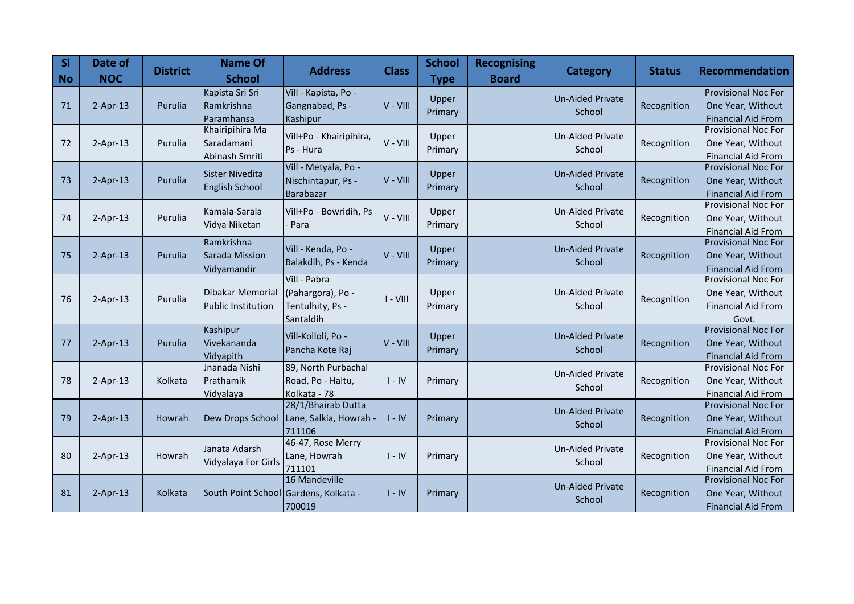| <b>SI</b><br><b>No</b> | Date of<br><b>NOC</b> | <b>District</b> | <b>Name Of</b><br><b>School</b>                 | <b>Address</b>                                                     | <b>Class</b> | <b>School</b><br><b>Type</b> | <b>Recognising</b><br><b>Board</b> | Category                          | <b>Status</b> | Recommendation                                                                        |
|------------------------|-----------------------|-----------------|-------------------------------------------------|--------------------------------------------------------------------|--------------|------------------------------|------------------------------------|-----------------------------------|---------------|---------------------------------------------------------------------------------------|
| 71                     | $2-Apr-13$            | Purulia         | Kapista Sri Sri<br>Ramkrishna<br>Paramhansa     | Vill - Kapista, Po -<br>Gangnabad, Ps -<br>Kashipur                | V - VIII     | Upper<br>Primary             |                                    | <b>Un-Aided Private</b><br>School | Recognition   | <b>Provisional Noc For</b><br>One Year, Without<br><b>Financial Aid From</b>          |
| 72                     | $2-Apr-13$            | Purulia         | Khairipihira Ma<br>Saradamani<br>Abinash Smriti | Vill+Po - Khairipihira,<br>Ps - Hura                               | V - VIII     | Upper<br>Primary             |                                    | Un-Aided Private<br>School        | Recognition   | <b>Provisional Noc For</b><br>One Year, Without<br><b>Financial Aid From</b>          |
| 73                     | $2-Apr-13$            | Purulia         | <b>Sister Nivedita</b><br>English School        | Vill - Metyala, Po -<br>Nischintapur, Ps -<br>Barabazar            | V - VIII     | Upper<br>Primary             |                                    | <b>Un-Aided Private</b><br>School | Recognition   | <b>Provisional Noc For</b><br>One Year, Without<br><b>Financial Aid From</b>          |
| 74                     | $2-Apr-13$            | Purulia         | Kamala-Sarala<br>Vidya Niketan                  | Vill+Po - Bowridih, Ps<br>Para                                     | $V - VIII$   | Upper<br>Primary             |                                    | <b>Un-Aided Private</b><br>School | Recognition   | <b>Provisional Noc For</b><br>One Year, Without<br><b>Financial Aid From</b>          |
| 75                     | $2-Apr-13$            | Purulia         | Ramkrishna<br>Sarada Mission<br>Vidyamandir     | Vill - Kenda, Po -<br>Balakdih, Ps - Kenda                         | V - VIII     | Upper<br>Primary             |                                    | <b>Un-Aided Private</b><br>School | Recognition   | <b>Provisional Noc For</b><br>One Year, Without<br><b>Financial Aid From</b>          |
| 76                     | $2-Apr-13$            | Purulia         | Dibakar Memorial<br><b>Public Institution</b>   | Vill - Pabra<br>(Pahargora), Po -<br>Tentulhity, Ps -<br>Santaldih | $I - VIII$   | Upper<br>Primary             |                                    | <b>Un-Aided Private</b><br>School | Recognition   | <b>Provisional Noc For</b><br>One Year, Without<br><b>Financial Aid From</b><br>Govt. |
| 77                     | $2-Apr-13$            | Purulia         | Kashipur<br>Vivekananda<br>Vidyapith            | Vill-Kolloli, Po -<br>Pancha Kote Raj                              | V - VIII     | Upper<br>Primary             |                                    | <b>Un-Aided Private</b><br>School | Recognition   | <b>Provisional Noc For</b><br>One Year, Without<br><b>Financial Aid From</b>          |
| 78                     | $2-Apr-13$            | Kolkata         | Jnanada Nishi<br>Prathamik<br>Vidyalaya         | 89, North Purbachal<br>Road, Po - Haltu,<br>Kolkata - 78           | $I - IV$     | Primary                      |                                    | <b>Un-Aided Private</b><br>School | Recognition   | <b>Provisional Noc For</b><br>One Year, Without<br><b>Financial Aid From</b>          |
| 79                     | $2-Apr-13$            | Howrah          | Dew Drops School                                | 28/1/Bhairab Dutta<br>Lane, Salkia, Howrah<br>711106               | $I - IV$     | Primary                      |                                    | <b>Un-Aided Private</b><br>School | Recognition   | Provisional Noc For<br>One Year, Without<br><b>Financial Aid From</b>                 |
| 80                     | $2-Apr-13$            | Howrah          | Janata Adarsh<br>Vidyalaya For Girls            | 46-47, Rose Merry<br>Lane, Howrah<br>711101                        | $I - IV$     | Primary                      |                                    | <b>Un-Aided Private</b><br>School | Recognition   | <b>Provisional Noc For</b><br>One Year, Without<br><b>Financial Aid From</b>          |
| 81                     | $2-Apr-13$            | Kolkata         | South Point School Gardens, Kolkata -           | 16 Mandeville<br>700019                                            | $I - IV$     | Primary                      |                                    | <b>Un-Aided Private</b><br>School | Recognition   | Provisional Noc For<br>One Year, Without<br><b>Financial Aid From</b>                 |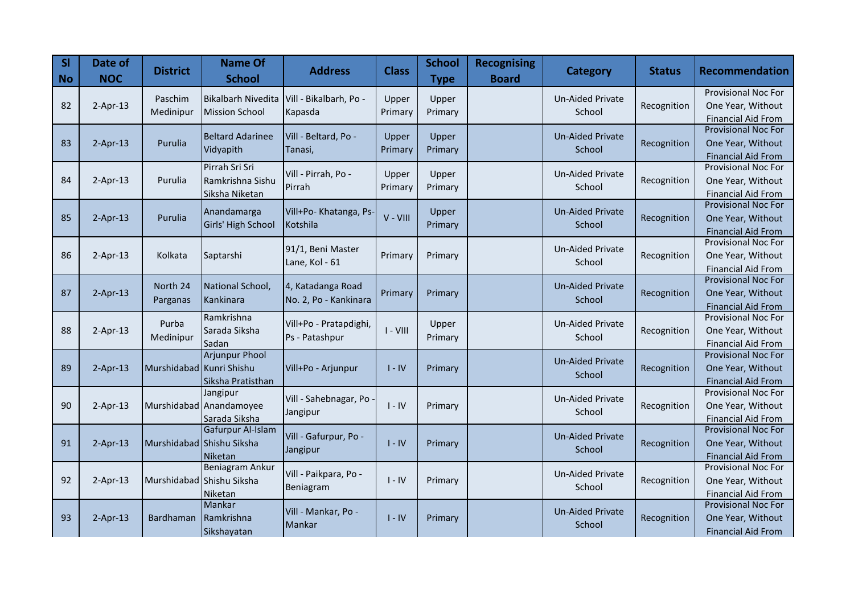| <b>SI</b><br><b>No</b> | Date of<br><b>NOC</b> | <b>District</b>          | <b>Name Of</b><br><b>School</b> | <b>Address</b>         | <b>Class</b> | <b>School</b><br><b>Type</b> | <b>Recognising</b><br><b>Board</b> | <b>Category</b>         | <b>Status</b> | <b>Recommendation</b>                                   |
|------------------------|-----------------------|--------------------------|---------------------------------|------------------------|--------------|------------------------------|------------------------------------|-------------------------|---------------|---------------------------------------------------------|
|                        |                       | Paschim                  | <b>Bikalbarh Nivedita</b>       | Vill - Bikalbarh, Po - | Upper        | Upper                        |                                    | Un-Aided Private        |               | <b>Provisional Noc For</b>                              |
| 82                     | $2-Apr-13$            | Medinipur                | <b>Mission School</b>           | Kapasda                | Primary      | Primary                      |                                    | School                  | Recognition   | One Year, Without                                       |
|                        |                       |                          |                                 |                        |              |                              |                                    |                         |               | <b>Financial Aid From</b>                               |
|                        |                       |                          | <b>Beltard Adarinee</b>         | Vill - Beltard, Po -   | Upper        | Upper                        |                                    | <b>Un-Aided Private</b> |               | <b>Provisional Noc For</b>                              |
| 83                     | $2-Apr-13$            | Purulia                  | Vidyapith                       | Tanasi,                | Primary      | Primary                      |                                    | School                  | Recognition   | One Year, Without                                       |
|                        |                       |                          | Pirrah Sri Sri                  |                        |              |                              |                                    |                         |               | <b>Financial Aid From</b><br>Provisional Noc For        |
| 84                     | $2-Apr-13$            | Purulia                  | Ramkrishna Sishu                | Vill - Pirrah, Po -    | Upper        | Upper                        |                                    | <b>Un-Aided Private</b> | Recognition   | One Year, Without                                       |
|                        |                       |                          | Siksha Niketan                  | Pirrah                 | Primary      | Primary                      |                                    | School                  |               | <b>Financial Aid From</b>                               |
|                        |                       |                          |                                 |                        |              |                              |                                    |                         |               | <b>Provisional Noc For</b>                              |
| 85                     | $2-Apr-13$            | Purulia                  | Anandamarga                     | Vill+Po- Khatanga, Ps- | V - VIII     | Upper                        |                                    | <b>Un-Aided Private</b> | Recognition   | One Year, Without                                       |
|                        |                       |                          | Girls' High School              | Kotshila               |              | Primary                      |                                    | School                  |               | <b>Financial Aid From</b>                               |
|                        |                       |                          |                                 | 91/1, Beni Master      |              |                              |                                    | <b>Un-Aided Private</b> |               | <b>Provisional Noc For</b>                              |
| 86                     | $2-Apr-13$            | Kolkata                  | Saptarshi                       | Lane, Kol - 61         | Primary      | Primary                      |                                    | School                  | Recognition   | One Year, Without                                       |
|                        |                       |                          |                                 |                        |              |                              |                                    |                         |               | <b>Financial Aid From</b>                               |
|                        |                       | North 24                 | National School,                | 4, Katadanga Road      |              |                              |                                    | <b>Un-Aided Private</b> |               | <b>Provisional Noc For</b>                              |
| 87                     | $2-Apr-13$            | Parganas                 | Kankinara                       | No. 2, Po - Kankinara  | Primary      | Primary                      |                                    | School                  | Recognition   | One Year, Without                                       |
|                        |                       |                          | Ramkrishna                      |                        |              |                              |                                    |                         |               | <b>Financial Aid From</b><br><b>Provisional Noc For</b> |
| 88                     | $2-Apr-13$            | Purba                    | Sarada Siksha                   | Vill+Po - Pratapdighi, | $I - VIII$   | Upper                        |                                    | Un-Aided Private        | Recognition   | One Year, Without                                       |
|                        |                       | Medinipur                | Sadan                           | Ps - Patashpur         |              | Primary                      |                                    | School                  |               | <b>Financial Aid From</b>                               |
|                        |                       |                          | <b>Arjunpur Phool</b>           |                        |              |                              |                                    |                         |               | <b>Provisional Noc For</b>                              |
| 89                     | $2-Apr-13$            | Murshidabad Kunri Shishu |                                 | Vill+Po - Arjunpur     | $I - IV$     | Primary                      |                                    | <b>Un-Aided Private</b> | Recognition   | One Year, Without                                       |
|                        |                       |                          | Siksha Pratisthan               |                        |              |                              |                                    | School                  |               | <b>Financial Aid From</b>                               |
|                        |                       |                          | Jangipur                        | Vill - Sahebnagar, Po  |              |                              |                                    | <b>Un-Aided Private</b> |               | <b>Provisional Noc For</b>                              |
| 90                     | $2-Apr-13$            |                          | Murshidabad Anandamoyee         | Jangipur               | $I - IV$     | Primary                      |                                    | School                  | Recognition   | One Year, Without                                       |
|                        |                       |                          | Sarada Siksha                   |                        |              |                              |                                    |                         |               | <b>Financial Aid From</b>                               |
|                        |                       |                          | Gafurpur Al-Islam               | Vill - Gafurpur, Po -  |              |                              |                                    | <b>Un-Aided Private</b> |               | <b>Provisional Noc For</b>                              |
| 91                     | $2-Apr-13$            |                          | Murshidabad Shishu Siksha       | Jangipur               | $I - IV$     | Primary                      |                                    | School                  | Recognition   | One Year, Without                                       |
|                        |                       |                          | Niketan<br>Beniagram Ankur      |                        |              |                              |                                    |                         |               | <b>Financial Aid From</b><br><b>Provisional Noc For</b> |
| 92                     | $2-Apr-13$            |                          | Murshidabad Shishu Siksha       | Vill - Paikpara, Po -  | $I - IV$     | Primary                      |                                    | <b>Un-Aided Private</b> | Recognition   | One Year, Without                                       |
|                        |                       |                          | Niketan                         | Beniagram              |              |                              |                                    | School                  |               | <b>Financial Aid From</b>                               |
|                        |                       |                          | Mankar                          |                        |              |                              |                                    |                         |               | <b>Provisional Noc For</b>                              |
| 93                     | $2-Apr-13$            | Bardhaman                | Ramkrishna                      | Vill - Mankar, Po -    | $I - IV$     | Primary                      |                                    | <b>Un-Aided Private</b> | Recognition   | One Year, Without                                       |
|                        |                       |                          | Sikshayatan                     | Mankar                 |              |                              |                                    | School                  |               | <b>Financial Aid From</b>                               |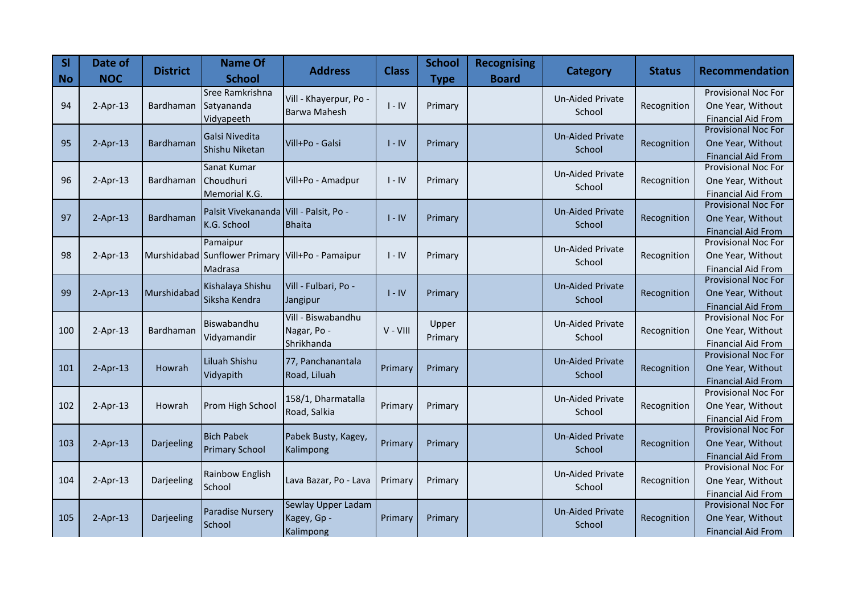| <b>SI</b><br><b>No</b> | Date of<br><b>NOC</b> | <b>District</b> | <b>Name Of</b><br><b>School</b>                  | <b>Address</b>         | <b>Class</b> | <b>School</b><br><b>Type</b> | <b>Recognising</b><br><b>Board</b> | <b>Category</b>         | <b>Status</b> | <b>Recommendation</b>                                   |
|------------------------|-----------------------|-----------------|--------------------------------------------------|------------------------|--------------|------------------------------|------------------------------------|-------------------------|---------------|---------------------------------------------------------|
|                        |                       |                 | Sree Ramkrishna                                  | Vill - Khayerpur, Po - |              |                              |                                    | Un-Aided Private        |               | <b>Provisional Noc For</b>                              |
| 94                     | $2-Apr-13$            | Bardhaman       | Satyananda                                       | <b>Barwa Mahesh</b>    | $I - IV$     | Primary                      |                                    | School                  | Recognition   | One Year, Without                                       |
|                        |                       |                 | Vidyapeeth                                       |                        |              |                              |                                    |                         |               | <b>Financial Aid From</b><br><b>Provisional Noc For</b> |
| 95                     | $2-Apr-13$            | Bardhaman       | Galsi Nivedita                                   | Vill+Po - Galsi        | $I - IV$     | Primary                      |                                    | <b>Un-Aided Private</b> | Recognition   | One Year, Without                                       |
|                        |                       |                 | Shishu Niketan                                   |                        |              |                              |                                    | School                  |               | <b>Financial Aid From</b>                               |
|                        |                       |                 | Sanat Kumar                                      |                        |              |                              |                                    |                         |               | Provisional Noc For                                     |
| 96                     | $2-Apr-13$            | Bardhaman       | Choudhuri                                        | Vill+Po - Amadpur      | $I - IV$     | Primary                      |                                    | <b>Un-Aided Private</b> | Recognition   | One Year, Without                                       |
|                        |                       |                 | Memorial K.G.                                    |                        |              |                              |                                    | School                  |               | <b>Financial Aid From</b>                               |
|                        |                       |                 | Palsit Vivekananda                               | Vill - Palsit, Po -    |              |                              |                                    | <b>Un-Aided Private</b> |               | <b>Provisional Noc For</b>                              |
| 97                     | $2-Apr-13$            | Bardhaman       | K.G. School                                      | <b>Bhaita</b>          | $I - IV$     | Primary                      |                                    | School                  | Recognition   | One Year, Without                                       |
|                        |                       |                 |                                                  |                        |              |                              |                                    |                         |               | <b>Financial Aid From</b>                               |
|                        |                       |                 | Pamaipur                                         |                        |              |                              |                                    | <b>Un-Aided Private</b> |               | <b>Provisional Noc For</b>                              |
| 98                     | $2-Apr-13$            |                 | Murshidabad Sunflower Primary Vill+Po - Pamaipur |                        | $I - IV$     | Primary                      |                                    | School                  | Recognition   | One Year, Without                                       |
|                        |                       |                 | Madrasa                                          |                        |              |                              |                                    |                         |               | <b>Financial Aid From</b><br><b>Provisional Noc For</b> |
| 99                     | $2-Apr-13$            | Murshidabad     | Kishalaya Shishu                                 | Vill - Fulbari, Po -   | $I - IV$     | Primary                      |                                    | <b>Un-Aided Private</b> | Recognition   | One Year, Without                                       |
|                        |                       |                 | Siksha Kendra                                    | Jangipur               |              |                              |                                    | School                  |               | <b>Financial Aid From</b>                               |
|                        |                       |                 |                                                  | Vill - Biswabandhu     |              |                              |                                    |                         |               | <b>Provisional Noc For</b>                              |
| 100                    | $2-Apr-13$            | Bardhaman       | Biswabandhu                                      | Nagar, Po -            | $V - VIII$   | Upper                        |                                    | <b>Un-Aided Private</b> | Recognition   | One Year, Without                                       |
|                        |                       |                 | Vidyamandir                                      | Shrikhanda             |              | Primary                      |                                    | School                  |               | <b>Financial Aid From</b>                               |
|                        |                       |                 | Liluah Shishu                                    | 77, Panchanantala      |              |                              |                                    | <b>Un-Aided Private</b> |               | <b>Provisional Noc For</b>                              |
| 101                    | $2-Apr-13$            | Howrah          | Vidyapith                                        | Road, Liluah           | Primary      | Primary                      |                                    | School                  | Recognition   | One Year, Without                                       |
|                        |                       |                 |                                                  |                        |              |                              |                                    |                         |               | <b>Financial Aid From</b>                               |
|                        |                       |                 |                                                  | 158/1, Dharmatalla     |              |                              |                                    | <b>Un-Aided Private</b> |               | <b>Provisional Noc For</b>                              |
| 102                    | $2-Apr-13$            | Howrah          | Prom High School                                 | Road, Salkia           | Primary      | Primary                      |                                    | School                  | Recognition   | One Year, Without                                       |
|                        |                       |                 |                                                  |                        |              |                              |                                    |                         |               | <b>Financial Aid From</b><br><b>Provisional Noc For</b> |
| 103                    | $2-Apr-13$            | Darjeeling      | <b>Bich Pabek</b>                                | Pabek Busty, Kagey,    | Primary      | Primary                      |                                    | <b>Un-Aided Private</b> | Recognition   | One Year, Without                                       |
|                        |                       |                 | <b>Primary School</b>                            | Kalimpong              |              |                              |                                    | School                  |               | <b>Financial Aid From</b>                               |
|                        |                       |                 |                                                  |                        |              |                              |                                    |                         |               | <b>Provisional Noc For</b>                              |
| 104                    | $2-Apr-13$            | Darjeeling      | Rainbow English                                  | Lava Bazar, Po - Lava  | Primary      | Primary                      |                                    | Un-Aided Private        | Recognition   | One Year, Without                                       |
|                        |                       |                 | School                                           |                        |              |                              |                                    | School                  |               | <b>Financial Aid From</b>                               |
|                        |                       |                 | <b>Paradise Nursery</b>                          | Sewlay Upper Ladam     |              |                              |                                    | <b>Un-Aided Private</b> |               | Provisional Noc For                                     |
| 105                    | $2-Apr-13$            | Darjeeling      | School                                           | Kagey, Gp -            | Primary      | Primary                      |                                    | School                  | Recognition   | One Year, Without                                       |
|                        |                       |                 |                                                  | Kalimpong              |              |                              |                                    |                         |               | <b>Financial Aid From</b>                               |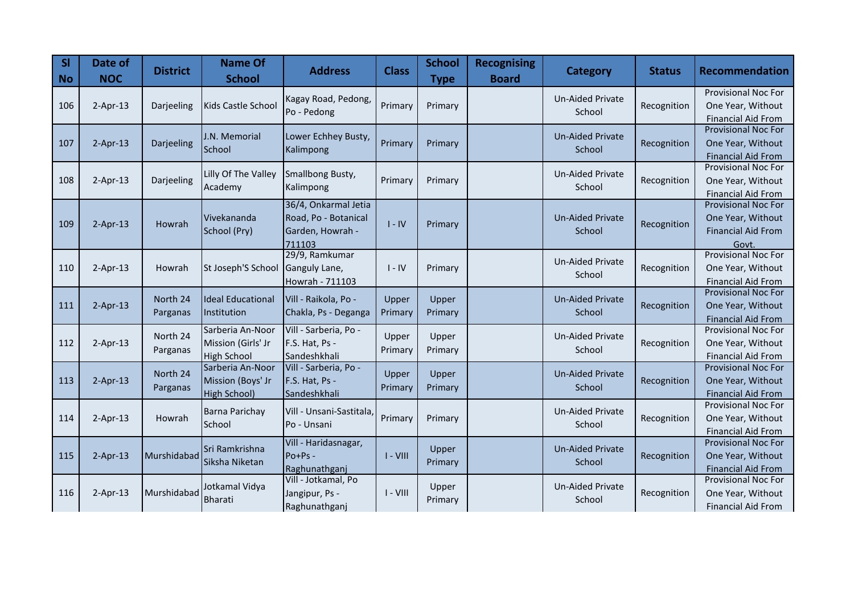| <b>SI</b><br><b>No</b> | Date of<br><b>NOC</b> | <b>District</b>      | <b>Name Of</b><br><b>School</b>                              | <b>Address</b>                                                             | <b>Class</b>     | <b>School</b><br><b>Type</b> | <b>Recognising</b><br><b>Board</b> | <b>Category</b>                   | <b>Status</b> | Recommendation                                                                        |
|------------------------|-----------------------|----------------------|--------------------------------------------------------------|----------------------------------------------------------------------------|------------------|------------------------------|------------------------------------|-----------------------------------|---------------|---------------------------------------------------------------------------------------|
| 106                    | $2-Apr-13$            | Darjeeling           | Kids Castle School                                           | Kagay Road, Pedong,<br>Po - Pedong                                         | Primary          | Primary                      |                                    | <b>Un-Aided Private</b><br>School | Recognition   | <b>Provisional Noc For</b><br>One Year, Without<br><b>Financial Aid From</b>          |
| 107                    | $2-Apr-13$            | Darjeeling           | J.N. Memorial<br>School                                      | Lower Echhey Busty,<br>Kalimpong                                           | Primary          | Primary                      |                                    | <b>Un-Aided Private</b><br>School | Recognition   | <b>Provisional Noc For</b><br>One Year, Without<br><b>Financial Aid From</b>          |
| 108                    | $2-Apr-13$            | Darjeeling           | Lilly Of The Valley<br>Academy                               | Smallbong Busty,<br>Kalimpong                                              | Primary          | Primary                      |                                    | <b>Un-Aided Private</b><br>School | Recognition   | <b>Provisional Noc For</b><br>One Year, Without<br><b>Financial Aid From</b>          |
| 109                    | $2-Apr-13$            | Howrah               | Vivekananda<br>School (Pry)                                  | 36/4, Onkarmal Jetia<br>Road, Po - Botanical<br>Garden, Howrah -<br>711103 | $I - IV$         | Primary                      |                                    | <b>Un-Aided Private</b><br>School | Recognition   | <b>Provisional Noc For</b><br>One Year, Without<br><b>Financial Aid From</b><br>Govt. |
| 110                    | $2-Apr-13$            | Howrah               | St Joseph'S School                                           | 29/9, Ramkumar<br>Ganguly Lane,<br>Howrah - 711103                         | $I - IV$         | Primary                      |                                    | Un-Aided Private<br>School        | Recognition   | <b>Provisional Noc For</b><br>One Year, Without<br><b>Financial Aid From</b>          |
| 111                    | $2-Apr-13$            | North 24<br>Parganas | <b>Ideal Educational</b><br>Institution                      | Vill - Raikola, Po -<br>Chakla, Ps - Deganga                               | Upper<br>Primary | Upper<br>Primary             |                                    | <b>Un-Aided Private</b><br>School | Recognition   | Provisional Noc For<br>One Year, Without<br><b>Financial Aid From</b>                 |
| 112                    | $2-Apr-13$            | North 24<br>Parganas | Sarberia An-Noor<br>Mission (Girls' Jr<br><b>High School</b> | Vill - Sarberia, Po -<br>F.S. Hat, Ps -<br>Sandeshkhali                    | Upper<br>Primary | Upper<br>Primary             |                                    | Un-Aided Private<br>School        | Recognition   | <b>Provisional Noc For</b><br>One Year, Without<br><b>Financial Aid From</b>          |
| 113                    | $2-Apr-13$            | North 24<br>Parganas | Sarberia An-Noor<br>Mission (Boys' Jr<br>High School)        | Vill - Sarberia, Po -<br>F.S. Hat, Ps -<br>Sandeshkhali                    | Upper<br>Primary | Upper<br>Primary             |                                    | <b>Un-Aided Private</b><br>School | Recognition   | <b>Provisional Noc For</b><br>One Year, Without<br><b>Financial Aid From</b>          |
| 114                    | $2-Apr-13$            | Howrah               | Barna Parichay<br>School                                     | Vill - Unsani-Sastitala<br>Po - Unsani                                     | Primary          | Primary                      |                                    | <b>Un-Aided Private</b><br>School | Recognition   | Provisional Noc For<br>One Year, Without<br><b>Financial Aid From</b>                 |
| 115                    | $2-Apr-13$            | Murshidabad          | Sri Ramkrishna<br>Siksha Niketan                             | Vill - Haridasnagar,<br>$Po+Ps -$<br>Raghunathganj                         | $I - VIII$       | Upper<br>Primary             |                                    | <b>Un-Aided Private</b><br>School | Recognition   | <b>Provisional Noc For</b><br>One Year, Without<br><b>Financial Aid From</b>          |
| 116                    | $2-Apr-13$            | Murshidabad          | Jotkamal Vidya<br><b>Bharati</b>                             | Vill - Jotkamal, Po<br>Jangipur, Ps -<br>Raghunathganj                     | $I - VIII$       | Upper<br>Primary             |                                    | <b>Un-Aided Private</b><br>School | Recognition   | Provisional Noc For<br>One Year, Without<br><b>Financial Aid From</b>                 |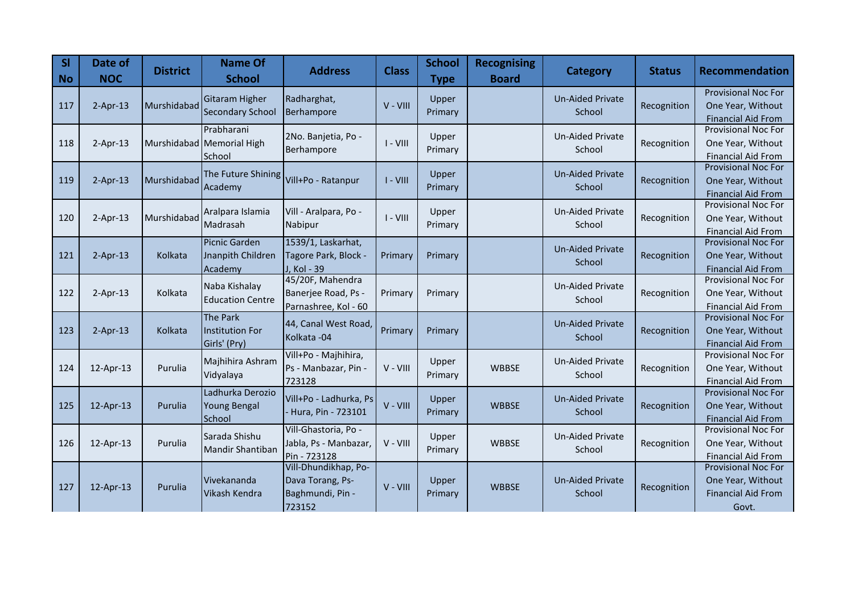| <b>SI</b><br><b>No</b> | Date of<br><b>NOC</b> | <b>District</b> | <b>Name Of</b><br><b>School</b> | <b>Address</b>                    | <b>Class</b> | <b>School</b><br><b>Type</b> | <b>Recognising</b><br><b>Board</b> | <b>Category</b>                   | <b>Status</b> | <b>Recommendation</b>                                   |
|------------------------|-----------------------|-----------------|---------------------------------|-----------------------------------|--------------|------------------------------|------------------------------------|-----------------------------------|---------------|---------------------------------------------------------|
|                        |                       |                 | <b>Gitaram Higher</b>           | Radharghat,                       |              | Upper                        |                                    | <b>Un-Aided Private</b>           |               | <b>Provisional Noc For</b>                              |
| 117                    | $2-Apr-13$            | Murshidabad     | <b>Secondary School</b>         | Berhampore                        | V - VIII     | Primary                      |                                    | School                            | Recognition   | One Year, Without<br><b>Financial Aid From</b>          |
|                        |                       |                 | Prabharani                      |                                   |              |                              |                                    |                                   |               | <b>Provisional Noc For</b>                              |
| 118                    | $2-Apr-13$            |                 | Murshidabad Memorial High       | 2No. Banjetia, Po -<br>Berhampore | $I - VIII$   | Upper<br>Primary             |                                    | <b>Un-Aided Private</b><br>School | Recognition   | One Year, Without                                       |
|                        |                       |                 | School                          |                                   |              |                              |                                    |                                   |               | <b>Financial Aid From</b>                               |
|                        |                       |                 | The Future Shining              |                                   |              | Upper                        |                                    | <b>Un-Aided Private</b>           |               | <b>Provisional Noc For</b>                              |
| 119                    | $2-Apr-13$            | Murshidabad     | Academy                         | Vill+Po - Ratanpur                | $I - VIII$   | Primary                      |                                    | School                            | Recognition   | One Year, Without                                       |
|                        |                       |                 |                                 |                                   |              |                              |                                    |                                   |               | <b>Financial Aid From</b><br>Provisional Noc For        |
| 120                    | $2-Apr-13$            | Murshidabad     | Aralpara Islamia                | Vill - Aralpara, Po -             | $I - VIII$   | Upper                        |                                    | <b>Un-Aided Private</b>           | Recognition   | One Year, Without                                       |
|                        |                       |                 | Madrasah                        | Nabipur                           |              | Primary                      |                                    | School                            |               | <b>Financial Aid From</b>                               |
|                        |                       |                 | Picnic Garden                   | 1539/1, Laskarhat,                |              |                              |                                    | <b>Un-Aided Private</b>           |               | <b>Provisional Noc For</b>                              |
| 121                    | $2-Apr-13$            | Kolkata         | Jnanpith Children               | Tagore Park, Block -              | Primary      | Primary                      |                                    | School                            | Recognition   | One Year, Without                                       |
|                        |                       |                 | Academy                         | J, Kol - 39                       |              |                              |                                    |                                   |               | <b>Financial Aid From</b>                               |
|                        |                       |                 | Naba Kishalay                   | 45/20F, Mahendra                  |              |                              |                                    | Un-Aided Private                  |               | <b>Provisional Noc For</b>                              |
| 122                    | $2-Apr-13$            | Kolkata         | <b>Education Centre</b>         | Banerjee Road, Ps -               | Primary      | Primary                      |                                    | School                            | Recognition   | One Year, Without                                       |
|                        |                       |                 | <b>The Park</b>                 | Parnashree, Kol - 60              |              |                              |                                    |                                   |               | Financial Aid From<br><b>Provisional Noc For</b>        |
| 123                    | $2-Apr-13$            | Kolkata         | Institution For                 | 44, Canal West Road,              | Primary      | Primary                      |                                    | <b>Un-Aided Private</b>           | Recognition   | One Year, Without                                       |
|                        |                       |                 | Girls' (Pry)                    | Kolkata - 04                      |              |                              |                                    | School                            |               | <b>Financial Aid From</b>                               |
|                        |                       |                 | Majhihira Ashram                | Vill+Po - Majhihira,              |              |                              |                                    | Un-Aided Private                  |               | Provisional Noc For                                     |
| 124                    | 12-Apr-13             | Purulia         | Vidyalaya                       | Ps - Manbazar, Pin -              | V - VIII     | Upper<br>Primary             | <b>WBBSE</b>                       | School                            | Recognition   | One Year, Without                                       |
|                        |                       |                 |                                 | 723128                            |              |                              |                                    |                                   |               | <b>Financial Aid From</b>                               |
|                        |                       |                 | Ladhurka Derozio                | Vill+Po - Ladhurka, Ps            |              | Upper                        |                                    | <b>Un-Aided Private</b>           |               | Provisional Noc For                                     |
| 125                    | 12-Apr-13             | Purulia         | Young Bengal                    | Hura, Pin - 723101                | V - VIII     | Primary                      | <b>WBBSE</b>                       | School                            | Recognition   | One Year, Without                                       |
|                        |                       |                 | School                          | Vill-Ghastoria, Po -              |              |                              |                                    |                                   |               | <b>Financial Aid From</b><br><b>Provisional Noc For</b> |
| 126                    | 12-Apr-13             | Purulia         | Sarada Shishu                   | Jabla, Ps - Manbazar,             | V - VIII     | Upper                        | <b>WBBSE</b>                       | <b>Un-Aided Private</b>           | Recognition   | One Year, Without                                       |
|                        |                       |                 | <b>Mandir Shantiban</b>         | Pin - 723128                      |              | Primary                      |                                    | School                            |               | <b>Financial Aid From</b>                               |
|                        |                       |                 |                                 | Vill-Dhundikhap, Po-              |              |                              |                                    |                                   |               | <b>Provisional Noc For</b>                              |
| 127                    | 12-Apr-13             | Purulia         | Vivekananda                     | Dava Torang, Ps-                  | V - VIII     | Upper                        | <b>WBBSE</b>                       | <b>Un-Aided Private</b>           | Recognition   | One Year, Without                                       |
|                        |                       |                 | Vikash Kendra                   | Baghmundi, Pin -                  |              | Primary                      |                                    | School                            |               | <b>Financial Aid From</b>                               |
|                        |                       |                 |                                 | 723152                            |              |                              |                                    |                                   |               | Govt.                                                   |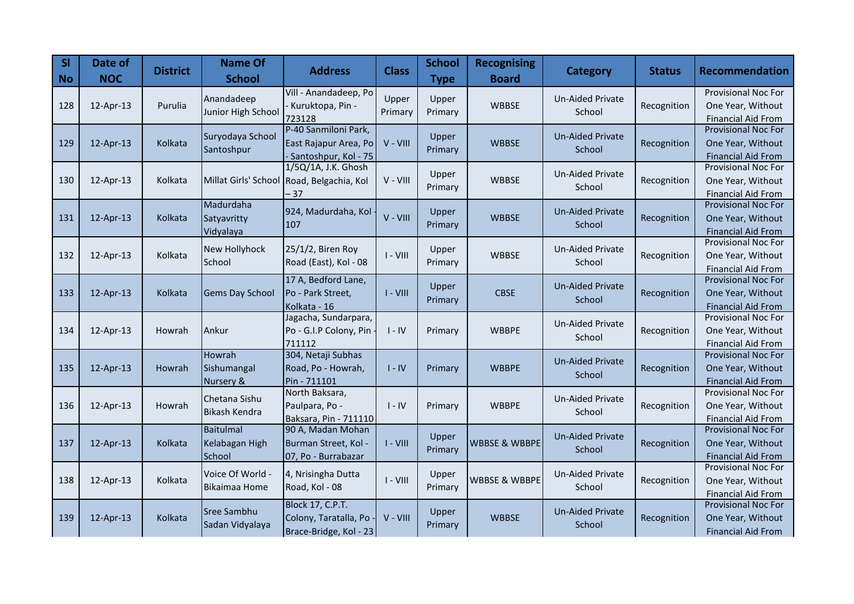| SI<br><b>No</b> | Date of<br><b>NOC</b> | <b>District</b> | <b>Name Of</b><br><b>School</b> | <b>Address</b>                                  | <b>Class</b> | <b>School</b><br><b>Type</b> | <b>Recognising</b><br><b>Board</b> | <b>Category</b>         | <b>Status</b> | <b>Recommendation</b>                                   |
|-----------------|-----------------------|-----------------|---------------------------------|-------------------------------------------------|--------------|------------------------------|------------------------------------|-------------------------|---------------|---------------------------------------------------------|
|                 |                       |                 | Anandadeep                      | Vill - Anandadeep, Po                           | Upper        | Upper                        |                                    | <b>Un-Aided Private</b> |               | <b>Provisional Noc For</b>                              |
| 128             | 12-Apr-13             | Purulia         | Junior High School              | Kuruktopa, Pin -                                | Primary      | Primary                      | <b>WBBSE</b>                       | School                  | Recognition   | One Year, Without                                       |
|                 |                       |                 |                                 | 723128                                          |              |                              |                                    |                         |               | <b>Financial Aid From</b>                               |
|                 |                       |                 | Suryodaya School                | P-40 Sanmiloni Park,                            | $V - VIII$   | Upper                        |                                    | <b>Un-Aided Private</b> |               | <b>Provisional Noc For</b>                              |
| 129             | 12-Apr-13             | Kolkata         | Santoshpur                      | East Rajapur Area, Po<br>- Santoshpur, Kol - 75 |              | Primary                      | <b>WBBSE</b>                       | School                  | Recognition   | One Year, Without<br><b>Financial Aid From</b>          |
|                 |                       |                 |                                 | 1/5Q/1A, J.K. Ghosh                             |              |                              |                                    |                         |               | <b>Provisional Noc For</b>                              |
| 130             | 12-Apr-13             | Kolkata         | Millat Girls' School            | Road, Belgachia, Kol                            | V - VIII     | Upper                        | <b>WBBSE</b>                       | <b>Un-Aided Private</b> | Recognition   | One Year, Without                                       |
|                 |                       |                 |                                 | $-37$                                           |              | Primary                      |                                    | School                  |               | <b>Financial Aid From</b>                               |
|                 |                       |                 | Madurdaha                       |                                                 |              |                              |                                    | <b>Un-Aided Private</b> |               | <b>Provisional Noc For</b>                              |
| 131             | 12-Apr-13             | Kolkata         | Satyavritty                     | 924, Madurdaha, Kol<br>107                      | V - VIII     | Upper<br>Primary             | <b>WBBSE</b>                       | School                  | Recognition   | One Year, Without                                       |
|                 |                       |                 | Vidyalaya                       |                                                 |              |                              |                                    |                         |               | <b>Financial Aid From</b>                               |
|                 |                       |                 | New Hollyhock                   | 25/1/2, Biren Roy                               |              | Upper                        |                                    | <b>Un-Aided Private</b> |               | Provisional Noc For                                     |
| 132             | 12-Apr-13             | Kolkata         | School                          | Road (East), Kol - 08                           | $I - VIII$   | Primary                      | <b>WBBSE</b>                       | School                  | Recognition   | One Year, Without                                       |
|                 |                       |                 |                                 |                                                 |              |                              |                                    |                         |               | <b>Financial Aid From</b>                               |
|                 |                       |                 |                                 | 17 A, Bedford Lane,                             | $I - VIII$   | Upper                        |                                    | <b>Un-Aided Private</b> |               | <b>Provisional Noc For</b>                              |
| 133             | 12-Apr-13             | Kolkata         | Gems Day School                 | Po - Park Street,                               |              | Primary                      | <b>CBSE</b>                        | School                  | Recognition   | One Year, Without                                       |
|                 |                       |                 |                                 | Kolkata - 16<br>Jagacha, Sundarpara,            |              |                              |                                    |                         |               | <b>Financial Aid From</b><br><b>Provisional Noc For</b> |
| 134             | 12-Apr-13             | Howrah          | Ankur                           | Po - G.I.P Colony, Pin                          | $I - IV$     | Primary                      | <b>WBBPE</b>                       | <b>Un-Aided Private</b> | Recognition   | One Year, Without                                       |
|                 |                       |                 |                                 | 711112                                          |              |                              |                                    | School                  |               | <b>Financial Aid From</b>                               |
|                 |                       |                 | Howrah                          | 304, Netaji Subhas                              |              |                              |                                    |                         |               | <b>Provisional Noc For</b>                              |
| 135             | 12-Apr-13             | Howrah          | Sishumangal                     | Road, Po - Howrah,                              | $I - IV$     | Primary                      | <b>WBBPE</b>                       | <b>Un-Aided Private</b> | Recognition   | One Year, Without                                       |
|                 |                       |                 | Nursery &                       | Pin - 711101                                    |              |                              |                                    | School                  |               | <b>Financial Aid From</b>                               |
|                 |                       |                 | Chetana Sishu                   | North Baksara,                                  |              |                              |                                    | <b>Un-Aided Private</b> |               | Provisional Noc For                                     |
| 136             | 12-Apr-13             | Howrah          | <b>Bikash Kendra</b>            | Paulpara, Po -                                  | $I - IV$     | Primary                      | <b>WBBPE</b>                       | School                  | Recognition   | One Year, Without                                       |
|                 |                       |                 |                                 | Baksara, Pin - 711110                           |              |                              |                                    |                         |               | <b>Financial Aid From</b>                               |
|                 |                       |                 | Baitulmal                       | 90 A, Madan Mohan                               |              | Upper                        |                                    | <b>Un-Aided Private</b> |               | <b>Provisional Noc For</b>                              |
| 137             | 12-Apr-13             | Kolkata         | Kelabagan High                  | Burman Street, Kol -                            | $I - VIII$   | Primary                      | <b>WBBSE &amp; WBBPE</b>           | School                  | Recognition   | One Year, Without                                       |
|                 |                       |                 | School                          | 07, Po - Burrabazar                             |              |                              |                                    |                         |               | <b>Financial Aid From</b><br><b>Provisional Noc For</b> |
| 138             | 12-Apr-13             | Kolkata         | Voice Of World -                | 4, Nrisingha Dutta                              | $I - VIII$   | Upper                        | WBBSE & WBBPE                      | Un-Aided Private        | Recognition   | One Year, Without                                       |
|                 |                       |                 | <b>Bikaimaa Home</b>            | Road, Kol - 08                                  |              | Primary                      |                                    | School                  |               | <b>Financial Aid From</b>                               |
|                 |                       |                 |                                 | <b>Block 17, C.P.T.</b>                         |              |                              |                                    |                         |               | <b>Provisional Noc For</b>                              |
| 139             | 12-Apr-13             | Kolkata         | Sree Sambhu                     | Colony, Taratalla, Po                           | V - VIII     | Upper                        | <b>WBBSE</b>                       | <b>Un-Aided Private</b> | Recognition   | One Year, Without                                       |
|                 |                       |                 | Sadan Vidyalaya                 | Brace-Bridge, Kol - 23                          |              | Primary                      |                                    | School                  |               | <b>Financial Aid From</b>                               |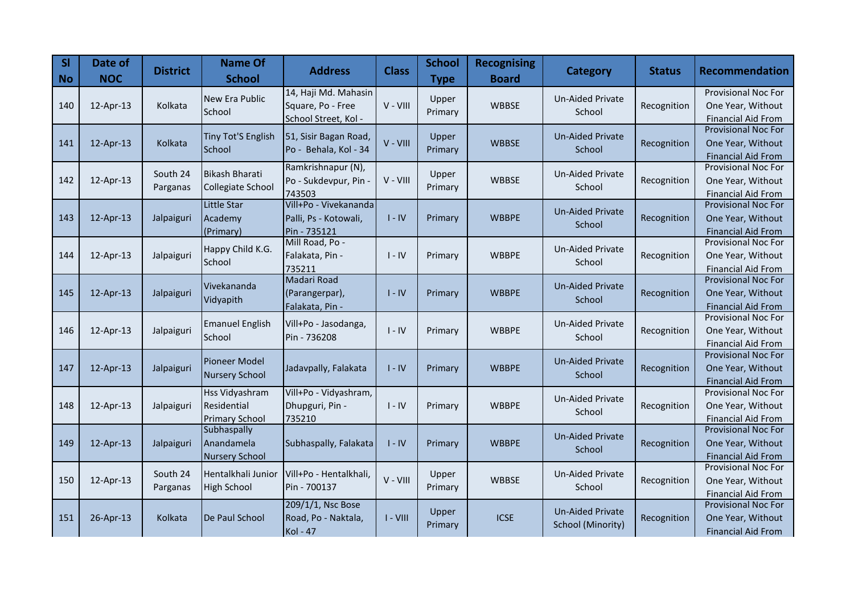| <b>SI</b><br><b>No</b> | Date of<br><b>NOC</b> | <b>District</b> | <b>Name Of</b><br><b>School</b> | <b>Address</b>                     | <b>Class</b> | <b>School</b><br><b>Type</b> | <b>Recognising</b><br><b>Board</b> | <b>Category</b>         | <b>Status</b> | <b>Recommendation</b>                                   |
|------------------------|-----------------------|-----------------|---------------------------------|------------------------------------|--------------|------------------------------|------------------------------------|-------------------------|---------------|---------------------------------------------------------|
|                        |                       |                 | New Era Public                  | 14, Haji Md. Mahasin               |              | Upper                        |                                    | <b>Un-Aided Private</b> |               | <b>Provisional Noc For</b>                              |
| 140                    | 12-Apr-13             | Kolkata         | School                          | Square, Po - Free                  | V - VIII     | Primary                      | <b>WBBSE</b>                       | School                  | Recognition   | One Year, Without                                       |
|                        |                       |                 |                                 | School Street, Kol -               |              |                              |                                    |                         |               | <b>Financial Aid From</b><br><b>Provisional Noc For</b> |
| 141                    | 12-Apr-13             | Kolkata         | Tiny Tot'S English              | 51, Sisir Bagan Road,              | V - VIII     | Upper                        | <b>WBBSE</b>                       | <b>Un-Aided Private</b> | Recognition   | One Year, Without                                       |
|                        |                       |                 | School                          | Po - Behala, Kol - 34              |              | Primary                      |                                    | School                  |               | <b>Financial Aid From</b>                               |
|                        |                       |                 |                                 | Ramkrishnapur (N),                 |              |                              |                                    |                         |               | <b>Provisional Noc For</b>                              |
| 142                    | 12-Apr-13             | South 24        | <b>Bikash Bharati</b>           | Po - Sukdevpur, Pin -              | V - VIII     | Upper                        | <b>WBBSE</b>                       | <b>Un-Aided Private</b> | Recognition   | One Year, Without                                       |
|                        |                       | Parganas        | Collegiate School               | 743503                             |              | Primary                      |                                    | School                  |               | <b>Financial Aid From</b>                               |
|                        |                       |                 | Little Star                     | Vill+Po - Vivekananda              |              |                              |                                    | <b>Un-Aided Private</b> |               | <b>Provisional Noc For</b>                              |
| 143                    | 12-Apr-13             | Jalpaiguri      | Academy                         | Palli, Ps - Kotowali,              | $I - IV$     | Primary                      | <b>WBBPE</b>                       | School                  | Recognition   | One Year, Without                                       |
|                        |                       |                 | (Primary)                       | Pin - 735121                       |              |                              |                                    |                         |               | <b>Financial Aid From</b><br><b>Provisional Noc For</b> |
|                        | 12-Apr-13             | Jalpaiguri      | Happy Child K.G.                | Mill Road, Po -<br>Falakata, Pin - |              |                              |                                    | <b>Un-Aided Private</b> | Recognition   | One Year, Without                                       |
| 144                    |                       |                 | School                          | 735211                             | $I - IV$     | Primary                      | <b>WBBPE</b>                       | School                  |               | <b>Financial Aid From</b>                               |
|                        |                       |                 |                                 | <b>Madari Road</b>                 |              |                              |                                    |                         |               | Provisional Noc For                                     |
| 145                    | 12-Apr-13             | Jalpaiguri      | Vivekananda                     | (Parangerpar),                     | $I - IV$     | Primary                      | <b>WBBPE</b>                       | <b>Un-Aided Private</b> | Recognition   | One Year, Without                                       |
|                        |                       |                 | Vidyapith                       | Falakata, Pin -                    |              |                              |                                    | School                  |               | <b>Financial Aid From</b>                               |
|                        |                       |                 | <b>Emanuel English</b>          | Vill+Po - Jasodanga,               |              |                              |                                    | <b>Un-Aided Private</b> |               | <b>Provisional Noc For</b>                              |
| 146                    | 12-Apr-13             | Jalpaiguri      | School                          | Pin - 736208                       | $I - IV$     | Primary                      | <b>WBBPE</b>                       | School                  | Recognition   | One Year, Without                                       |
|                        |                       |                 |                                 |                                    |              |                              |                                    |                         |               | <b>Financial Aid From</b>                               |
|                        |                       |                 | Pioneer Model                   |                                    |              |                              |                                    | <b>Un-Aided Private</b> |               | <b>Provisional Noc For</b>                              |
| 147                    | 12-Apr-13             | Jalpaiguri      | <b>Nursery School</b>           | Jadavpally, Falakata               | $I - IV$     | Primary                      | <b>WBBPE</b>                       | School                  | Recognition   | One Year, Without                                       |
|                        |                       |                 | <b>Hss Vidyashram</b>           | Vill+Po - Vidyashram,              |              |                              |                                    |                         |               | <b>Financial Aid From</b><br><b>Provisional Noc For</b> |
| 148                    | 12-Apr-13             | Jalpaiguri      | Residential                     | Dhupguri, Pin -                    | $I - IV$     | Primary                      | <b>WBBPE</b>                       | <b>Un-Aided Private</b> | Recognition   | One Year, Without                                       |
|                        |                       |                 | <b>Primary School</b>           | 735210                             |              |                              |                                    | School                  |               | <b>Financial Aid From</b>                               |
|                        |                       |                 | Subhaspally                     |                                    |              |                              |                                    | <b>Un-Aided Private</b> |               | <b>Provisional Noc For</b>                              |
| 149                    | 12-Apr-13             | Jalpaiguri      | Anandamela                      | Subhaspally, Falakata              | $I - IV$     | Primary                      | <b>WBBPE</b>                       | School                  | Recognition   | One Year, Without                                       |
|                        |                       |                 | <b>Nursery School</b>           |                                    |              |                              |                                    |                         |               | <b>Financial Aid From</b>                               |
|                        |                       | South 24        | Hentalkhali Junior              | Vill+Po - Hentalkhali,             |              | Upper                        |                                    | Un-Aided Private        |               | <b>Provisional Noc For</b>                              |
| 150                    | 12-Apr-13             | Parganas        | <b>High School</b>              | Pin - 700137                       | V - VIII     | Primary                      | <b>WBBSE</b>                       | School                  | Recognition   | One Year, Without                                       |
|                        |                       |                 |                                 | 209/1/1, Nsc Bose                  |              |                              |                                    |                         |               | <b>Financial Aid From</b><br><b>Provisional Noc For</b> |
| 151                    | 26-Apr-13             | Kolkata         | De Paul School                  | Road, Po - Naktala,                | $I - VIII$   | Upper                        | <b>ICSE</b>                        | <b>Un-Aided Private</b> | Recognition   | One Year, Without                                       |
|                        |                       |                 |                                 | <b>Kol - 47</b>                    |              | Primary                      |                                    | School (Minority)       |               | <b>Financial Aid From</b>                               |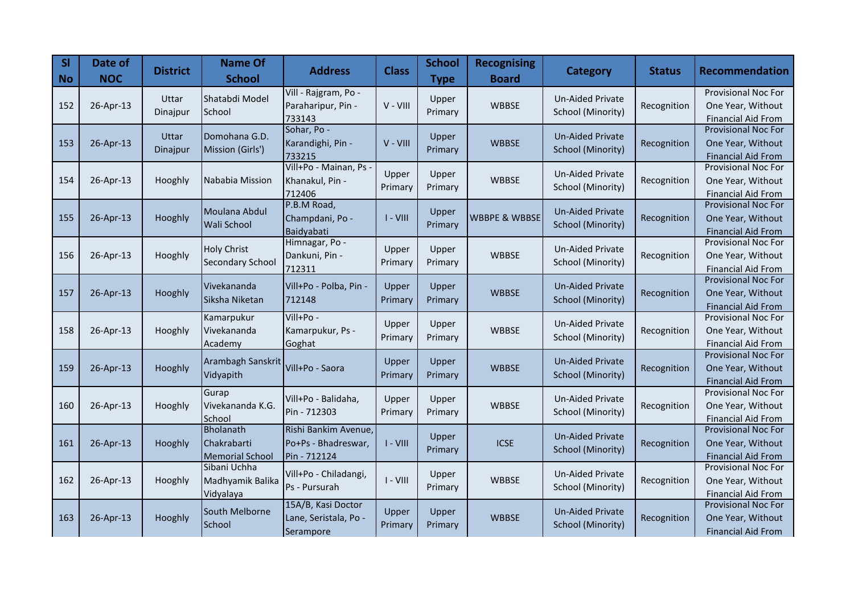| <b>SI</b><br><b>No</b> | Date of<br><b>NOC</b> | <b>District</b>   | <b>Name Of</b><br><b>School</b>                           | <b>Address</b>                                              | <b>Class</b>     | <b>School</b><br><b>Type</b> | <b>Recognising</b><br><b>Board</b> | <b>Category</b>                              | <b>Status</b> | <b>Recommendation</b>                                                        |
|------------------------|-----------------------|-------------------|-----------------------------------------------------------|-------------------------------------------------------------|------------------|------------------------------|------------------------------------|----------------------------------------------|---------------|------------------------------------------------------------------------------|
| 152                    | 26-Apr-13             | Uttar<br>Dinajpur | Shatabdi Model<br>School                                  | Vill - Rajgram, Po -<br>Paraharipur, Pin -<br>733143        | V - VIII         | Upper<br>Primary             | <b>WBBSE</b>                       | <b>Un-Aided Private</b><br>School (Minority) | Recognition   | <b>Provisional Noc For</b><br>One Year, Without<br><b>Financial Aid From</b> |
| 153                    | 26-Apr-13             | Uttar<br>Dinajpur | Domohana G.D.<br>Mission (Girls')                         | Sohar, Po -<br>Karandighi, Pin -<br>733215                  | V - VIII         | Upper<br>Primary             | <b>WBBSE</b>                       | Un-Aided Private<br>School (Minority)        | Recognition   | <b>Provisional Noc For</b><br>One Year, Without<br><b>Financial Aid From</b> |
| 154                    | 26-Apr-13             | Hooghly           | Nababia Mission                                           | Vill+Po - Mainan, Ps<br>Khanakul, Pin -<br>712406           | Upper<br>Primary | Upper<br>Primary             | <b>WBBSE</b>                       | Un-Aided Private<br>School (Minority)        | Recognition   | <b>Provisional Noc For</b><br>One Year, Without<br><b>Financial Aid From</b> |
| 155                    | 26-Apr-13             | Hooghly           | Moulana Abdul<br><b>Wali School</b>                       | P.B.M Road,<br>Champdani, Po -<br>Baidyabati                | $I - VIII$       | Upper<br>Primary             | <b>WBBPE &amp; WBBSE</b>           | <b>Un-Aided Private</b><br>School (Minority) | Recognition   | <b>Provisional Noc For</b><br>One Year, Without<br><b>Financial Aid From</b> |
| 156                    | 26-Apr-13             | Hooghly           | <b>Holy Christ</b><br><b>Secondary School</b>             | Himnagar, Po -<br>Dankuni, Pin -<br>712311                  | Upper<br>Primary | Upper<br>Primary             | <b>WBBSE</b>                       | Un-Aided Private<br>School (Minority)        | Recognition   | <b>Provisional Noc For</b><br>One Year, Without<br><b>Financial Aid From</b> |
| 157                    | 26-Apr-13             | Hooghly           | Vivekananda<br>Siksha Niketan                             | Vill+Po - Polba, Pin -<br>712148                            | Upper<br>Primary | Upper<br>Primary             | <b>WBBSE</b>                       | <b>Un-Aided Private</b><br>School (Minority) | Recognition   | Provisional Noc For<br>One Year, Without<br><b>Financial Aid From</b>        |
| 158                    | 26-Apr-13             | Hooghly           | Kamarpukur<br>Vivekananda<br>Academy                      | $Vill+Po -$<br>Kamarpukur, Ps -<br>Goghat                   | Upper<br>Primary | Upper<br>Primary             | <b>WBBSE</b>                       | <b>Un-Aided Private</b><br>School (Minority) | Recognition   | <b>Provisional Noc For</b><br>One Year, Without<br><b>Financial Aid From</b> |
| 159                    | 26-Apr-13             | Hooghly           | Arambagh Sanskrit<br>Vidyapith                            | Vill+Po - Saora                                             | Upper<br>Primary | Upper<br>Primary             | <b>WBBSE</b>                       | <b>Un-Aided Private</b><br>School (Minority) | Recognition   | <b>Provisional Noc For</b><br>One Year, Without<br><b>Financial Aid From</b> |
| 160                    | 26-Apr-13             | Hooghly           | Gurap<br>Vivekananda K.G.<br>School                       | Vill+Po - Balidaha,<br>Pin - 712303                         | Upper<br>Primary | Upper<br>Primary             | <b>WBBSE</b>                       | Un-Aided Private<br>School (Minority)        | Recognition   | <b>Provisional Noc For</b><br>One Year, Without<br><b>Financial Aid From</b> |
| 161                    | 26-Apr-13             | Hooghly           | <b>Bholanath</b><br>Chakrabarti<br><b>Memorial School</b> | Rishi Bankim Avenue,<br>Po+Ps - Bhadreswar,<br>Pin - 712124 | $I - VIII$       | Upper<br>Primary             | <b>ICSE</b>                        | <b>Un-Aided Private</b><br>School (Minority) | Recognition   | <b>Provisional Noc For</b><br>One Year, Without<br><b>Financial Aid From</b> |
| 162                    | 26-Apr-13             | Hooghly           | Sibani Uchha<br>Madhyamik Balika<br>Vidyalaya             | Vill+Po - Chiladangi,<br>Ps - Pursurah                      | $I - VIII$       | Upper<br>Primary             | <b>WBBSE</b>                       | Un-Aided Private<br>School (Minority)        | Recognition   | <b>Provisional Noc For</b><br>One Year, Without<br><b>Financial Aid From</b> |
| 163                    | 26-Apr-13             | Hooghly           | South Melborne<br>School                                  | 15A/B, Kasi Doctor<br>Lane, Seristala, Po -<br>Serampore    | Upper<br>Primary | Upper<br>Primary             | <b>WBBSE</b>                       | <b>Un-Aided Private</b><br>School (Minority) | Recognition   | Provisional Noc For<br>One Year, Without<br><b>Financial Aid From</b>        |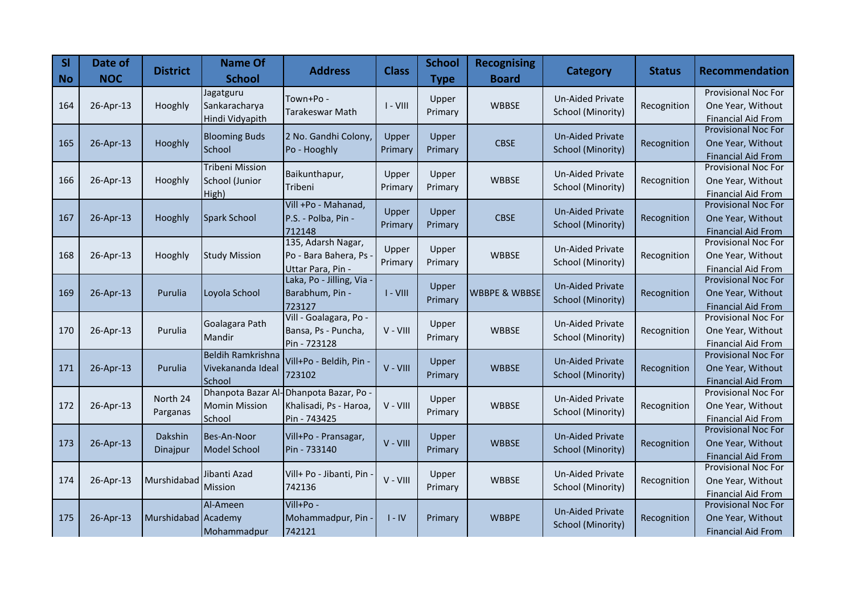| <b>SI</b><br><b>No</b> | Date of<br><b>NOC</b> | <b>District</b>      | <b>Name Of</b><br><b>School</b>                         | <b>Address</b>                                                  | <b>Class</b>     | <b>School</b><br><b>Type</b> | <b>Recognising</b><br><b>Board</b> | <b>Category</b>                              | <b>Status</b> | <b>Recommendation</b>                                                        |
|------------------------|-----------------------|----------------------|---------------------------------------------------------|-----------------------------------------------------------------|------------------|------------------------------|------------------------------------|----------------------------------------------|---------------|------------------------------------------------------------------------------|
| 164                    | 26-Apr-13             | Hooghly              | Jagatguru<br>Sankaracharya<br>Hindi Vidyapith           | Town+Po -<br>Tarakeswar Math                                    | $I - VIII$       | Upper<br>Primary             | <b>WBBSE</b>                       | <b>Un-Aided Private</b><br>School (Minority) | Recognition   | <b>Provisional Noc For</b><br>One Year, Without<br><b>Financial Aid From</b> |
| 165                    | 26-Apr-13             | Hooghly              | <b>Blooming Buds</b><br>School                          | 2 No. Gandhi Colony,<br>Po - Hooghly                            | Upper<br>Primary | Upper<br>Primary             | <b>CBSE</b>                        | <b>Un-Aided Private</b><br>School (Minority) | Recognition   | <b>Provisional Noc For</b><br>One Year, Without<br><b>Financial Aid From</b> |
| 166                    | 26-Apr-13             | Hooghly              | <b>Tribeni Mission</b><br>School (Junior<br>High)       | Baikunthapur,<br>Tribeni                                        | Upper<br>Primary | Upper<br>Primary             | <b>WBBSE</b>                       | Un-Aided Private<br>School (Minority)        | Recognition   | Provisional Noc For<br>One Year, Without<br><b>Financial Aid From</b>        |
| 167                    | 26-Apr-13             | Hooghly              | Spark School                                            | Vill +Po - Mahanad,<br>P.S. - Polba, Pin -<br>712148            | Upper<br>Primary | Upper<br>Primary             | <b>CBSE</b>                        | <b>Un-Aided Private</b><br>School (Minority) | Recognition   | <b>Provisional Noc For</b><br>One Year, Without<br><b>Financial Aid From</b> |
| 168                    | 26-Apr-13             | Hooghly              | <b>Study Mission</b>                                    | 135, Adarsh Nagar,<br>Po - Bara Bahera, Ps<br>Uttar Para, Pin - | Upper<br>Primary | Upper<br>Primary             | <b>WBBSE</b>                       | Un-Aided Private<br>School (Minority)        | Recognition   | <b>Provisional Noc For</b><br>One Year, Without<br><b>Financial Aid From</b> |
| 169                    | 26-Apr-13             | Purulia              | Loyola School                                           | Laka, Po - Jilling, Via -<br>Barabhum, Pin -<br>723127          | $I - VIII$       | Upper<br>Primary             | <b>WBBPE &amp; WBBSE</b>           | <b>Un-Aided Private</b><br>School (Minority) | Recognition   | Provisional Noc For<br>One Year, Without<br><b>Financial Aid From</b>        |
| 170                    | 26-Apr-13             | Purulia              | Goalagara Path<br>Mandir                                | Vill - Goalagara, Po -<br>Bansa, Ps - Puncha,<br>Pin - 723128   | V - VIII         | Upper<br>Primary             | <b>WBBSE</b>                       | <b>Un-Aided Private</b><br>School (Minority) | Recognition   | <b>Provisional Noc For</b><br>One Year, Without<br><b>Financial Aid From</b> |
| 171                    | 26-Apr-13             | Purulia              | <b>Beldih Ramkrishna</b><br>Vivekananda Ideal<br>School | Vill+Po - Beldih, Pin -<br>723102                               | V - VIII         | Upper<br>Primary             | <b>WBBSE</b>                       | <b>Un-Aided Private</b><br>School (Minority) | Recognition   | <b>Provisional Noc For</b><br>One Year, Without<br><b>Financial Aid From</b> |
| 172                    | 26-Apr-13             | North 24<br>Parganas | Dhanpota Bazar Al<br><b>Momin Mission</b><br>School     | Dhanpota Bazar, Po -<br>Khalisadi, Ps - Haroa,<br>Pin - 743425  | V - VIII         | Upper<br>Primary             | <b>WBBSE</b>                       | <b>Un-Aided Private</b><br>School (Minority) | Recognition   | Provisional Noc For<br>One Year, Without<br><b>Financial Aid From</b>        |
| 173                    | 26-Apr-13             | Dakshin<br>Dinajpur  | Bes-An-Noor<br><b>Model School</b>                      | Vill+Po - Pransagar,<br>Pin - 733140                            | V - VIII         | Upper<br>Primary             | <b>WBBSE</b>                       | <b>Un-Aided Private</b><br>School (Minority) | Recognition   | <b>Provisional Noc For</b><br>One Year, Without<br><b>Financial Aid From</b> |
| 174                    | 26-Apr-13             | Murshidabad          | Jibanti Azad<br>Mission                                 | Vill+ Po - Jibanti, Pin<br>742136                               | V - VIII         | Upper<br>Primary             | <b>WBBSE</b>                       | Un-Aided Private<br>School (Minority)        | Recognition   | <b>Provisional Noc For</b><br>One Year, Without<br><b>Financial Aid From</b> |
| 175                    | 26-Apr-13             | Murshidabad Academy  | Al-Ameen<br>Mohammadpur                                 | Vill+Po -<br>Mohammadpur, Pin<br>742121                         | $I - IV$         | Primary                      | <b>WBBPE</b>                       | <b>Un-Aided Private</b><br>School (Minority) | Recognition   | Provisional Noc For<br>One Year, Without<br><b>Financial Aid From</b>        |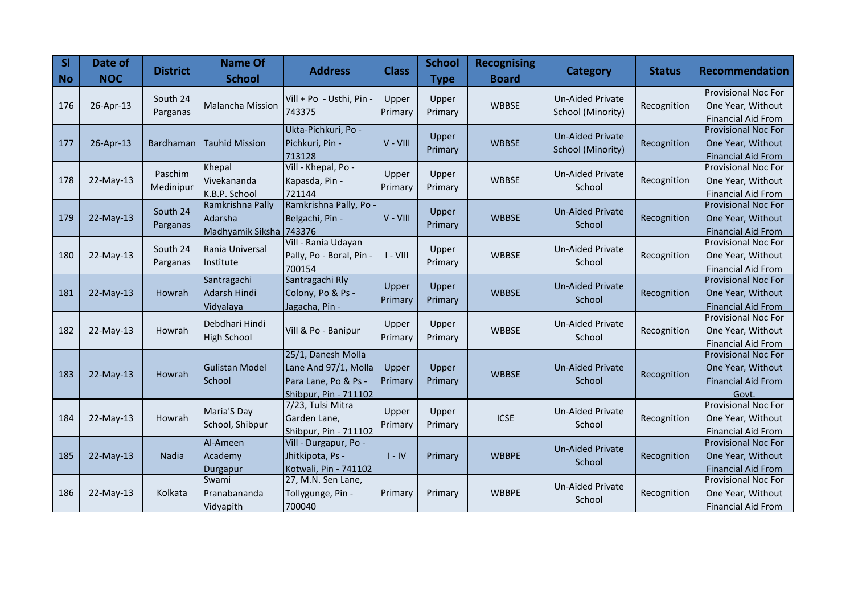| <b>SI</b><br>$\overline{\phantom{a}}$ No | Date of<br><b>NOC</b> | <b>District</b> | <b>Name Of</b><br><b>School</b>      | <b>Address</b>                                | <b>Class</b> | <b>School</b><br><b>Type</b> | <b>Recognising</b><br><b>Board</b> | <b>Category</b>                              | <b>Status</b> | <b>Recommendation</b>                                   |
|------------------------------------------|-----------------------|-----------------|--------------------------------------|-----------------------------------------------|--------------|------------------------------|------------------------------------|----------------------------------------------|---------------|---------------------------------------------------------|
|                                          |                       | South 24        |                                      | Vill + Po - Usthi, Pin                        | Upper        | Upper                        |                                    | <b>Un-Aided Private</b>                      |               | <b>Provisional Noc For</b>                              |
| 176                                      | 26-Apr-13             | Parganas        | <b>Malancha Mission</b>              | 743375                                        | Primary      | Primary                      | <b>WBBSE</b>                       | School (Minority)                            | Recognition   | One Year, Without<br><b>Financial Aid From</b>          |
|                                          |                       |                 |                                      | Ukta-Pichkuri, Po -                           |              |                              |                                    |                                              |               | <b>Provisional Noc For</b>                              |
| 177                                      | 26-Apr-13             | Bardhaman       | <b>Tauhid Mission</b>                | Pichkuri, Pin -                               | $V - VIII$   | Upper<br>Primary             | <b>WBBSE</b>                       | <b>Un-Aided Private</b><br>School (Minority) | Recognition   | One Year, Without                                       |
|                                          |                       |                 |                                      | 713128                                        |              |                              |                                    |                                              |               | <b>Financial Aid From</b>                               |
|                                          |                       | Paschim         | Khepal                               | Vill - Khepal, Po -                           | Upper        | Upper                        |                                    | <b>Un-Aided Private</b>                      |               | <b>Provisional Noc For</b>                              |
| 178                                      | 22-May-13             | Medinipur       | Vivekananda                          | Kapasda, Pin -                                | Primary      | Primary                      | <b>WBBSE</b>                       | School                                       | Recognition   | One Year, Without                                       |
|                                          |                       |                 | K.B.P. School<br>Ramkrishna Pally    | 721144<br>Ramkrishna Pally, Po                |              |                              |                                    |                                              |               | <b>Financial Aid From</b><br><b>Provisional Noc For</b> |
| 179                                      | 22-May-13             | South 24        | Adarsha                              | Belgachi, Pin -                               | $V - VIII$   | Upper                        | <b>WBBSE</b>                       | <b>Un-Aided Private</b>                      | Recognition   | One Year, Without                                       |
|                                          |                       | Parganas        | Madhyamik Siksha 743376              |                                               |              | Primary                      |                                    | School                                       |               | <b>Financial Aid From</b>                               |
|                                          |                       | South 24        | Rania Universal                      | Vill - Rania Udayan                           |              | Upper                        |                                    | <b>Un-Aided Private</b>                      |               | <b>Provisional Noc For</b>                              |
| 180                                      | $22-May-13$           | Parganas        | Institute                            | Pally, Po - Boral, Pin                        | $I - VIII$   | Primary                      | <b>WBBSE</b>                       | School                                       | Recognition   | One Year, Without                                       |
|                                          |                       |                 |                                      | 700154                                        |              |                              |                                    |                                              |               | <b>Financial Aid From</b><br>Provisional Noc For        |
| 181                                      | 22-May-13             | Howrah          | Santragachi<br>Adarsh Hindi          | Santragachi Rly<br>Colony, Po & Ps -          | Upper        | Upper                        | <b>WBBSE</b>                       | <b>Un-Aided Private</b>                      | Recognition   | One Year, Without                                       |
|                                          |                       |                 | Vidyalaya                            | Jagacha, Pin -                                | Primary      | Primary                      |                                    | School                                       |               | <b>Financial Aid From</b>                               |
|                                          |                       |                 |                                      |                                               |              |                              |                                    |                                              |               | <b>Provisional Noc For</b>                              |
| 182                                      | $22$ -May-13          | Howrah          | Debdhari Hindi<br><b>High School</b> | Vill & Po - Banipur                           | Upper        | Upper                        | <b>WBBSE</b>                       | <b>Un-Aided Private</b><br>School            | Recognition   | One Year, Without                                       |
|                                          |                       |                 |                                      |                                               | Primary      | Primary                      |                                    |                                              |               | <b>Financial Aid From</b>                               |
|                                          |                       |                 |                                      | 25/1, Danesh Molla                            |              |                              |                                    |                                              |               | Provisional Noc For                                     |
| 183                                      | 22-May-13             | Howrah          | <b>Gulistan Model</b>                | Lane And 97/1, Molla                          | Upper        | Upper                        | <b>WBBSE</b>                       | <b>Un-Aided Private</b>                      | Recognition   | One Year, Without<br><b>Financial Aid From</b>          |
|                                          |                       |                 | School                               | Para Lane, Po & Ps -<br>Shibpur, Pin - 711102 | Primary      | Primary                      |                                    | School                                       |               | Govt.                                                   |
|                                          |                       |                 |                                      | 7/23, Tulsi Mitra                             |              |                              |                                    |                                              |               | <b>Provisional Noc For</b>                              |
| 184                                      | $22$ -May-13          | Howrah          | Maria'S Day                          | Garden Lane,                                  | Upper        | Upper                        | <b>ICSE</b>                        | <b>Un-Aided Private</b>                      | Recognition   | One Year, Without                                       |
|                                          |                       |                 | School, Shibpur                      | Shibpur, Pin - 711102                         | Primary      | Primary                      |                                    | School                                       |               | <b>Financial Aid From</b>                               |
|                                          |                       |                 | Al-Ameen                             | Vill - Durgapur, Po -                         |              |                              |                                    | <b>Un-Aided Private</b>                      |               | <b>Provisional Noc For</b>                              |
| 185                                      | $22-May-13$           | Nadia           | Academy                              | Jhitkipota, Ps -                              | $I - IV$     | Primary                      | <b>WBBPE</b>                       | School                                       | Recognition   | One Year, Without                                       |
|                                          |                       |                 | Durgapur                             | Kotwali, Pin - 741102                         |              |                              |                                    |                                              |               | <b>Financial Aid From</b>                               |
|                                          |                       | Kolkata         | Swami<br>Pranabananda                | 27, M.N. Sen Lane,                            |              |                              | <b>WBBPE</b>                       | <b>Un-Aided Private</b>                      |               | Provisional Noc For                                     |
| 186                                      | $22$ -May-13          |                 | Vidyapith                            | Tollygunge, Pin -<br>700040                   | Primary      | Primary                      |                                    | School                                       | Recognition   | One Year, Without<br><b>Financial Aid From</b>          |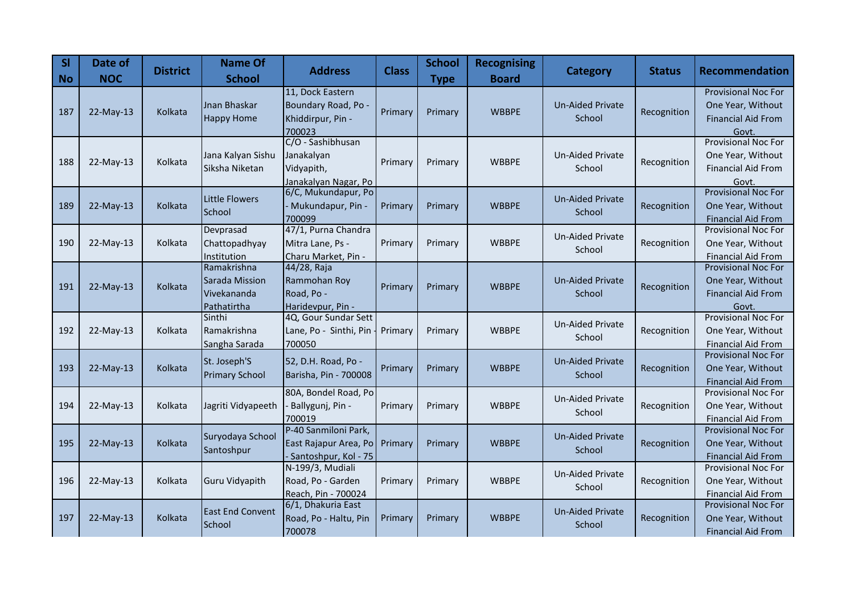| <b>SI</b><br><b>No</b> | Date of<br><b>NOC</b> | <b>District</b> | <b>Name Of</b><br><b>School</b>                             | <b>Address</b>                                                         | <b>Class</b> | <b>School</b><br><b>Type</b> | <b>Recognising</b><br><b>Board</b> | <b>Category</b>                   | <b>Status</b> | <b>Recommendation</b>                                                                 |
|------------------------|-----------------------|-----------------|-------------------------------------------------------------|------------------------------------------------------------------------|--------------|------------------------------|------------------------------------|-----------------------------------|---------------|---------------------------------------------------------------------------------------|
| 187                    | $22-May-13$           | Kolkata         | Jnan Bhaskar<br><b>Happy Home</b>                           | 11, Dock Eastern<br>Boundary Road, Po -<br>Khiddirpur, Pin -<br>700023 | Primary      | Primary                      | <b>WBBPE</b>                       | <b>Un-Aided Private</b><br>School | Recognition   | <b>Provisional Noc For</b><br>One Year, Without<br><b>Financial Aid From</b><br>Govt. |
| 188                    | 22-May-13             | Kolkata         | Jana Kalyan Sishu<br>Siksha Niketan                         | C/O - Sashibhusan<br>Janakalyan<br>Vidyapith,<br>Janakalyan Nagar, Po  | Primary      | Primary                      | <b>WBBPE</b>                       | Un-Aided Private<br>School        | Recognition   | <b>Provisional Noc For</b><br>One Year, Without<br><b>Financial Aid From</b><br>Govt. |
| 189                    | 22-May-13             | Kolkata         | <b>Little Flowers</b><br>School                             | 6/C, Mukundapur, Po<br>Mukundapur, Pin -<br>700099                     | Primary      | Primary                      | <b>WBBPE</b>                       | <b>Un-Aided Private</b><br>School | Recognition   | <b>Provisional Noc For</b><br>One Year, Without<br><b>Financial Aid From</b>          |
| 190                    | 22-May-13             | Kolkata         | Devprasad<br>Chattopadhyay<br>Institution                   | 47/1, Purna Chandra<br>Mitra Lane, Ps -<br>Charu Market, Pin -         | Primary      | Primary                      | <b>WBBPE</b>                       | <b>Un-Aided Private</b><br>School | Recognition   | Provisional Noc For<br>One Year, Without<br><b>Financial Aid From</b>                 |
| 191                    | 22-May-13             | Kolkata         | Ramakrishna<br>Sarada Mission<br>Vivekananda<br>Pathatirtha | 44/28, Raja<br>Rammohan Roy<br>Road, Po -<br>Haridevpur, Pin -         | Primary      | Primary                      | <b>WBBPE</b>                       | <b>Un-Aided Private</b><br>School | Recognition   | <b>Provisional Noc For</b><br>One Year, Without<br><b>Financial Aid From</b><br>Govt. |
| 192                    | 22-May-13             | Kolkata         | Sinthi<br>Ramakrishna<br>Sangha Sarada                      | 4Q, Gour Sundar Sett<br>Lane, Po - Sinthi, Pin<br>700050               | Primary      | Primary                      | <b>WBBPE</b>                       | <b>Un-Aided Private</b><br>School | Recognition   | <b>Provisional Noc For</b><br>One Year, Without<br>Financial Aid From                 |
| 193                    | 22-May-13             | Kolkata         | St. Joseph'S<br><b>Primary School</b>                       | 52, D.H. Road, Po -<br>Barisha, Pin - 700008                           | Primary      | Primary                      | <b>WBBPE</b>                       | <b>Un-Aided Private</b><br>School | Recognition   | <b>Provisional Noc For</b><br>One Year, Without<br><b>Financial Aid From</b>          |
| 194                    | 22-May-13             | Kolkata         | Jagriti Vidyapeeth                                          | 80A, Bondel Road, Po<br>Ballygunj, Pin -<br>700019                     | Primary      | Primary                      | <b>WBBPE</b>                       | Un-Aided Private<br>School        | Recognition   | <b>Provisional Noc For</b><br>One Year, Without<br><b>Financial Aid From</b>          |
| 195                    | $22-May-13$           | Kolkata         | Suryodaya School<br>Santoshpur                              | P-40 Sanmiloni Park,<br>East Rajapur Area, Po<br>Santoshpur, Kol - 75  | Primary      | Primary                      | <b>WBBPE</b>                       | <b>Un-Aided Private</b><br>School | Recognition   | <b>Provisional Noc For</b><br>One Year, Without<br><b>Financial Aid From</b>          |
| 196                    | 22-May-13             | Kolkata         | <b>Guru Vidyapith</b>                                       | N-199/3, Mudiali<br>Road, Po - Garden<br>Reach, Pin - 700024           | Primary      | Primary                      | <b>WBBPE</b>                       | <b>Un-Aided Private</b><br>School | Recognition   | <b>Provisional Noc For</b><br>One Year, Without<br><b>Financial Aid From</b>          |
| 197                    | $22-May-13$           | Kolkata         | <b>East End Convent</b><br>School                           | 6/1, Dhakuria East<br>Road, Po - Haltu, Pin<br>700078                  | Primary      | Primary                      | <b>WBBPE</b>                       | <b>Un-Aided Private</b><br>School | Recognition   | <b>Provisional Noc For</b><br>One Year, Without<br><b>Financial Aid From</b>          |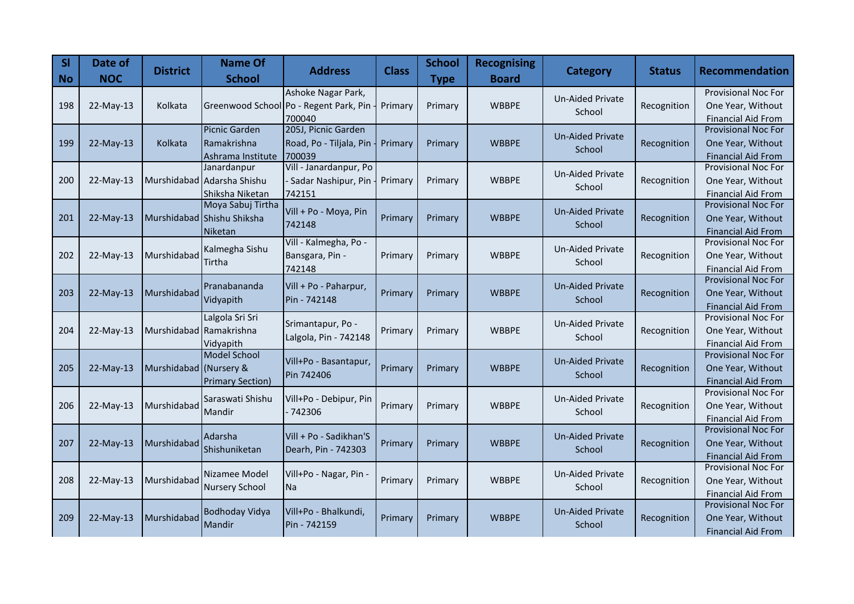| <b>SI</b><br><b>No</b> | Date of<br><b>NOC</b> | <b>District</b>         | <b>Name Of</b><br><b>School</b>  | <b>Address</b>                         | <b>Class</b> | <b>School</b><br><b>Type</b> | <b>Recognising</b><br><b>Board</b> | <b>Category</b>         | <b>Status</b> | <b>Recommendation</b>                                   |
|------------------------|-----------------------|-------------------------|----------------------------------|----------------------------------------|--------------|------------------------------|------------------------------------|-------------------------|---------------|---------------------------------------------------------|
|                        |                       |                         |                                  | Ashoke Nagar Park,                     |              |                              |                                    | <b>Un-Aided Private</b> |               | <b>Provisional Noc For</b>                              |
| 198                    | $22$ -May-13          | Kolkata                 |                                  | Greenwood School Po - Regent Park, Pin | Primary      | Primary                      | <b>WBBPE</b>                       | School                  | Recognition   | One Year, Without                                       |
|                        |                       |                         |                                  | 700040                                 |              |                              |                                    |                         |               | <b>Financial Aid From</b>                               |
|                        |                       |                         | <b>Picnic Garden</b>             | 205J, Picnic Garden                    |              |                              |                                    | <b>Un-Aided Private</b> |               | <b>Provisional Noc For</b>                              |
| 199                    | 22-May-13             | Kolkata                 | Ramakrishna                      | Road, Po - Tiljala, Pin                | Primary      | Primary                      | <b>WBBPE</b>                       | School                  | Recognition   | One Year, Without                                       |
|                        |                       |                         | Ashrama Institute<br>Janardanpur | 700039<br>Vill - Janardanpur, Po       |              |                              |                                    |                         |               | <b>Financial Aid From</b><br><b>Provisional Noc For</b> |
| 200                    | $22$ -May-13          |                         | Murshidabad Adarsha Shishu       | Sadar Nashipur, Pin                    | Primary      | Primary                      | <b>WBBPE</b>                       | <b>Un-Aided Private</b> | Recognition   | One Year, Without                                       |
|                        |                       |                         | Shiksha Niketan                  | 742151                                 |              |                              |                                    | School                  |               | <b>Financial Aid From</b>                               |
|                        |                       |                         | Moya Sabuj Tirtha                |                                        |              |                              |                                    |                         |               | <b>Provisional Noc For</b>                              |
| 201                    | $22$ -May-13          |                         | Murshidabad Shishu Shiksha       | Vill + Po - Moya, Pin                  | Primary      | Primary                      | <b>WBBPE</b>                       | <b>Un-Aided Private</b> | Recognition   | One Year, Without                                       |
|                        |                       |                         | Niketan                          | 742148                                 |              |                              |                                    | School                  |               | <b>Financial Aid From</b>                               |
|                        |                       |                         | Kalmegha Sishu                   | Vill - Kalmegha, Po -                  |              |                              |                                    | <b>Un-Aided Private</b> |               | <b>Provisional Noc For</b>                              |
| 202                    | $22$ -May-13          | Murshidabad             | Tirtha                           | Bansgara, Pin -                        | Primary      | Primary                      | <b>WBBPE</b>                       | School                  | Recognition   | One Year, Without                                       |
|                        |                       |                         |                                  | 742148                                 |              |                              |                                    |                         |               | <b>Financial Aid From</b>                               |
|                        |                       |                         | Pranabananda                     | Vill + Po - Paharpur,                  |              |                              |                                    | <b>Un-Aided Private</b> |               | Provisional Noc For                                     |
| 203                    | 22-May-13             | Murshidabad             | Vidyapith                        | Pin - 742148                           | Primary      | Primary                      | <b>WBBPE</b>                       | School                  | Recognition   | One Year, Without                                       |
|                        |                       |                         |                                  |                                        |              |                              |                                    |                         |               | <b>Financial Aid From</b><br><b>Provisional Noc For</b> |
|                        |                       |                         | Lalgola Sri Sri                  | Srimantapur, Po -                      |              |                              |                                    | <b>Un-Aided Private</b> |               |                                                         |
| 204                    | 22-May-13             | Murshidabad Ramakrishna |                                  | Lalgola, Pin - 742148                  | Primary      | Primary                      | <b>WBBPE</b>                       | School                  | Recognition   | One Year, Without                                       |
|                        |                       |                         | Vidyapith<br><b>Model School</b> |                                        |              |                              |                                    |                         |               | <b>Financial Aid From</b><br><b>Provisional Noc For</b> |
| 205                    | 22-May-13             | Murshidabad (Nursery &  |                                  | Vill+Po - Basantapur,                  | Primary      | Primary                      | <b>WBBPE</b>                       | <b>Un-Aided Private</b> | Recognition   | One Year, Without                                       |
|                        |                       |                         | <b>Primary Section)</b>          | Pin 742406                             |              |                              |                                    | School                  |               | <b>Financial Aid From</b>                               |
|                        |                       |                         |                                  |                                        |              |                              |                                    |                         |               | Provisional Noc For                                     |
| 206                    | 22-May-13             | Murshidabad             | Saraswati Shishu                 | Vill+Po - Debipur, Pin                 | Primary      | Primary                      | <b>WBBPE</b>                       | <b>Un-Aided Private</b> | Recognition   | One Year, Without                                       |
|                        |                       |                         | Mandir                           | 742306                                 |              |                              |                                    | School                  |               | <b>Financial Aid From</b>                               |
|                        |                       |                         | Adarsha                          | Vill + Po - Sadikhan'S                 |              |                              |                                    | <b>Un-Aided Private</b> |               | <b>Provisional Noc For</b>                              |
| 207                    | 22-May-13             | Murshidabad             | Shishuniketan                    | Dearh, Pin - 742303                    | Primary      | Primary                      | <b>WBBPE</b>                       | School                  | Recognition   | One Year, Without                                       |
|                        |                       |                         |                                  |                                        |              |                              |                                    |                         |               | <b>Financial Aid From</b>                               |
|                        |                       |                         | Nizamee Model                    | Vill+Po - Nagar, Pin -                 |              |                              |                                    | <b>Un-Aided Private</b> |               | <b>Provisional Noc For</b>                              |
| 208                    | 22-May-13             | Murshidabad             | <b>Nursery School</b>            | <b>Na</b>                              | Primary      | Primary                      | <b>WBBPE</b>                       | School                  | Recognition   | One Year, Without                                       |
|                        |                       |                         |                                  |                                        |              |                              |                                    |                         |               | <b>Financial Aid From</b><br>Provisional Noc For        |
| 209                    | 22-May-13             | Murshidabad             | <b>Bodhoday Vidya</b>            | Vill+Po - Bhalkundi,                   | Primary      | Primary                      | <b>WBBPE</b>                       | <b>Un-Aided Private</b> | Recognition   | One Year, Without                                       |
|                        |                       |                         | Mandir                           | Pin - 742159                           |              |                              |                                    | School                  |               | <b>Financial Aid From</b>                               |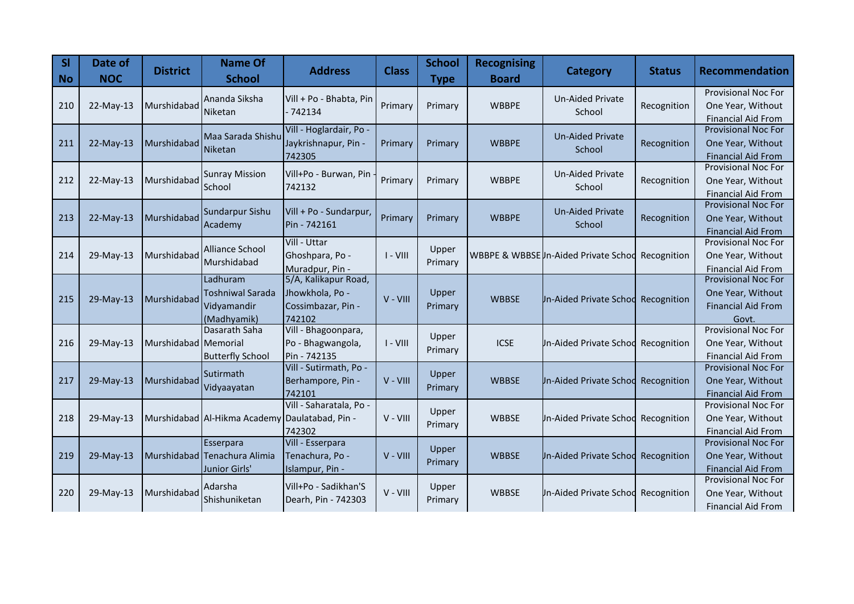| <b>SI</b><br>$\overline{\phantom{a}}$ No | Date of<br><b>NOC</b> | <b>District</b>      | <b>Name Of</b><br><b>School</b>                                   | <b>Address</b>                                                          | <b>Class</b> | <b>School</b><br><b>Type</b> | <b>Recognising</b><br><b>Board</b> | <b>Category</b>                       | <b>Status</b> | <b>Recommendation</b>                                                                 |
|------------------------------------------|-----------------------|----------------------|-------------------------------------------------------------------|-------------------------------------------------------------------------|--------------|------------------------------|------------------------------------|---------------------------------------|---------------|---------------------------------------------------------------------------------------|
| 210                                      | 22-May-13             | Murshidabad          | Ananda Siksha<br>Niketan                                          | Vill + Po - Bhabta, Pin<br>- 742134                                     | Primary      | Primary                      | <b>WBBPE</b>                       | <b>Un-Aided Private</b><br>School     | Recognition   | <b>Provisional Noc For</b><br>One Year, Without<br><b>Financial Aid From</b>          |
| 211                                      | 22-May-13             | Murshidabad          | Maa Sarada Shishu<br>Niketan                                      | Vill - Hoglardair, Po -<br>Jaykrishnapur, Pin -<br>742305               | Primary      | Primary                      | <b>WBBPE</b>                       | <b>Un-Aided Private</b><br>School     | Recognition   | Provisional Noc For<br>One Year, Without<br><b>Financial Aid From</b>                 |
| 212                                      | 22-May-13             | Murshidabad          | <b>Sunray Mission</b><br>School                                   | Vill+Po - Burwan, Pin<br>742132                                         | Primary      | Primary                      | <b>WBBPE</b>                       | <b>Un-Aided Private</b><br>School     | Recognition   | <b>Provisional Noc For</b><br>One Year, Without<br><b>Financial Aid From</b>          |
| 213                                      | 22-May-13             | Murshidabad          | Sundarpur Sishu<br>Academy                                        | Vill + Po - Sundarpur,<br>Pin - 742161                                  | Primary      | Primary                      | <b>WBBPE</b>                       | <b>Un-Aided Private</b><br>School     | Recognition   | Provisional Noc For<br>One Year, Without<br><b>Financial Aid From</b>                 |
| 214                                      | 29-May-13             | Murshidabad          | <b>Alliance School</b><br>Murshidabad                             | Vill - Uttar<br>Ghoshpara, Po -<br>Muradpur, Pin -                      | $I - VIII$   | Upper<br>Primary             |                                    | WBBPE & WBBSE In-Aided Private School | Recognition   | <b>Provisional Noc For</b><br>One Year, Without<br><b>Financial Aid From</b>          |
| 215                                      | 29-May-13             | Murshidabad          | Ladhuram<br><b>Toshniwal Sarada</b><br>Vidyamandir<br>(Madhyamik) | 5/A, Kalikapur Road,<br>Jhowkhola, Po -<br>Cossimbazar, Pin -<br>742102 | $V - VIII$   | Upper<br>Primary             | <b>WBBSE</b>                       | Un-Aided Private Schod Recognition    |               | <b>Provisional Noc For</b><br>One Year, Without<br><b>Financial Aid From</b><br>Govt. |
| 216                                      | 29-May-13             | Murshidabad Memorial | Dasarath Saha<br><b>Butterfly School</b>                          | Vill - Bhagoonpara,<br>Po - Bhagwangola,<br>Pin - 742135                | $I - VIII$   | Upper<br>Primary             | <b>ICSE</b>                        | <b>Jn-Aided Private Schod</b>         | Recognition   | <b>Provisional Noc For</b><br>One Year, Without<br><b>Financial Aid From</b>          |
| 217                                      | 29-May-13             | Murshidabad          | <b>Sutirmath</b><br>Vidyaayatan                                   | Vill - Sutirmath, Po -<br>Berhampore, Pin -<br>742101                   | $V - VIII$   | Upper<br>Primary             | <b>WBBSE</b>                       | <b>Jn-Aided Private Schod</b>         | Recognition   | <b>Provisional Noc For</b><br>One Year, Without<br><b>Financial Aid From</b>          |
| 218                                      | 29-May-13             |                      | Murshidabad Al-Hikma Academy Daulatabad, Pin -                    | Vill - Saharatala, Po -<br>742302                                       | V - VIII     | Upper<br>Primary             | <b>WBBSE</b>                       | <b>Jn-Aided Private Schod</b>         | Recognition   | Provisional Noc For<br>One Year, Without<br><b>Financial Aid From</b>                 |
| 219                                      | 29-May-13             |                      | <b>Esserpara</b><br>Murshidabad Tenachura Alimia<br>Junior Girls' | Vill - Esserpara<br>Tenachura, Po -<br>Islampur, Pin -                  | V - VIII     | Upper<br>Primary             | <b>WBBSE</b>                       | <b>Jn-Aided Private Schod</b>         | Recognition   | <b>Provisional Noc For</b><br>One Year, Without<br><b>Financial Aid From</b>          |
| 220                                      | 29-May-13             | Murshidabad          | Adarsha<br>Shishuniketan                                          | Vill+Po - Sadikhan'S<br>Dearh, Pin - 742303                             | V - VIII     | Upper<br>Primary             | <b>WBBSE</b>                       | <b>Jn-Aided Private Schod</b>         | Recognition   | Provisional Noc For<br>One Year, Without<br><b>Financial Aid From</b>                 |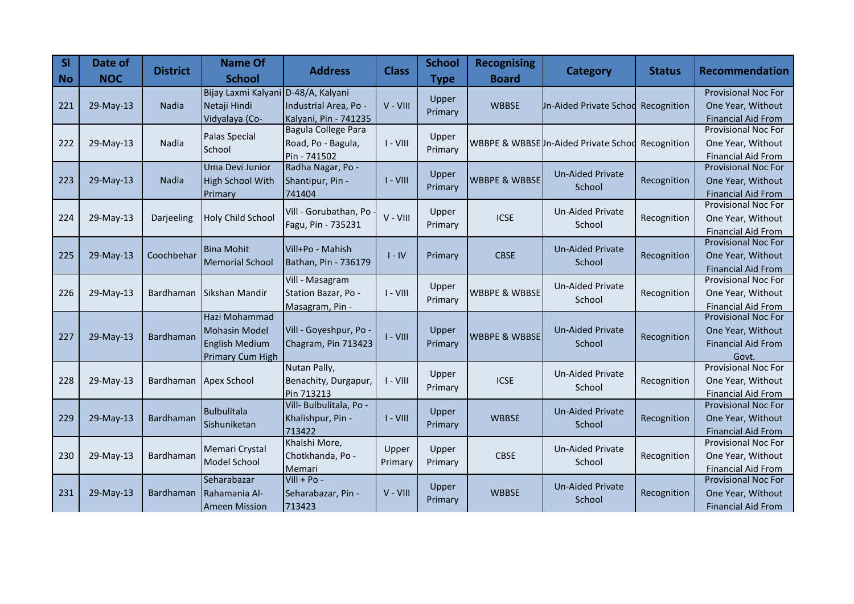| <b>SI</b><br>$\overline{\phantom{a}}$ No | Date of<br><b>NOC</b> | <b>District</b>  | <b>Name Of</b><br><b>School</b>                                                    | <b>Address</b>                                                    | <b>Class</b>     | <b>School</b><br><b>Type</b> | <b>Recognising</b><br><b>Board</b> | <b>Category</b>                     | <b>Status</b> | <b>Recommendation</b>                                                          |
|------------------------------------------|-----------------------|------------------|------------------------------------------------------------------------------------|-------------------------------------------------------------------|------------------|------------------------------|------------------------------------|-------------------------------------|---------------|--------------------------------------------------------------------------------|
| 221                                      | 29-May-13             | <b>Nadia</b>     | Bijay Laxmi Kalyani<br>Netaji Hindi<br>Vidyalaya (Co-                              | D-48/A, Kalyani<br>Industrial Area, Po -<br>Kalyani, Pin - 741235 | V - VIII         | Upper<br>Primary             | <b>WBBSE</b>                       | <b>Jn-Aided Private Schod</b>       | Recognition   | <b>Provisional Noc For</b><br>One Year, Without<br><b>Financial Aid From</b>   |
| 222                                      | 29-May-13             | Nadia            | Palas Special<br>School                                                            | Bagula College Para<br>Road, Po - Bagula,<br>Pin - 741502         | $I - VIII$       | Upper<br>Primary             |                                    | WBBPE & WBBSEUn-Aided Private Schod | Recognition   | <b>Provisional Noc For</b><br>One Year, Without<br><b>Financial Aid From</b>   |
| 223                                      | 29-May-13             | <b>Nadia</b>     | Uma Devi Junior<br><b>High School With</b><br>Primary                              | Radha Nagar, Po -<br>Shantipur, Pin -<br>741404                   | $I - VIII$       | Upper<br>Primary             | <b>WBBPE &amp; WBBSE</b>           | <b>Un-Aided Private</b><br>School   | Recognition   | Provisional Noc For<br>One Year, Without<br><b>Financial Aid From</b>          |
| 224                                      | 29-May-13             | Darjeeling       | <b>Holy Child School</b>                                                           | Vill - Gorubathan, Po<br>Fagu, Pin - 735231                       | $V - VIII$       | Upper<br>Primary             | <b>ICSE</b>                        | <b>Un-Aided Private</b><br>School   | Recognition   | <b>Provisional Noc For</b><br>One Year, Without<br><b>Financial Aid From</b>   |
| 225                                      | 29-May-13             | Coochbehar       | <b>Bina Mohit</b><br><b>Memorial School</b>                                        | Vill+Po - Mahish<br>Bathan, Pin - 736179                          | $I - IV$         | Primary                      | <b>CBSE</b>                        | <b>Un-Aided Private</b><br>School   | Recognition   | <b>Provisional Noc For</b><br>One Year, Without<br><b>Financial Aid From</b>   |
| 226                                      | 29-May-13             | Bardhaman        | Sikshan Mandir                                                                     | Vill - Masagram<br>Station Bazar, Po -<br>Masagram, Pin -         | $I - VIII$       | Upper<br>Primary             | <b>WBBPE &amp; WBBSE</b>           | Un-Aided Private<br>School          | Recognition   | Provisional Noc For<br>One Year, Without<br><b>Financial Aid From</b>          |
| 227                                      | 29-May-13             | Bardhaman        | Hazi Mohammad<br><b>Mohasin Model</b><br><b>English Medium</b><br>Primary Cum High | Vill - Goyeshpur, Po<br>Chagram, Pin 713423                       | $I - VIII$       | Upper<br>Primary             | <b>WBBPE &amp; WBBSE</b>           | <b>Un-Aided Private</b><br>School   | Recognition   | Provisional Noc For<br>One Year, Without<br><b>Financial Aid From</b><br>Govt. |
| 228                                      | 29-May-13             | Bardhaman        | Apex School                                                                        | Nutan Pally,<br>Benachity, Durgapur,<br>Pin 713213                | $I - VIII$       | Upper<br>Primary             | <b>ICSE</b>                        | <b>Un-Aided Private</b><br>School   | Recognition   | <b>Provisional Noc For</b><br>One Year, Without<br><b>Financial Aid From</b>   |
| 229                                      | 29-May-13             | <b>Bardhaman</b> | <b>Bulbulitala</b><br>Sishuniketan                                                 | Vill- Bulbulitala, Po -<br>Khalishpur, Pin -<br>713422            | $I - VIII$       | Upper<br>Primary             | <b>WBBSE</b>                       | <b>Un-Aided Private</b><br>School   | Recognition   | <b>Provisional Noc For</b><br>One Year, Without<br><b>Financial Aid From</b>   |
| 230                                      | 29-May-13             | Bardhaman        | Memari Crystal<br>Model School                                                     | Khalshi More,<br>Chotkhanda, Po -<br>Memari                       | Upper<br>Primary | Upper<br>Primary             | <b>CBSE</b>                        | <b>Un-Aided Private</b><br>School   | Recognition   | <b>Provisional Noc For</b><br>One Year, Without<br><b>Financial Aid From</b>   |
| 231                                      | 29-May-13             | Bardhaman        | Seharabazar<br><b>Rahamania Al-</b><br><b>Ameen Mission</b>                        | $Vill + Po -$<br>Seharabazar, Pin -<br>713423                     | $V - VIII$       | Upper<br>Primary             | <b>WBBSE</b>                       | <b>Un-Aided Private</b><br>School   | Recognition   | Provisional Noc For<br>One Year, Without<br><b>Financial Aid From</b>          |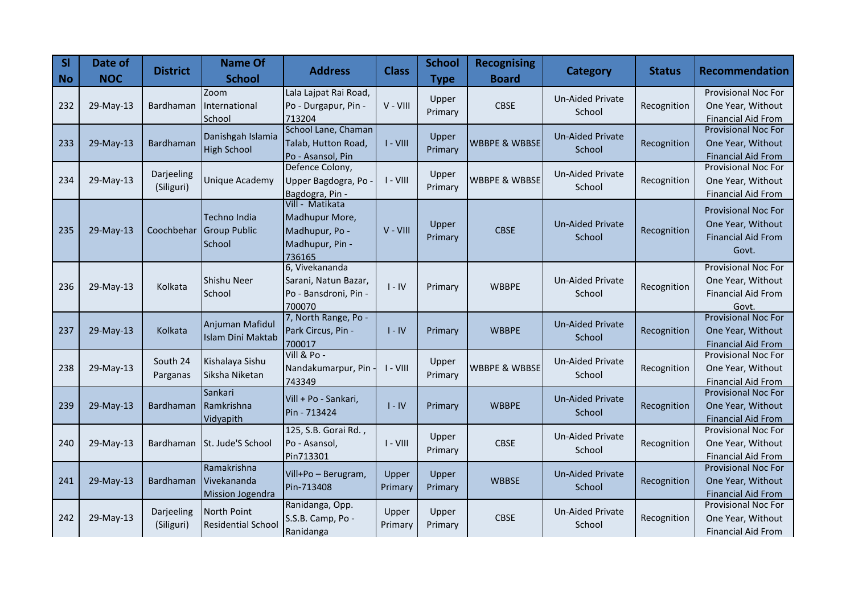| SI<br><b>No</b> | Date of<br><b>NOC</b> | <b>District</b>          | <b>Name Of</b><br><b>School</b>                       | <b>Address</b>                                                                   | <b>Class</b>     | <b>School</b><br><b>Type</b> | <b>Recognising</b><br><b>Board</b> | <b>Category</b>                   | <b>Status</b> | <b>Recommendation</b>                                                                 |
|-----------------|-----------------------|--------------------------|-------------------------------------------------------|----------------------------------------------------------------------------------|------------------|------------------------------|------------------------------------|-----------------------------------|---------------|---------------------------------------------------------------------------------------|
| 232             | 29-May-13             | Bardhaman                | Zoom<br>International<br>School                       | Lala Lajpat Rai Road,<br>Po - Durgapur, Pin -<br>713204                          | V - VIII         | Upper<br>Primary             | <b>CBSE</b>                        | <b>Un-Aided Private</b><br>School | Recognition   | <b>Provisional Noc For</b><br>One Year, Without<br><b>Financial Aid From</b>          |
| 233             | 29-May-13             | Bardhaman                | Danishgah Islamia<br><b>High School</b>               | School Lane, Chaman<br>Talab, Hutton Road,<br>Po - Asansol, Pin                  | $I - VIII$       | Upper<br>Primary             | <b>WBBPE &amp; WBBSE</b>           | <b>Un-Aided Private</b><br>School | Recognition   | <b>Provisional Noc For</b><br>One Year, Without<br><b>Financial Aid From</b>          |
| 234             | 29-May-13             | Darjeeling<br>(Siliguri) | Unique Academy                                        | Defence Colony,<br>Upper Bagdogra, Po<br>Bagdogra, Pin -                         | $I - VIII$       | Upper<br>Primary             | <b>WBBPE &amp; WBBSE</b>           | <b>Un-Aided Private</b><br>School | Recognition   | <b>Provisional Noc For</b><br>One Year, Without<br><b>Financial Aid From</b>          |
| 235             | 29-May-13             | Coochbehar               | Techno India<br><b>Group Public</b><br>School         | Vill - Matikata<br>Madhupur More,<br>Madhupur, Po -<br>Madhupur, Pin -<br>736165 | V - VIII         | Upper<br>Primary             | <b>CBSE</b>                        | <b>Un-Aided Private</b><br>School | Recognition   | <b>Provisional Noc For</b><br>One Year, Without<br><b>Financial Aid From</b><br>Govt. |
| 236             | 29-May-13             | Kolkata                  | Shishu Neer<br>School                                 | 6, Vivekananda<br>Sarani, Natun Bazar,<br>Po - Bansdroni, Pin -<br>700070        | $I - IV$         | Primary                      | <b>WBBPE</b>                       | <b>Un-Aided Private</b><br>School | Recognition   | Provisional Noc For<br>One Year, Without<br><b>Financial Aid From</b><br>Govt.        |
| 237             | 29-May-13             | Kolkata                  | Anjuman Mafidul<br><b>Islam Dini Maktab</b>           | 7, North Range, Po -<br>Park Circus, Pin -<br>700017                             | $I - IV$         | Primary                      | <b>WBBPE</b>                       | <b>Un-Aided Private</b><br>School | Recognition   | <b>Provisional Noc For</b><br>One Year, Without<br><b>Financial Aid From</b>          |
| 238             | 29-May-13             | South 24<br>Parganas     | Kishalaya Sishu<br>Siksha Niketan                     | Vill & Po -<br>Nandakumarpur, Pin<br>743349                                      | $I - VIII$       | Upper<br>Primary             | <b>WBBPE &amp; WBBSE</b>           | Un-Aided Private<br>School        | Recognition   | <b>Provisional Noc For</b><br>One Year, Without<br><b>Financial Aid From</b>          |
| 239             | 29-May-13             | Bardhaman                | Sankari<br>Ramkrishna<br>Vidyapith                    | Vill + Po - Sankari,<br>Pin - 713424                                             | $I - IV$         | Primary                      | <b>WBBPE</b>                       | <b>Un-Aided Private</b><br>School | Recognition   | Provisional Noc For<br>One Year, Without<br><b>Financial Aid From</b>                 |
| 240             | 29-May-13             | Bardhaman                | St. Jude'S School                                     | 125, S.B. Gorai Rd.,<br>Po - Asansol,<br>Pin713301                               | $I - VIII$       | Upper<br>Primary             | <b>CBSE</b>                        | <b>Un-Aided Private</b><br>School | Recognition   | Provisional Noc For<br>One Year, Without<br><b>Financial Aid From</b>                 |
| 241             | 29-May-13             | Bardhaman                | Ramakrishna<br>Vivekananda<br><b>Mission Jogendra</b> | Vill+Po - Berugram,<br>Pin-713408                                                | Upper<br>Primary | Upper<br>Primary             | <b>WBBSE</b>                       | <b>Un-Aided Private</b><br>School | Recognition   | <b>Provisional Noc For</b><br>One Year, Without<br><b>Financial Aid From</b>          |
| 242             | 29-May-13             | Darjeeling<br>(Siliguri) | North Point<br><b>Residential School</b>              | Ranidanga, Opp.<br>S.S.B. Camp, Po -<br>Ranidanga                                | Upper<br>Primary | Upper<br>Primary             | <b>CBSE</b>                        | Un-Aided Private<br>School        | Recognition   | <b>Provisional Noc For</b><br>One Year, Without<br><b>Financial Aid From</b>          |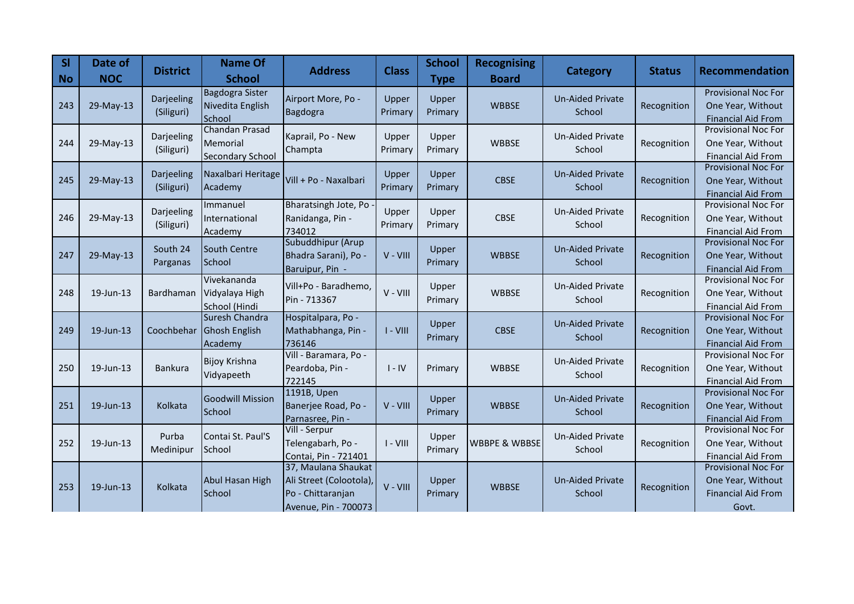| <b>SI</b><br><b>No</b> | Date of<br><b>NOC</b> | <b>District</b>          | <b>Name Of</b><br><b>School</b>                              | <b>Address</b>                                                                              | <b>Class</b>     | <b>School</b><br><b>Type</b> | <b>Recognising</b><br><b>Board</b> | <b>Category</b>                   | <b>Status</b> | <b>Recommendation</b>                                                                 |
|------------------------|-----------------------|--------------------------|--------------------------------------------------------------|---------------------------------------------------------------------------------------------|------------------|------------------------------|------------------------------------|-----------------------------------|---------------|---------------------------------------------------------------------------------------|
| 243                    | 29-May-13             | Darjeeling<br>(Siliguri) | <b>Bagdogra Sister</b><br>Nivedita English<br>School         | Airport More, Po -<br>Bagdogra                                                              | Upper<br>Primary | Upper<br>Primary             | <b>WBBSE</b>                       | <b>Un-Aided Private</b><br>School | Recognition   | <b>Provisional Noc For</b><br>One Year, Without<br><b>Financial Aid From</b>          |
| 244                    | 29-May-13             | Darjeeling<br>(Siliguri) | <b>Chandan Prasad</b><br>Memorial<br><b>Secondary School</b> | Kaprail, Po - New<br>Champta                                                                | Upper<br>Primary | Upper<br>Primary             | <b>WBBSE</b>                       | <b>Un-Aided Private</b><br>School | Recognition   | <b>Provisional Noc For</b><br>One Year, Without<br><b>Financial Aid From</b>          |
| 245                    | 29-May-13             | Darjeeling<br>(Siliguri) | Naxalbari Heritage<br>Academy                                | Vill + Po - Naxalbari                                                                       | Upper<br>Primary | Upper<br>Primary             | <b>CBSE</b>                        | <b>Un-Aided Private</b><br>School | Recognition   | <b>Provisional Noc For</b><br>One Year, Without<br><b>Financial Aid From</b>          |
| 246                    | 29-May-13             | Darjeeling<br>(Siliguri) | Immanuel<br>International<br>Academy                         | Bharatsingh Jote, Po<br>Ranidanga, Pin -<br>734012                                          | Upper<br>Primary | Upper<br>Primary             | <b>CBSE</b>                        | <b>Un-Aided Private</b><br>School | Recognition   | Provisional Noc For<br>One Year, Without<br><b>Financial Aid From</b>                 |
| 247                    | 29-May-13             | South 24<br>Parganas     | South Centre<br><b>School</b>                                | Subuddhipur (Arup<br>Bhadra Sarani), Po -<br>Baruipur, Pin -                                | V - VIII         | Upper<br>Primary             | <b>WBBSE</b>                       | <b>Un-Aided Private</b><br>School | Recognition   | Provisional Noc For<br>One Year, Without<br><b>Financial Aid From</b>                 |
| 248                    | 19-Jun-13             | Bardhaman                | Vivekananda<br>Vidyalaya High<br>School (Hindi               | Vill+Po - Baradhemo,<br>Pin - 713367                                                        | $V - VIII$       | Upper<br>Primary             | <b>WBBSE</b>                       | <b>Un-Aided Private</b><br>School | Recognition   | Provisional Noc For<br>One Year, Without<br><b>Financial Aid From</b>                 |
| 249                    | 19-Jun-13             | Coochbehar               | Suresh Chandra<br><b>Ghosh English</b><br>Academy            | Hospitalpara, Po -<br>Mathabhanga, Pin -<br>736146                                          | $I - VIII$       | Upper<br>Primary             | <b>CBSE</b>                        | <b>Un-Aided Private</b><br>School | Recognition   | Provisional Noc For<br>One Year, Without<br><b>Financial Aid From</b>                 |
| 250                    | 19-Jun-13             | <b>Bankura</b>           | <b>Bijoy Krishna</b><br>Vidyapeeth                           | Vill - Baramara, Po -<br>Peardoba, Pin -<br>722145                                          | $I - IV$         | Primary                      | <b>WBBSE</b>                       | <b>Un-Aided Private</b><br>School | Recognition   | <b>Provisional Noc For</b><br>One Year, Without<br><b>Financial Aid From</b>          |
| 251                    | 19-Jun-13             | Kolkata                  | <b>Goodwill Mission</b><br>School                            | 1191B, Upen<br>Banerjee Road, Po -<br>Parnasree, Pin -                                      | V - VIII         | Upper<br>Primary             | <b>WBBSE</b>                       | <b>Un-Aided Private</b><br>School | Recognition   | <b>Provisional Noc For</b><br>One Year, Without<br><b>Financial Aid From</b>          |
| 252                    | 19-Jun-13             | Purba<br>Medinipur       | Contai St. Paul'S<br>School                                  | Vill - Serpur<br>Telengabarh, Po -<br>Contai, Pin - 721401                                  | $I - VIII$       | Upper<br>Primary             | <b>WBBPE &amp; WBBSE</b>           | <b>Un-Aided Private</b><br>School | Recognition   | <b>Provisional Noc For</b><br>One Year, Without<br><b>Financial Aid From</b>          |
| 253                    | 19-Jun-13             | Kolkata                  | Abul Hasan High<br>School                                    | 37, Maulana Shaukat<br>Ali Street (Colootola),<br>Po - Chittaranjan<br>Avenue, Pin - 700073 | V - VIII         | Upper<br>Primary             | <b>WBBSE</b>                       | <b>Un-Aided Private</b><br>School | Recognition   | <b>Provisional Noc For</b><br>One Year, Without<br><b>Financial Aid From</b><br>Govt. |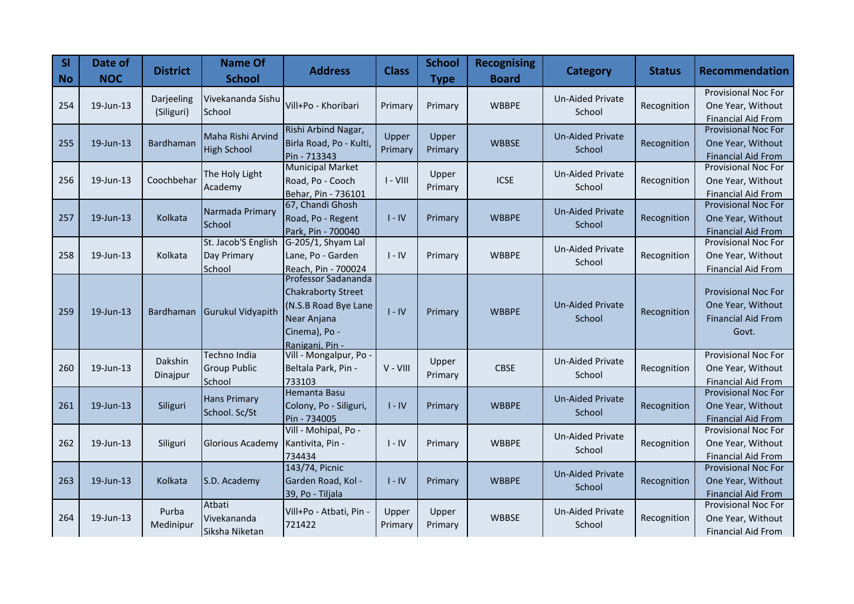| <b>SI</b><br><b>No</b> | Date of<br><b>NOC</b> | <b>District</b>          | <b>Name Of</b><br><b>School</b>                      | <b>Address</b>                                                                                                              | <b>Class</b>     | <b>School</b><br><b>Type</b> | <b>Recognising</b><br><b>Board</b> | <b>Category</b>                   | <b>Status</b> | <b>Recommendation</b>                                                                 |
|------------------------|-----------------------|--------------------------|------------------------------------------------------|-----------------------------------------------------------------------------------------------------------------------------|------------------|------------------------------|------------------------------------|-----------------------------------|---------------|---------------------------------------------------------------------------------------|
| 254                    | 19-Jun-13             | Darjeeling<br>(Siliguri) | Vivekananda Sishu<br>School                          | Vill+Po - Khoribari                                                                                                         | Primary          | Primary                      | <b>WBBPE</b>                       | <b>Un-Aided Private</b><br>School | Recognition   | <b>Provisional Noc For</b><br>One Year, Without<br><b>Financial Aid From</b>          |
| 255                    | $19$ -Jun-13          | <b>Bardhaman</b>         | Maha Rishi Arvind<br><b>High School</b>              | Rishi Arbind Nagar,<br>Birla Road, Po - Kulti,<br>Pin - 713343                                                              | Upper<br>Primary | Upper<br>Primary             | <b>WBBSE</b>                       | <b>Un-Aided Private</b><br>School | Recognition   | <b>Provisional Noc For</b><br>One Year, Without<br><b>Financial Aid From</b>          |
| 256                    | 19-Jun-13             | Coochbehar               | The Holy Light<br>Academy                            | <b>Municipal Market</b><br>Road, Po - Cooch<br>Behar, Pin - 736101                                                          | $I - VIII$       | Upper<br>Primary             | <b>ICSE</b>                        | <b>Un-Aided Private</b><br>School | Recognition   | <b>Provisional Noc For</b><br>One Year, Without<br><b>Financial Aid From</b>          |
| 257                    | 19-Jun-13             | Kolkata                  | Narmada Primary<br>School                            | 67, Chandi Ghosh<br>Road, Po - Regent<br>Park, Pin - 700040                                                                 | $I - IV$         | Primary                      | <b>WBBPE</b>                       | <b>Un-Aided Private</b><br>School | Recognition   | Provisional Noc For<br>One Year, Without<br><b>Financial Aid From</b>                 |
| 258                    | 19-Jun-13             | Kolkata                  | St. Jacob'S English<br>Day Primary<br>School         | G-205/1, Shyam Lal<br>Lane, Po - Garden<br>Reach, Pin - 700024                                                              | $I - IV$         | Primary                      | <b>WBBPE</b>                       | Un-Aided Private<br>School        | Recognition   | <b>Provisional Noc For</b><br>One Year, Without<br><b>Financial Aid From</b>          |
| 259                    | 19-Jun-13             | Bardhaman                | <b>Gurukul Vidyapith</b>                             | Professor Sadananda<br><b>Chakraborty Street</b><br>(N.S.B Road Bye Lane<br>Near Anjana<br>Cinema), Po -<br>Ranigani, Pin - | $I - IV$         | Primary                      | <b>WBBPE</b>                       | <b>Un-Aided Private</b><br>School | Recognition   | <b>Provisional Noc For</b><br>One Year, Without<br><b>Financial Aid From</b><br>Govt. |
| 260                    | 19-Jun-13             | Dakshin<br>Dinajpur      | <b>Techno India</b><br><b>Group Public</b><br>School | Vill - Mongalpur, Po<br>Beltala Park, Pin -<br>733103                                                                       | V - VIII         | Upper<br>Primary             | <b>CBSE</b>                        | Un-Aided Private<br>School        | Recognition   | <b>Provisional Noc For</b><br>One Year, Without<br><b>Financial Aid From</b>          |
| 261                    | 19-Jun-13             | Siliguri                 | <b>Hans Primary</b><br>School. Sc/St                 | Hemanta Basu<br>Colony, Po - Siliguri,<br>Pin - 734005                                                                      | $I - IV$         | Primary                      | <b>WBBPE</b>                       | <b>Un-Aided Private</b><br>School | Recognition   | <b>Provisional Noc For</b><br>One Year, Without<br><b>Financial Aid From</b>          |
| 262                    | 19-Jun-13             | Siliguri                 | Glorious Academy                                     | Vill - Mohipal, Po -<br>Kantivita, Pin -<br>734434                                                                          | $I - IV$         | Primary                      | <b>WBBPE</b>                       | <b>Un-Aided Private</b><br>School | Recognition   | Provisional Noc For<br>One Year, Without<br><b>Financial Aid From</b>                 |
| 263                    | 19-Jun-13             | Kolkata                  | S.D. Academy                                         | 143/74, Picnic<br>Garden Road, Kol -<br>39, Po - Tiljala                                                                    | $I - IV$         | Primary                      | <b>WBBPE</b>                       | <b>Un-Aided Private</b><br>School | Recognition   | <b>Provisional Noc For</b><br>One Year, Without<br><b>Financial Aid From</b>          |
| 264                    | 19-Jun-13             | Purba<br>Medinipur       | Atbati<br>Vivekananda<br>Siksha Niketan              | Vill+Po - Atbati, Pin -<br>721422                                                                                           | Upper<br>Primary | Upper<br>Primary             | <b>WBBSE</b>                       | Un-Aided Private<br>School        | Recognition   | <b>Provisional Noc For</b><br>One Year, Without<br><b>Financial Aid From</b>          |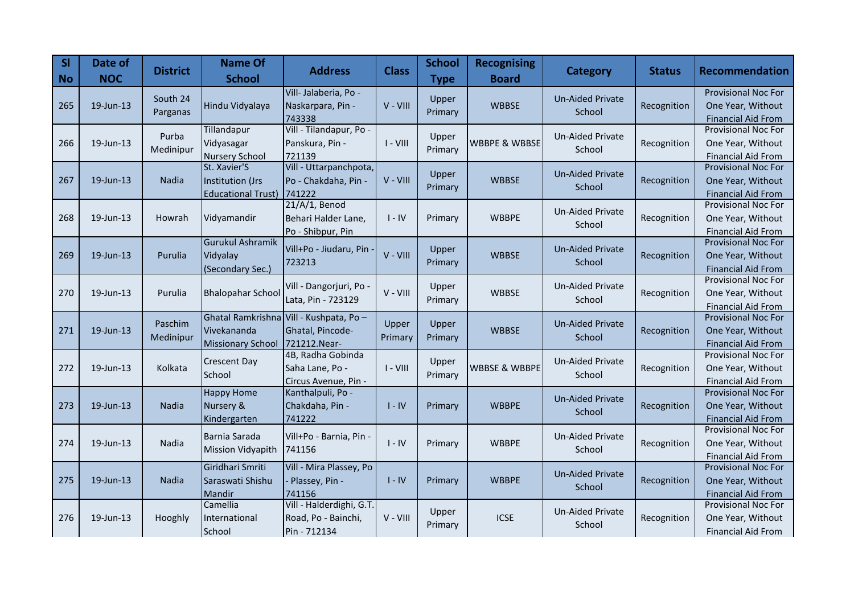| SI<br><b>No</b> | Date of<br><b>NOC</b> | <b>District</b> | <b>Name Of</b><br><b>School</b>       | <b>Address</b>                          | <b>Class</b> | <b>School</b><br><b>Type</b> | <b>Recognising</b><br><b>Board</b> | <b>Category</b>         | <b>Status</b> | Recommendation                                          |
|-----------------|-----------------------|-----------------|---------------------------------------|-----------------------------------------|--------------|------------------------------|------------------------------------|-------------------------|---------------|---------------------------------------------------------|
|                 |                       | South 24        |                                       | Vill-Jalaberia, Po -                    |              | Upper                        |                                    | <b>Un-Aided Private</b> |               | Provisional Noc For                                     |
| 265             | 19-Jun-13             | Parganas        | Hindu Vidyalaya                       | Naskarpara, Pin -                       | V - VIII     | Primary                      | <b>WBBSE</b>                       | School                  | Recognition   | One Year, Without                                       |
|                 |                       |                 |                                       | 743338                                  |              |                              |                                    |                         |               | <b>Financial Aid From</b>                               |
|                 |                       | Purba           | Tillandapur                           | Vill - Tilandapur, Po -                 |              | Upper                        |                                    | <b>Un-Aided Private</b> |               | <b>Provisional Noc For</b>                              |
| 266             | 19-Jun-13             | Medinipur       | Vidyasagar                            | Panskura, Pin -                         | $I - VIII$   | Primary                      | <b>WBBPE &amp; WBBSE</b>           | School                  | Recognition   | One Year, Without                                       |
|                 |                       |                 | <b>Nursery School</b><br>St. Xavier'S | 721139<br>Vill - Uttarpanchpota,        |              |                              |                                    |                         |               | <b>Financial Aid From</b><br><b>Provisional Noc For</b> |
| 267             | 19-Jun-13             | Nadia           | Institution (Jrs                      | Po - Chakdaha, Pin -                    | V - VIII     | Upper                        | <b>WBBSE</b>                       | <b>Un-Aided Private</b> | Recognition   | One Year, Without                                       |
|                 |                       |                 | <b>Educational Trust)</b>             | 741222                                  |              | Primary                      |                                    | School                  |               | <b>Financial Aid From</b>                               |
|                 |                       |                 |                                       | $21/A/1$ , Benod                        |              |                              |                                    |                         |               | Provisional Noc For                                     |
| 268             | 19-Jun-13             | Howrah          | Vidyamandir                           | Behari Halder Lane,                     | $I - IV$     | Primary                      | <b>WBBPE</b>                       | <b>Un-Aided Private</b> | Recognition   | One Year, Without                                       |
|                 |                       |                 |                                       | Po - Shibpur, Pin                       |              |                              |                                    | School                  |               | <b>Financial Aid From</b>                               |
|                 |                       |                 | <b>Gurukul Ashramik</b>               | Vill+Po - Jiudaru, Pin                  |              | Upper                        |                                    | <b>Un-Aided Private</b> |               | <b>Provisional Noc For</b>                              |
| 269             | 19-Jun-13             | Purulia         | Vidyalay                              | 723213                                  | V - VIII     | Primary                      | <b>WBBSE</b>                       | School                  | Recognition   | One Year, Without                                       |
|                 |                       |                 | (Secondary Sec.)                      |                                         |              |                              |                                    |                         |               | <b>Financial Aid From</b>                               |
|                 |                       |                 |                                       | Vill - Dangorjuri, Po -                 |              | Upper                        |                                    | <b>Un-Aided Private</b> |               | <b>Provisional Noc For</b>                              |
| 270             | 19-Jun-13             | Purulia         | <b>Bhalopahar School</b>              | Lata, Pin - 723129                      | V - VIII     | Primary                      | <b>WBBSE</b>                       | School                  | Recognition   | One Year, Without                                       |
|                 |                       |                 |                                       | Ghatal Ramkrishna Vill - Kushpata, Po - |              |                              |                                    |                         |               | <b>Financial Aid From</b><br><b>Provisional Noc For</b> |
| 271             | 19-Jun-13             | Paschim         | Vivekananda                           | Ghatal, Pincode-                        | Upper        | Upper                        | <b>WBBSE</b>                       | <b>Un-Aided Private</b> | Recognition   | One Year, Without                                       |
|                 |                       | Medinipur       | <b>Missionary School</b>              | 721212.Near-                            | Primary      | Primary                      |                                    | School                  |               | <b>Financial Aid From</b>                               |
|                 |                       |                 |                                       | 4B, Radha Gobinda                       |              |                              |                                    |                         |               | Provisional Noc For                                     |
| 272             | 19-Jun-13             | Kolkata         | <b>Crescent Day</b>                   | Saha Lane, Po -                         | $I - VIII$   | Upper                        | <b>WBBSE &amp; WBBPE</b>           | <b>Un-Aided Private</b> | Recognition   | One Year, Without                                       |
|                 |                       |                 | School                                | Circus Avenue, Pin -                    |              | Primary                      |                                    | School                  |               | <b>Financial Aid From</b>                               |
|                 |                       |                 | <b>Happy Home</b>                     | Kanthalpuli, Po -                       |              |                              |                                    |                         |               | Provisional Noc For                                     |
| 273             | 19-Jun-13             | Nadia           | Nursery &                             | Chakdaha, Pin -                         | $I - IV$     | Primary                      | <b>WBBPE</b>                       | <b>Un-Aided Private</b> | Recognition   | One Year, Without                                       |
|                 |                       |                 | Kindergarten                          | 741222                                  |              |                              |                                    | School                  |               | <b>Financial Aid From</b>                               |
|                 |                       |                 | Barnia Sarada                         | Vill+Po - Barnia, Pin -                 |              |                              |                                    | <b>Un-Aided Private</b> |               | <b>Provisional Noc For</b>                              |
| 274             | 19-Jun-13             | <b>Nadia</b>    | <b>Mission Vidyapith</b>              | 741156                                  | $I - IV$     | Primary                      | <b>WBBPE</b>                       | School                  | Recognition   | One Year, Without                                       |
|                 |                       |                 |                                       |                                         |              |                              |                                    |                         |               | <b>Financial Aid From</b>                               |
|                 |                       |                 | Giridhari Smriti                      | Vill - Mira Plassey, Po                 |              |                              |                                    | <b>Un-Aided Private</b> |               | Provisional Noc For                                     |
| 275             | 19-Jun-13             | Nadia           | Saraswati Shishu                      | Plassey, Pin -                          | $I - IV$     | Primary                      | <b>WBBPE</b>                       | School                  | Recognition   | One Year, Without                                       |
|                 |                       |                 | Mandir<br>Camellia                    | 741156<br>Vill - Halderdighi, G.T.      |              |                              |                                    |                         |               | <b>Financial Aid From</b><br>Provisional Noc For        |
| 276             | 19-Jun-13             | Hooghly         | International                         | Road, Po - Bainchi,                     | V - VIII     | Upper                        | <b>ICSE</b>                        | <b>Un-Aided Private</b> | Recognition   | One Year, Without                                       |
|                 |                       |                 | School                                | Pin - 712134                            |              | Primary                      |                                    | School                  |               | <b>Financial Aid From</b>                               |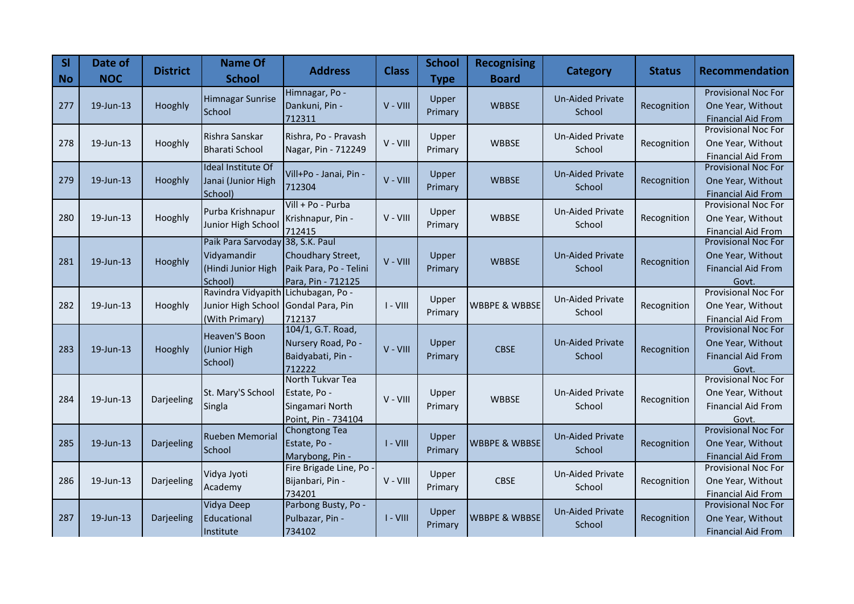| <b>SI</b><br><b>No</b> | Date of<br><b>NOC</b> | <b>District</b> | <b>Name Of</b><br><b>School</b>                                                              | <b>Address</b>                                                             | <b>Class</b> | <b>School</b><br><b>Type</b> | <b>Recognising</b><br><b>Board</b> | <b>Category</b>                   | <b>Status</b> | <b>Recommendation</b>                                                                 |
|------------------------|-----------------------|-----------------|----------------------------------------------------------------------------------------------|----------------------------------------------------------------------------|--------------|------------------------------|------------------------------------|-----------------------------------|---------------|---------------------------------------------------------------------------------------|
| 277                    | 19-Jun-13             | Hooghly         | Himnagar Sunrise<br>School                                                                   | Himnagar, Po -<br>Dankuni, Pin -<br>712311                                 | V - VIII     | Upper<br>Primary             | <b>WBBSE</b>                       | <b>Un-Aided Private</b><br>School | Recognition   | <b>Provisional Noc For</b><br>One Year, Without<br><b>Financial Aid From</b>          |
| 278                    | $19$ -Jun-13          | Hooghly         | Rishra Sanskar<br><b>Bharati School</b>                                                      | Rishra, Po - Pravash<br>Nagar, Pin - 712249                                | V - VIII     | Upper<br>Primary             | <b>WBBSE</b>                       | <b>Un-Aided Private</b><br>School | Recognition   | <b>Provisional Noc For</b><br>One Year, Without<br><b>Financial Aid From</b>          |
| 279                    | 19-Jun-13             | Hooghly         | Ideal Institute Of<br>Janai (Junior High<br>School)                                          | Vill+Po - Janai, Pin -<br>712304                                           | V - VIII     | Upper<br>Primary             | <b>WBBSE</b>                       | <b>Un-Aided Private</b><br>School | Recognition   | <b>Provisional Noc For</b><br>One Year, Without<br><b>Financial Aid From</b>          |
| 280                    | 19-Jun-13             | Hooghly         | Purba Krishnapur<br>Junior High School                                                       | Vill + Po - Purba<br>Krishnapur, Pin -<br>712415                           | V - VIII     | Upper<br>Primary             | <b>WBBSE</b>                       | <b>Un-Aided Private</b><br>School | Recognition   | Provisional Noc For<br>One Year, Without<br><b>Financial Aid From</b>                 |
| 281                    | 19-Jun-13             | Hooghly         | Paik Para Sarvoday 38, S.K. Paul<br>Vidyamandir<br>(Hindi Junior High<br>School)             | Choudhary Street,<br>Paik Para, Po - Telini<br>Para, Pin - 712125          | V - VIII     | Upper<br>Primary             | <b>WBBSE</b>                       | <b>Un-Aided Private</b><br>School | Recognition   | <b>Provisional Noc For</b><br>One Year, Without<br><b>Financial Aid From</b><br>Govt. |
| 282                    | 19-Jun-13             | Hooghly         | Ravindra Vidyapith Lichubagan, Po -<br>Junior High School Gondal Para, Pin<br>(With Primary) | 712137                                                                     | $I - VIII$   | Upper<br>Primary             | <b>WBBPE &amp; WBBSE</b>           | Un-Aided Private<br>School        | Recognition   | <b>Provisional Noc For</b><br>One Year, Without<br><b>Financial Aid From</b>          |
| 283                    | $19$ -Jun-13          | Hooghly         | Heaven'S Boon<br>(Junior High<br>School)                                                     | 104/1, G.T. Road,<br>Nursery Road, Po -<br>Baidyabati, Pin -<br>712222     | V - VIII     | Upper<br>Primary             | <b>CBSE</b>                        | <b>Un-Aided Private</b><br>School | Recognition   | Provisional Noc For<br>One Year, Without<br><b>Financial Aid From</b><br>Govt.        |
| 284                    | 19-Jun-13             | Darjeeling      | St. Mary'S School<br>Singla                                                                  | North Tukvar Tea<br>Estate, Po -<br>Singamari North<br>Point, Pin - 734104 | V - VIII     | Upper<br>Primary             | <b>WBBSE</b>                       | <b>Un-Aided Private</b><br>School | Recognition   | Provisional Noc For<br>One Year, Without<br><b>Financial Aid From</b><br>Govt.        |
| 285                    | 19-Jun-13             | Darjeeling      | <b>Rueben Memorial</b><br>School                                                             | <b>Chongtong Tea</b><br>Estate, Po -<br>Marybong, Pin -                    | $I - VIII$   | Upper<br>Primary             | <b>WBBPE &amp; WBBSE</b>           | <b>Un-Aided Private</b><br>School | Recognition   | <b>Provisional Noc For</b><br>One Year, Without<br><b>Financial Aid From</b>          |
| 286                    | 19-Jun-13             | Darjeeling      | Vidya Jyoti<br>Academy                                                                       | Fire Brigade Line, Po<br>Bijanbari, Pin -<br>734201                        | V - VIII     | Upper<br>Primary             | <b>CBSE</b>                        | <b>Un-Aided Private</b><br>School | Recognition   | <b>Provisional Noc For</b><br>One Year, Without<br><b>Financial Aid From</b>          |
| 287                    | 19-Jun-13             | Darjeeling      | Vidya Deep<br>Educational<br>Institute                                                       | Parbong Busty, Po -<br>Pulbazar, Pin -<br>734102                           | $I - VIII$   | Upper<br>Primary             | <b>WBBPE &amp; WBBSE</b>           | <b>Un-Aided Private</b><br>School | Recognition   | Provisional Noc For<br>One Year, Without<br><b>Financial Aid From</b>                 |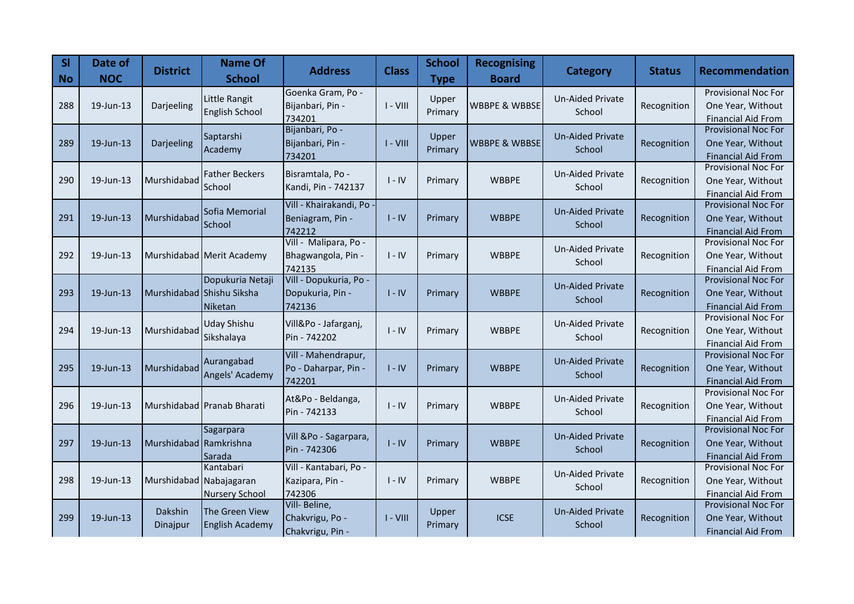| <b>SI</b><br><b>No</b> | Date of<br><b>NOC</b> | <b>District</b>         | <b>Name Of</b><br><b>School</b> | <b>Address</b>                   | <b>Class</b> | <b>School</b><br><b>Type</b> | <b>Recognising</b><br><b>Board</b> | <b>Category</b>         | <b>Status</b> | <b>Recommendation</b>                                   |
|------------------------|-----------------------|-------------------------|---------------------------------|----------------------------------|--------------|------------------------------|------------------------------------|-------------------------|---------------|---------------------------------------------------------|
|                        |                       |                         | Little Rangit                   | Goenka Gram, Po -                |              | Upper                        |                                    | <b>Un-Aided Private</b> |               | <b>Provisional Noc For</b>                              |
| 288                    | 19-Jun-13             | Darjeeling              | <b>English School</b>           | Bijanbari, Pin -                 | $I - VIII$   | Primary                      | <b>WBBPE &amp; WBBSE</b>           | School                  | Recognition   | One Year, Without                                       |
|                        |                       |                         |                                 | 734201                           |              |                              |                                    |                         |               | <b>Financial Aid From</b><br><b>Provisional Noc For</b> |
|                        |                       |                         | Saptarshi                       | Bijanbari, Po -                  |              | Upper                        | <b>WBBPE &amp; WBBSE</b>           | <b>Un-Aided Private</b> |               |                                                         |
| 289                    | 19-Jun-13             | Darjeeling              | Academy                         | Bijanbari, Pin -<br>734201       | $I - VIII$   | Primary                      |                                    | School                  | Recognition   | One Year, Without<br><b>Financial Aid From</b>          |
|                        |                       |                         |                                 |                                  |              |                              |                                    |                         |               | Provisional Noc For                                     |
| 290                    | 19-Jun-13             | Murshidabad             | <b>Father Beckers</b>           | Bisramtala, Po -                 | $I - IV$     | Primary                      | <b>WBBPE</b>                       | <b>Un-Aided Private</b> | Recognition   | One Year, Without                                       |
|                        |                       |                         | <b>School</b>                   | Kandi, Pin - 742137              |              |                              |                                    | School                  |               | <b>Financial Aid From</b>                               |
|                        |                       |                         | Sofia Memorial                  | Vill - Khairakandi, Po           |              |                              |                                    | <b>Un-Aided Private</b> |               | <b>Provisional Noc For</b>                              |
| 291                    | 19-Jun-13             | Murshidabad             | School                          | Beniagram, Pin -                 | $I - IV$     | Primary                      | <b>WBBPE</b>                       | School                  | Recognition   | One Year, Without                                       |
|                        |                       |                         |                                 | 742212                           |              |                              |                                    |                         |               | <b>Financial Aid From</b>                               |
|                        |                       |                         |                                 | Vill - Malipara, Po -            |              |                              |                                    | <b>Un-Aided Private</b> |               | Provisional Noc For                                     |
| 292                    | 19-Jun-13             |                         | Murshidabad Merit Academy       | Bhagwangola, Pin -               | $I - IV$     | Primary                      | <b>WBBPE</b>                       | School                  | Recognition   | One Year, Without                                       |
|                        |                       |                         | Dopukuria Netaji                | 742135<br>Vill - Dopukuria, Po - |              |                              |                                    |                         |               | <b>Financial Aid From</b><br>Provisional Noc For        |
| 293                    | 19-Jun-13             |                         | Murshidabad Shishu Siksha       | Dopukuria, Pin -                 | $I - IV$     | Primary                      | <b>WBBPE</b>                       | <b>Un-Aided Private</b> | Recognition   | One Year, Without                                       |
|                        |                       |                         | Niketan                         | 742136                           |              |                              |                                    | School                  |               | <b>Financial Aid From</b>                               |
|                        |                       |                         |                                 |                                  |              |                              |                                    |                         |               | <b>Provisional Noc For</b>                              |
| 294                    | 19-Jun-13             | Murshidabad             | <b>Uday Shishu</b>              | Vill&Po - Jafarganj,             | $I - IV$     | Primary                      | <b>WBBPE</b>                       | <b>Un-Aided Private</b> | Recognition   | One Year, Without                                       |
|                        |                       |                         | Sikshalaya                      | Pin - 742202                     |              |                              |                                    | School                  |               | <b>Financial Aid From</b>                               |
|                        |                       |                         | Aurangabad                      | Vill - Mahendrapur,              |              |                              |                                    | <b>Un-Aided Private</b> |               | Provisional Noc For                                     |
| 295                    | 19-Jun-13             | Murshidabad             | Angels' Academy                 | Po - Daharpar, Pin -             | $I - IV$     | Primary                      | <b>WBBPE</b>                       | School                  | Recognition   | One Year, Without                                       |
|                        |                       |                         |                                 | 742201                           |              |                              |                                    |                         |               | <b>Financial Aid From</b>                               |
|                        |                       |                         |                                 | At&Po - Beldanga,                |              |                              |                                    | <b>Un-Aided Private</b> |               | Provisional Noc For                                     |
| 296                    | 19-Jun-13             |                         | Murshidabad Pranab Bharati      | Pin - 742133                     | $I - IV$     | Primary                      | <b>WBBPE</b>                       | School                  | Recognition   | One Year, Without                                       |
|                        |                       |                         |                                 |                                  |              |                              |                                    |                         |               | <b>Financial Aid From</b><br><b>Provisional Noc For</b> |
| 297                    | 19-Jun-13             | Murshidabad Ramkrishna  | Sagarpara                       | Vill &Po - Sagarpara,            | $I - IV$     | Primary                      | <b>WBBPE</b>                       | <b>Un-Aided Private</b> | Recognition   | One Year, Without                                       |
|                        |                       |                         | Sarada                          | Pin - 742306                     |              |                              |                                    | School                  |               | <b>Financial Aid From</b>                               |
|                        |                       |                         | Kantabari                       | Vill - Kantabari, Po -           |              |                              |                                    |                         |               | <b>Provisional Noc For</b>                              |
| 298                    | 19-Jun-13             | Murshidabad Nabajagaran |                                 | Kazipara, Pin -                  | $I - IV$     | Primary                      | <b>WBBPE</b>                       | Un-Aided Private        | Recognition   | One Year, Without                                       |
|                        |                       |                         | <b>Nursery School</b>           | 742306                           |              |                              |                                    | School                  |               | <b>Financial Aid From</b>                               |
|                        |                       | Dakshin                 | The Green View                  | Vill- Beline,                    |              | Upper                        |                                    | <b>Un-Aided Private</b> |               | <b>Provisional Noc For</b>                              |
| 299                    | 19-Jun-13             | Dinajpur                | <b>English Academy</b>          | Chakvrigu, Po -                  | $I - VIII$   | Primary                      | <b>ICSE</b>                        | School                  | Recognition   | One Year, Without                                       |
|                        |                       |                         |                                 | Chakvrigu, Pin -                 |              |                              |                                    |                         |               | <b>Financial Aid From</b>                               |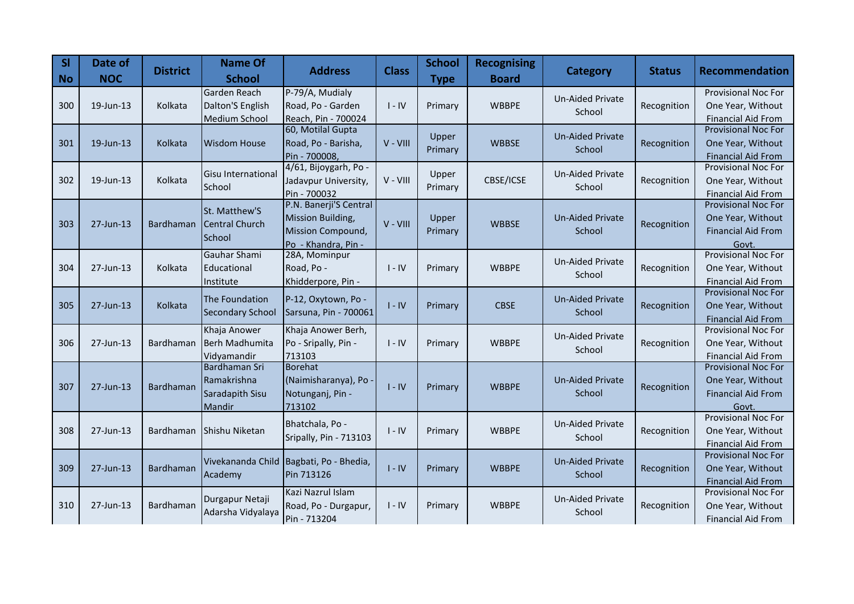| SI<br><b>No</b> | Date of<br><b>NOC</b> | <b>District</b>  | <b>Name Of</b><br><b>School</b>                                  | <b>Address</b>                                                                          | <b>Class</b> | <b>School</b><br><b>Type</b> | <b>Recognising</b><br><b>Board</b> | <b>Category</b>                   | <b>Status</b> | <b>Recommendation</b>                                                                 |
|-----------------|-----------------------|------------------|------------------------------------------------------------------|-----------------------------------------------------------------------------------------|--------------|------------------------------|------------------------------------|-----------------------------------|---------------|---------------------------------------------------------------------------------------|
| 300             | $19$ -Jun-13          | Kolkata          | Garden Reach<br>Dalton'S English<br>Medium School                | P-79/A, Mudialy<br>Road, Po - Garden<br>Reach, Pin - 700024                             | $I - IV$     | Primary                      | <b>WBBPE</b>                       | Un-Aided Private<br>School        | Recognition   | <b>Provisional Noc For</b><br>One Year, Without<br><b>Financial Aid From</b>          |
| 301             | 19-Jun-13             | Kolkata          | <b>Wisdom House</b>                                              | 60, Motilal Gupta<br>Road, Po - Barisha,<br>Pin - 700008,                               | V - VIII     | Upper<br>Primary             | <b>WBBSE</b>                       | <b>Un-Aided Private</b><br>School | Recognition   | <b>Provisional Noc For</b><br>One Year, Without<br><b>Financial Aid From</b>          |
| 302             | 19-Jun-13             | Kolkata          | <b>Gisu International</b><br>School                              | 4/61, Bijoygarh, Po -<br>Jadavpur University,<br>Pin - 700032                           | V - VIII     | Upper<br>Primary             | CBSE/ICSE                          | <b>Un-Aided Private</b><br>School | Recognition   | Provisional Noc For<br>One Year, Without<br><b>Financial Aid From</b>                 |
| 303             | 27-Jun-13             | <b>Bardhaman</b> | St. Matthew'S<br><b>Central Church</b><br>School                 | P.N. Banerji'S Central<br>Mission Building,<br>Mission Compound,<br>Po - Khandra, Pin - | V - VIII     | Upper<br>Primary             | <b>WBBSE</b>                       | <b>Un-Aided Private</b><br>School | Recognition   | <b>Provisional Noc For</b><br>One Year, Without<br><b>Financial Aid From</b><br>Govt. |
| 304             | 27-Jun-13             | Kolkata          | Gauhar Shami<br>Educational<br>Institute                         | 28A, Mominpur<br>Road, Po -<br>Khidderpore, Pin -                                       | $I - IV$     | Primary                      | <b>WBBPE</b>                       | Un-Aided Private<br>School        | Recognition   | <b>Provisional Noc For</b><br>One Year, Without<br><b>Financial Aid From</b>          |
| 305             | 27-Jun-13             | Kolkata          | The Foundation<br><b>Secondary School</b>                        | P-12, Oxytown, Po -<br>Sarsuna, Pin - 700061                                            | $I - IV$     | Primary                      | <b>CBSE</b>                        | <b>Un-Aided Private</b><br>School | Recognition   | <b>Provisional Noc For</b><br>One Year, Without<br><b>Financial Aid From</b>          |
| 306             | 27-Jun-13             | Bardhaman        | Khaja Anower<br>Berh Madhumita<br>Vidyamandir                    | Khaja Anower Berh,<br>Po - Sripally, Pin -<br>713103                                    | $I - IV$     | Primary                      | <b>WBBPE</b>                       | <b>Un-Aided Private</b><br>School | Recognition   | Provisional Noc For<br>One Year, Without<br><b>Financial Aid From</b>                 |
| 307             | 27-Jun-13             | Bardhaman        | <b>Bardhaman Sri</b><br>Ramakrishna<br>Saradapith Sisu<br>Mandir | <b>Borehat</b><br>(Naimisharanya), Po<br>Notunganj, Pin -<br>713102                     | $I - IV$     | Primary                      | <b>WBBPE</b>                       | <b>Un-Aided Private</b><br>School | Recognition   | <b>Provisional Noc For</b><br>One Year, Without<br><b>Financial Aid From</b><br>Govt. |
| 308             | 27-Jun-13             | Bardhaman        | Shishu Niketan                                                   | Bhatchala, Po -<br>Sripally, Pin - 713103                                               | $I - IV$     | Primary                      | <b>WBBPE</b>                       | <b>Un-Aided Private</b><br>School | Recognition   | <b>Provisional Noc For</b><br>One Year, Without<br><b>Financial Aid From</b>          |
| 309             | 27-Jun-13             | Bardhaman        | Academy                                                          | Vivekananda Child Bagbati, Po - Bhedia,<br>Pin 713126                                   | $I - IV$     | Primary                      | <b>WBBPE</b>                       | <b>Un-Aided Private</b><br>School | Recognition   | <b>Provisional Noc For</b><br>One Year, Without<br><b>Financial Aid From</b>          |
| 310             | 27-Jun-13             | Bardhaman        | Durgapur Netaji<br>Adarsha Vidyalaya                             | Kazi Nazrul Islam<br>Road, Po - Durgapur,<br>Pin - 713204                               | $I - IV$     | Primary                      | <b>WBBPE</b>                       | <b>Un-Aided Private</b><br>School | Recognition   | <b>Provisional Noc For</b><br>One Year, Without<br><b>Financial Aid From</b>          |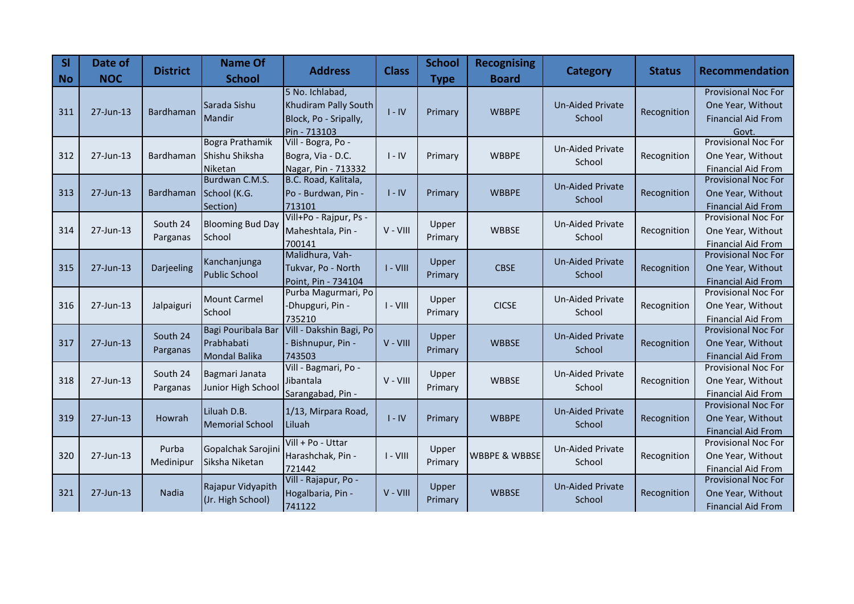| SI<br><b>No</b> | Date of<br><b>NOC</b> | <b>District</b> | <b>Name Of</b><br><b>School</b> | <b>Address</b>                    | <b>Class</b> | <b>School</b> | <b>Recognising</b><br><b>Board</b> | Category                          | <b>Status</b> | Recommendation                                   |
|-----------------|-----------------------|-----------------|---------------------------------|-----------------------------------|--------------|---------------|------------------------------------|-----------------------------------|---------------|--------------------------------------------------|
|                 |                       |                 |                                 | 5 No. Ichlabad,                   |              | <b>Type</b>   |                                    |                                   |               | <b>Provisional Noc For</b>                       |
|                 |                       |                 | Sarada Sishu                    | Khudiram Pally South              |              |               |                                    | <b>Un-Aided Private</b>           |               | One Year, Without                                |
| 311             | 27-Jun-13             | Bardhaman       | Mandir                          | Block, Po - Sripally,             | $I - IV$     | Primary       | <b>WBBPE</b>                       | School                            | Recognition   | <b>Financial Aid From</b>                        |
|                 |                       |                 |                                 | Pin - 713103                      |              |               |                                    |                                   |               | Govt.                                            |
|                 |                       |                 | Bogra Prathamik                 | Vill - Bogra, Po -                |              |               |                                    |                                   |               | <b>Provisional Noc For</b>                       |
| 312             | 27-Jun-13             | Bardhaman       | Shishu Shiksha                  | Bogra, Via - D.C.                 | $I - IV$     | Primary       | <b>WBBPE</b>                       | <b>Un-Aided Private</b><br>School | Recognition   | One Year, Without                                |
|                 |                       |                 | Niketan                         | Nagar, Pin - 713332               |              |               |                                    |                                   |               | <b>Financial Aid From</b>                        |
|                 |                       |                 | Burdwan C.M.S.                  | B.C. Road, Kalitala,              |              |               |                                    | <b>Un-Aided Private</b>           |               | Provisional Noc For                              |
| 313             | 27-Jun-13             | Bardhaman       | School (K.G.                    | Po - Burdwan, Pin -               | $I - IV$     | Primary       | <b>WBBPE</b>                       | School                            | Recognition   | One Year, Without                                |
|                 |                       |                 | Section)                        | 713101                            |              |               |                                    |                                   |               | <b>Financial Aid From</b>                        |
|                 |                       | South 24        | <b>Blooming Bud Day</b>         | Vill+Po - Rajpur, Ps -            |              | Upper         |                                    | <b>Un-Aided Private</b>           |               | <b>Provisional Noc For</b>                       |
| 314             | 27-Jun-13             | Parganas        | School                          | Maheshtala, Pin -                 | V - VIII     | Primary       | <b>WBBSE</b>                       | School                            | Recognition   | One Year, Without                                |
|                 |                       |                 |                                 | 700141                            |              |               |                                    |                                   |               | <b>Financial Aid From</b>                        |
|                 |                       |                 | Kanchanjunga                    | Malidhura, Vah-                   |              | Upper         |                                    | <b>Un-Aided Private</b>           |               | <b>Provisional Noc For</b>                       |
| 315             | 27-Jun-13             | Darjeeling      | <b>Public School</b>            | Tukvar, Po - North                | $I - VIII$   | Primary       | <b>CBSE</b>                        | School                            | Recognition   | One Year, Without                                |
|                 |                       |                 |                                 | Point, Pin - 734104               |              |               |                                    |                                   |               | <b>Financial Aid From</b>                        |
|                 |                       |                 | <b>Mount Carmel</b>             | Purba Magurmari, Po               |              | Upper         |                                    | <b>Un-Aided Private</b>           |               | Provisional Noc For                              |
| 316             | 27-Jun-13             | Jalpaiguri      | <b>School</b>                   | -Dhupguri, Pin -                  | $I - VIII$   | Primary       | <b>CICSE</b>                       | School                            | Recognition   | One Year, Without                                |
|                 |                       |                 | Bagi Pouribala Bar              | 735210<br>Vill - Dakshin Bagi, Po |              |               |                                    |                                   |               | <b>Financial Aid From</b><br>Provisional Noc For |
| 317             | 27-Jun-13             | South 24        | Prabhabati                      | Bishnupur, Pin -                  | V - VIII     | Upper         | <b>WBBSE</b>                       | <b>Un-Aided Private</b>           | Recognition   | One Year, Without                                |
|                 |                       | Parganas        | <b>Mondal Balika</b>            | 743503                            |              | Primary       |                                    | School                            |               | <b>Financial Aid From</b>                        |
|                 |                       |                 |                                 | Vill - Bagmari, Po -              |              |               |                                    |                                   |               | <b>Provisional Noc For</b>                       |
| 318             | 27-Jun-13             | South 24        | Bagmari Janata                  | Jibantala                         | V - VIII     | Upper         | <b>WBBSE</b>                       | <b>Un-Aided Private</b>           | Recognition   | One Year, Without                                |
|                 |                       | Parganas        | Junior High School              | Sarangabad, Pin -                 |              | Primary       |                                    | School                            |               | <b>Financial Aid From</b>                        |
|                 |                       |                 |                                 |                                   |              |               |                                    |                                   |               | Provisional Noc For                              |
| 319             | 27-Jun-13             | <b>Howrah</b>   | Liluah D.B.                     | 1/13, Mirpara Road,               | $I - IV$     | Primary       | <b>WBBPE</b>                       | <b>Un-Aided Private</b>           | Recognition   | One Year, Without                                |
|                 |                       |                 | <b>Memorial School</b>          | Liluah                            |              |               |                                    | School                            |               | <b>Financial Aid From</b>                        |
|                 |                       |                 |                                 | Vill + Po - Uttar                 |              |               |                                    |                                   |               | <b>Provisional Noc For</b>                       |
| 320             | 27-Jun-13             | Purba           | Gopalchak Sarojini              | Harashchak, Pin -                 | $I - VIII$   | Upper         | <b>WBBPE &amp; WBBSE</b>           | <b>Un-Aided Private</b>           | Recognition   | One Year, Without                                |
|                 |                       | Medinipur       | Siksha Niketan                  | 721442                            |              | Primary       |                                    | School                            |               | <b>Financial Aid From</b>                        |
|                 |                       |                 | Rajapur Vidyapith               | Vill - Rajapur, Po -              |              | Upper         |                                    | <b>Un-Aided Private</b>           |               | <b>Provisional Noc For</b>                       |
| 321             | 27-Jun-13             | Nadia           | (Jr. High School)               | Hogalbaria, Pin -                 | $V - VIII$   | Primary       | <b>WBBSE</b>                       | School                            | Recognition   | One Year, Without                                |
|                 |                       |                 |                                 | 741122                            |              |               |                                    |                                   |               | <b>Financial Aid From</b>                        |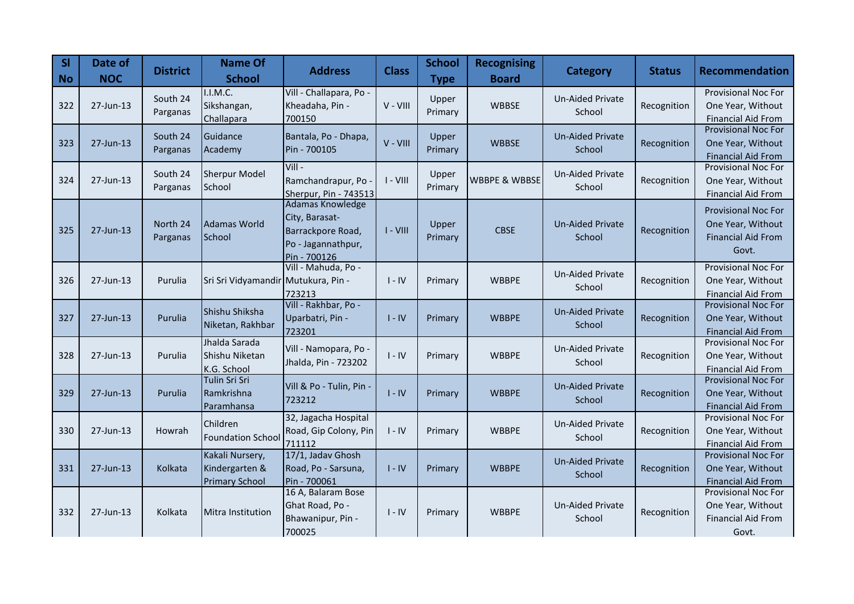| SI<br><b>No</b> | Date of<br><b>NOC</b> | <b>District</b>      | <b>Name Of</b><br><b>School</b>                            | <b>Address</b>                                                                                       | <b>Class</b> | <b>School</b><br><b>Type</b> | <b>Recognising</b><br><b>Board</b> | <b>Category</b>                   | <b>Status</b> | <b>Recommendation</b>                                                                 |
|-----------------|-----------------------|----------------------|------------------------------------------------------------|------------------------------------------------------------------------------------------------------|--------------|------------------------------|------------------------------------|-----------------------------------|---------------|---------------------------------------------------------------------------------------|
| 322             | 27-Jun-13             | South 24<br>Parganas | I.I.M.C.<br>Sikshangan,<br>Challapara                      | Vill - Challapara, Po -<br>Kheadaha, Pin -<br>700150                                                 | V - VIII     | Upper<br>Primary             | <b>WBBSE</b>                       | <b>Un-Aided Private</b><br>School | Recognition   | <b>Provisional Noc For</b><br>One Year, Without<br><b>Financial Aid From</b>          |
| 323             | 27-Jun-13             | South 24<br>Parganas | Guidance<br>Academy                                        | Bantala, Po - Dhapa,<br>Pin - 700105                                                                 | V - VIII     | Upper<br>Primary             | <b>WBBSE</b>                       | <b>Un-Aided Private</b><br>School | Recognition   | <b>Provisional Noc For</b><br>One Year, Without<br><b>Financial Aid From</b>          |
| 324             | 27-Jun-13             | South 24<br>Parganas | <b>Sherpur Model</b><br>School                             | $Vill -$<br>Ramchandrapur, Po<br>Sherpur, Pin - 743513                                               | $I - VIII$   | Upper<br>Primary             | <b>WBBPE &amp; WBBSE</b>           | Un-Aided Private<br>School        | Recognition   | Provisional Noc For<br>One Year, Without<br><b>Financial Aid From</b>                 |
| 325             | $27$ -Jun-13          | North 24<br>Parganas | Adamas World<br>School                                     | <b>Adamas Knowledge</b><br>City, Barasat-<br>Barrackpore Road,<br>Po - Jagannathpur,<br>Pin - 700126 | $I - VIII$   | Upper<br>Primary             | <b>CBSE</b>                        | <b>Un-Aided Private</b><br>School | Recognition   | <b>Provisional Noc For</b><br>One Year, Without<br><b>Financial Aid From</b><br>Govt. |
| 326             | $27$ -Jun-13          | Purulia              | Sri Sri Vidyamandir Mutukura, Pin -                        | Vill - Mahuda, Po -<br>723213                                                                        | $I - IV$     | Primary                      | <b>WBBPE</b>                       | Un-Aided Private<br>School        | Recognition   | <b>Provisional Noc For</b><br>One Year, Without<br><b>Financial Aid From</b>          |
| 327             | 27-Jun-13             | Purulia              | Shishu Shiksha<br>Niketan, Rakhbar                         | Vill - Rakhbar, Po -<br>Uparbatri, Pin -<br>723201                                                   | $I - IV$     | Primary                      | <b>WBBPE</b>                       | <b>Un-Aided Private</b><br>School | Recognition   | <b>Provisional Noc For</b><br>One Year, Without<br><b>Financial Aid From</b>          |
| 328             | 27-Jun-13             | Purulia              | Jhalda Sarada<br>Shishu Niketan<br>K.G. School             | Vill - Namopara, Po -<br>Jhalda, Pin - 723202                                                        | $I - IV$     | Primary                      | <b>WBBPE</b>                       | Un-Aided Private<br>School        | Recognition   | Provisional Noc For<br>One Year, Without<br><b>Financial Aid From</b>                 |
| 329             | 27-Jun-13             | Purulia              | Tulin Sri Sri<br>Ramkrishna<br>Paramhansa                  | Vill & Po - Tulin, Pin -<br>723212                                                                   | $I - IV$     | Primary                      | <b>WBBPE</b>                       | <b>Un-Aided Private</b><br>School | Recognition   | <b>Provisional Noc For</b><br>One Year, Without<br><b>Financial Aid From</b>          |
| 330             | 27-Jun-13             | Howrah               | Children<br><b>Foundation School</b>                       | 32, Jagacha Hospital<br>Road, Gip Colony, Pin<br>711112                                              | $I - IV$     | Primary                      | <b>WBBPE</b>                       | <b>Un-Aided Private</b><br>School | Recognition   | Provisional Noc For<br>One Year, Without<br><b>Financial Aid From</b>                 |
| 331             | 27-Jun-13             | Kolkata              | Kakali Nursery,<br>Kindergarten &<br><b>Primary School</b> | 17/1, Jadav Ghosh<br>Road, Po - Sarsuna,<br>Pin - 700061                                             | $I - IV$     | Primary                      | <b>WBBPE</b>                       | <b>Un-Aided Private</b><br>School | Recognition   | <b>Provisional Noc For</b><br>One Year, Without<br><b>Financial Aid From</b>          |
| 332             | 27-Jun-13             | Kolkata              | Mitra Institution                                          | 16 A, Balaram Bose<br>Ghat Road, Po -<br>Bhawanipur, Pin -<br>700025                                 | $I - IV$     | Primary                      | <b>WBBPE</b>                       | Un-Aided Private<br>School        | Recognition   | <b>Provisional Noc For</b><br>One Year, Without<br><b>Financial Aid From</b><br>Govt. |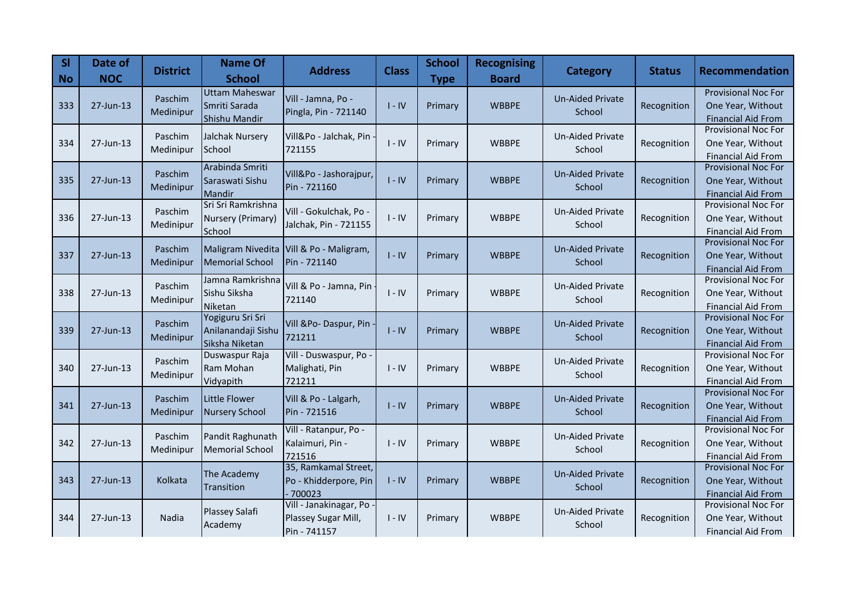| SI<br><b>No</b> | Date of<br><b>NOC</b> | <b>District</b> | <b>Name Of</b><br><b>School</b>  | <b>Address</b>           | <b>Class</b> | <b>School</b><br><b>Type</b> | <b>Recognising</b><br><b>Board</b> | <b>Category</b>         | <b>Status</b> | <b>Recommendation</b>                            |
|-----------------|-----------------------|-----------------|----------------------------------|--------------------------|--------------|------------------------------|------------------------------------|-------------------------|---------------|--------------------------------------------------|
|                 |                       | Paschim         | <b>Uttam Maheswar</b>            | Vill - Jamna, Po -       |              |                              |                                    | <b>Un-Aided Private</b> |               | <b>Provisional Noc For</b>                       |
| 333             | 27-Jun-13             | Medinipur       | Smriti Sarada                    | Pingla, Pin - 721140     | $I - IV$     | Primary                      | <b>WBBPE</b>                       | School                  | Recognition   | One Year, Without                                |
|                 |                       |                 | Shishu Mandir                    |                          |              |                              |                                    |                         |               | <b>Financial Aid From</b>                        |
|                 |                       | Paschim         | Jalchak Nursery                  | Vill&Po - Jalchak, Pin - |              |                              |                                    | <b>Un-Aided Private</b> |               | <b>Provisional Noc For</b>                       |
| 334             | $27$ -Jun-13          | Medinipur       | School                           | 721155                   | $I - IV$     | Primary                      | <b>WBBPE</b>                       | School                  | Recognition   | One Year, Without                                |
|                 |                       |                 | Arabinda Smriti                  |                          |              |                              |                                    |                         |               | <b>Financial Aid From</b><br>Provisional Noc For |
| 335             | 27-Jun-13             | Paschim         | Saraswati Sishu                  | Vill&Po - Jashorajpur,   | $I - IV$     | Primary                      | <b>WBBPE</b>                       | <b>Un-Aided Private</b> | Recognition   | One Year, Without                                |
|                 |                       | Medinipur       | Mandir                           | Pin - 721160             |              |                              |                                    | School                  |               | <b>Financial Aid From</b>                        |
|                 |                       |                 | Sri Sri Ramkrishna               |                          |              |                              |                                    |                         |               | <b>Provisional Noc For</b>                       |
| 336             | 27-Jun-13             | Paschim         | Nursery (Primary)                | Vill - Gokulchak, Po -   | $I - IV$     | Primary                      | <b>WBBPE</b>                       | <b>Un-Aided Private</b> | Recognition   | One Year, Without                                |
|                 |                       | Medinipur       | School                           | Jalchak, Pin - 721155    |              |                              |                                    | School                  |               | Financial Aid From                               |
|                 |                       |                 |                                  |                          |              |                              |                                    |                         |               | Provisional Noc For                              |
| 337             | 27-Jun-13             | Paschim         | Maligram Nivedita                | Vill & Po - Maligram,    | $I - IV$     | Primary                      | <b>WBBPE</b>                       | <b>Un-Aided Private</b> | Recognition   | One Year, Without                                |
|                 |                       | Medinipur       | <b>Memorial School</b>           | Pin - 721140             |              |                              |                                    | School                  |               | <b>Financial Aid From</b>                        |
|                 |                       | Paschim         | Jamna Ramkrishna                 | Vill & Po - Jamna, Pin   |              |                              |                                    | <b>Un-Aided Private</b> |               | Provisional Noc For                              |
| 338             | 27-Jun-13             | Medinipur       | Sishu Siksha                     | 721140                   | $I - IV$     | Primary                      | <b>WBBPE</b>                       | School                  | Recognition   | One Year, Without                                |
|                 |                       |                 | Niketan                          |                          |              |                              |                                    |                         |               | <b>Financial Aid From</b>                        |
|                 |                       | Paschim         | Yogiguru Sri Sri                 | Vill &Po-Daspur, Pin     |              |                              |                                    | <b>Un-Aided Private</b> |               | <b>Provisional Noc For</b>                       |
| 339             | $27$ -Jun-13          | Medinipur       | Anilanandaji Sishu               | 721211                   | $I - IV$     | Primary                      | <b>WBBPE</b>                       | School                  | Recognition   | One Year, Without                                |
|                 |                       |                 | Siksha Niketan<br>Duswaspur Raja | Vill - Duswaspur, Po -   |              |                              |                                    |                         |               | <b>Financial Aid From</b><br>Provisional Noc For |
| 340             | 27-Jun-13             | Paschim         | Ram Mohan                        | Malighati, Pin           | $I - IV$     | Primary                      | <b>WBBPE</b>                       | <b>Un-Aided Private</b> | Recognition   | One Year, Without                                |
|                 |                       | Medinipur       | Vidyapith                        | 721211                   |              |                              |                                    | School                  |               | <b>Financial Aid From</b>                        |
|                 |                       |                 |                                  |                          |              |                              |                                    |                         |               | <b>Provisional Noc For</b>                       |
| 341             | 27-Jun-13             | Paschim         | <b>Little Flower</b>             | Vill & Po - Lalgarh,     | $I - IV$     | Primary                      | <b>WBBPE</b>                       | <b>Un-Aided Private</b> | Recognition   | One Year, Without                                |
|                 |                       | Medinipur       | <b>Nursery School</b>            | Pin - 721516             |              |                              |                                    | School                  |               | <b>Financial Aid From</b>                        |
|                 |                       |                 |                                  | Vill - Ratanpur, Po -    |              |                              |                                    |                         |               | <b>Provisional Noc For</b>                       |
| 342             | 27-Jun-13             | Paschim         | Pandit Raghunath                 | Kalaimuri, Pin -         | $I - IV$     | Primary                      | <b>WBBPE</b>                       | <b>Un-Aided Private</b> | Recognition   | One Year, Without                                |
|                 |                       | Medinipur       | <b>Memorial School</b>           | 721516                   |              |                              |                                    | School                  |               | <b>Financial Aid From</b>                        |
|                 |                       |                 | The Academy                      | 35, Ramkamal Street,     |              |                              |                                    | <b>Un-Aided Private</b> |               | <b>Provisional Noc For</b>                       |
| 343             | 27-Jun-13             | Kolkata         | Transition                       | Po - Khidderpore, Pin    | $I - IV$     | Primary                      | <b>WBBPE</b>                       | School                  | Recognition   | One Year, Without                                |
|                 |                       |                 |                                  | $-700023$                |              |                              |                                    |                         |               | <b>Financial Aid From</b>                        |
|                 |                       |                 | Plassey Salafi                   | Vill - Janakinagar, Po - |              |                              |                                    | Un-Aided Private        |               | Provisional Noc For                              |
| 344             | 27-Jun-13             | Nadia           | Academy                          | Plassey Sugar Mill,      | $I - IV$     | Primary                      | <b>WBBPE</b>                       | School                  | Recognition   | One Year, Without                                |
|                 |                       |                 |                                  | Pin - 741157             |              |                              |                                    |                         |               | <b>Financial Aid From</b>                        |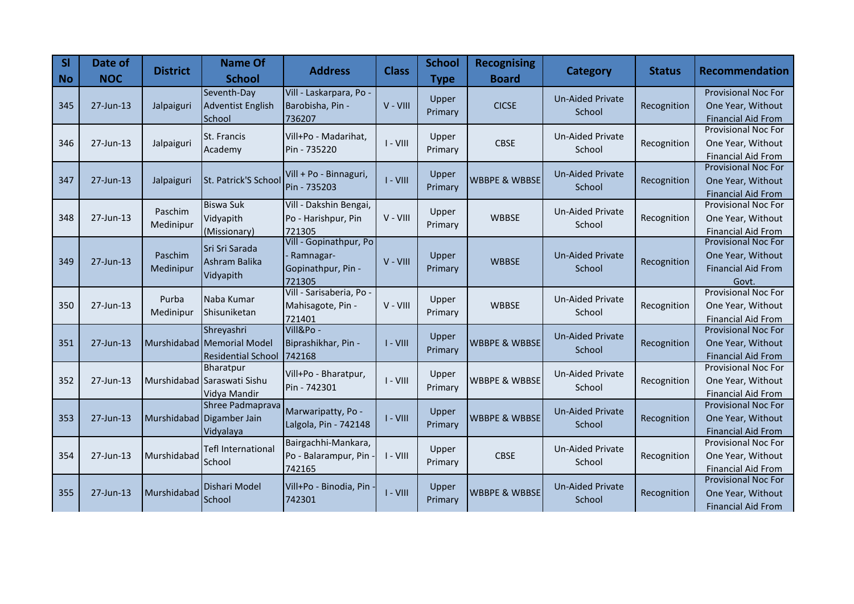| SI<br><b>No</b> | Date of<br><b>NOC</b> | <b>District</b>      | <b>Name Of</b><br><b>School</b>                                       | <b>Address</b>                                                        | <b>Class</b> | <b>School</b><br><b>Type</b> | <b>Recognising</b><br><b>Board</b> | Category                          | <b>Status</b> | <b>Recommendation</b>                                                                 |
|-----------------|-----------------------|----------------------|-----------------------------------------------------------------------|-----------------------------------------------------------------------|--------------|------------------------------|------------------------------------|-----------------------------------|---------------|---------------------------------------------------------------------------------------|
| 345             | 27-Jun-13             | Jalpaiguri           | Seventh-Day<br><b>Adventist English</b><br>School                     | Vill - Laskarpara, Po-<br>Barobisha, Pin -<br>736207                  | V - VIII     | Upper<br>Primary             | <b>CICSE</b>                       | <b>Un-Aided Private</b><br>School | Recognition   | <b>Provisional Noc For</b><br>One Year, Without<br><b>Financial Aid From</b>          |
| 346             | 27-Jun-13             | Jalpaiguri           | <b>St. Francis</b><br>Academy                                         | Vill+Po - Madarihat,<br>Pin - 735220                                  | $I - VIII$   | Upper<br>Primary             | <b>CBSE</b>                        | <b>Un-Aided Private</b><br>School | Recognition   | <b>Provisional Noc For</b><br>One Year, Without<br><b>Financial Aid From</b>          |
| 347             | 27-Jun-13             | Jalpaiguri           | St. Patrick'S School                                                  | Vill + Po - Binnaguri,<br>Pin - 735203                                | $I - VIII$   | Upper<br>Primary             | <b>WBBPE &amp; WBBSE</b>           | <b>Un-Aided Private</b><br>School | Recognition   | <b>Provisional Noc For</b><br>One Year, Without<br><b>Financial Aid From</b>          |
| 348             | $27$ -Jun-13          | Paschim<br>Medinipur | <b>Biswa Suk</b><br>Vidyapith<br>(Missionary)                         | Vill - Dakshin Bengai,<br>Po - Harishpur, Pin<br>721305               | $V - VIII$   | Upper<br>Primary             | <b>WBBSE</b>                       | <b>Un-Aided Private</b><br>School | Recognition   | Provisional Noc For<br>One Year, Without<br>Financial Aid From                        |
| 349             | 27-Jun-13             | Paschim<br>Medinipur | Sri Sri Sarada<br>Ashram Balika<br>Vidyapith                          | Vill - Gopinathpur, Po<br>- Ramnagar-<br>Gopinathpur, Pin -<br>721305 | $V - VIII$   | Upper<br>Primary             | <b>WBBSE</b>                       | <b>Un-Aided Private</b><br>School | Recognition   | <b>Provisional Noc For</b><br>One Year, Without<br><b>Financial Aid From</b><br>Govt. |
| 350             | 27-Jun-13             | Purba<br>Medinipur   | Naba Kumar<br>Shisuniketan                                            | Vill - Sarisaberia, Po -<br>Mahisagote, Pin -<br>721401               | V - VIII     | Upper<br>Primary             | <b>WBBSE</b>                       | <b>Un-Aided Private</b><br>School | Recognition   | Provisional Noc For<br>One Year, Without<br><b>Financial Aid From</b>                 |
| 351             | 27-Jun-13             |                      | Shreyashri<br>Murshidabad Memorial Model<br><b>Residential School</b> | Vill&Po-<br>Biprashikhar, Pin -<br>742168                             | $I - VIII$   | Upper<br>Primary             | <b>WBBPE &amp; WBBSE</b>           | <b>Un-Aided Private</b><br>School | Recognition   | <b>Provisional Noc For</b><br>One Year, Without<br><b>Financial Aid From</b>          |
| 352             | 27-Jun-13             |                      | Bharatpur<br>Murshidabad Saraswati Sishu<br>Vidya Mandir              | Vill+Po - Bharatpur,<br>Pin - 742301                                  | $I - VIII$   | Upper<br>Primary             | <b>WBBPE &amp; WBBSE</b>           | <b>Un-Aided Private</b><br>School | Recognition   | <b>Provisional Noc For</b><br>One Year, Without<br><b>Financial Aid From</b>          |
| 353             | 27-Jun-13             |                      | Shree Padmaprava<br>Murshidabad Digamber Jain<br>Vidyalaya            | Marwaripatty, Po -<br>Lalgola, Pin - 742148                           | $I - VIII$   | Upper<br>Primary             | <b>WBBPE &amp; WBBSE</b>           | <b>Un-Aided Private</b><br>School | Recognition   | Provisional Noc For<br>One Year, Without<br><b>Financial Aid From</b>                 |
| 354             | 27-Jun-13             | Murshidabad          | <b>Tefl International</b><br>School                                   | Bairgachhi-Mankara,<br>Po - Balarampur, Pin<br>742165                 | $I - VIII$   | Upper<br>Primary             | <b>CBSE</b>                        | <b>Un-Aided Private</b><br>School | Recognition   | <b>Provisional Noc For</b><br>One Year, Without<br><b>Financial Aid From</b>          |
| 355             | 27-Jun-13             | Murshidabad          | Dishari Model<br>School                                               | Vill+Po - Binodia, Pin<br>742301                                      | $I - VIII$   | Upper<br>Primary             | <b>WBBPE &amp; WBBSE</b>           | <b>Un-Aided Private</b><br>School | Recognition   | <b>Provisional Noc For</b><br>One Year, Without<br><b>Financial Aid From</b>          |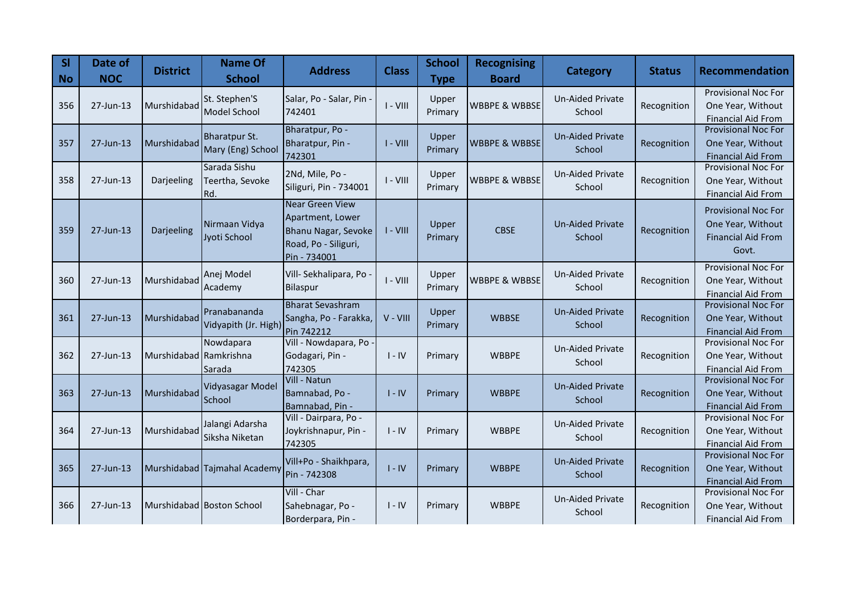| SI<br><b>No</b> | Date of<br><b>NOC</b> | <b>District</b>        | <b>Name Of</b><br><b>School</b>           | <b>Address</b>                                                                                            | <b>Class</b> | <b>School</b><br><b>Type</b> | <b>Recognising</b><br><b>Board</b> | <b>Category</b>                   | <b>Status</b> | <b>Recommendation</b>                                                                 |
|-----------------|-----------------------|------------------------|-------------------------------------------|-----------------------------------------------------------------------------------------------------------|--------------|------------------------------|------------------------------------|-----------------------------------|---------------|---------------------------------------------------------------------------------------|
| 356             | 27-Jun-13             | Murshidabad            | St. Stephen'S<br>Model School             | Salar, Po - Salar, Pin -<br>742401                                                                        | $I - VIII$   | Upper<br>Primary             | <b>WBBPE &amp; WBBSE</b>           | Un-Aided Private<br>School        | Recognition   | <b>Provisional Noc For</b><br>One Year, Without<br><b>Financial Aid From</b>          |
| 357             | 27-Jun-13             | Murshidabad            | <b>Bharatpur St.</b><br>Mary (Eng) School | Bharatpur, Po -<br>Bharatpur, Pin -<br>742301                                                             | $I - VIII$   | Upper<br>Primary             | <b>WBBPE &amp; WBBSE</b>           | <b>Un-Aided Private</b><br>School | Recognition   | <b>Provisional Noc For</b><br>One Year, Without<br><b>Financial Aid From</b>          |
| 358             | 27-Jun-13             | Darjeeling             | Sarada Sishu<br>Teertha, Sevoke<br>Rd.    | 2Nd, Mile, Po -<br>Siliguri, Pin - 734001                                                                 | $I - VIII$   | Upper<br>Primary             | <b>WBBPE &amp; WBBSE</b>           | <b>Un-Aided Private</b><br>School | Recognition   | <b>Provisional Noc For</b><br>One Year, Without<br><b>Financial Aid From</b>          |
| 359             | 27-Jun-13             | Darjeeling             | Nirmaan Vidya<br>Jyoti School             | <b>Near Green View</b><br>Apartment, Lower<br>Bhanu Nagar, Sevoke<br>Road, Po - Siliguri,<br>Pin - 734001 | $I - VIII$   | Upper<br>Primary             | <b>CBSE</b>                        | <b>Un-Aided Private</b><br>School | Recognition   | <b>Provisional Noc For</b><br>One Year, Without<br><b>Financial Aid From</b><br>Govt. |
| 360             | 27-Jun-13             | Murshidabad            | Anej Model<br>Academy                     | Vill-Sekhalipara, Po<br>Bilaspur                                                                          | $I - VIII$   | Upper<br>Primary             | <b>WBBPE &amp; WBBSE</b>           | <b>Un-Aided Private</b><br>School | Recognition   | <b>Provisional Noc For</b><br>One Year, Without<br><b>Financial Aid From</b>          |
| 361             | 27-Jun-13             | Murshidabad            | Pranabananda<br>Vidyapith (Jr. High)      | <b>Bharat Sevashram</b><br>Sangha, Po - Farakka,<br>Pin 742212                                            | V - VIII     | Upper<br>Primary             | <b>WBBSE</b>                       | <b>Un-Aided Private</b><br>School | Recognition   | <b>Provisional Noc For</b><br>One Year, Without<br><b>Financial Aid From</b>          |
| 362             | 27-Jun-13             | Murshidabad Ramkrishna | Nowdapara<br>Sarada                       | Vill - Nowdapara, Po<br>Godagari, Pin -<br>742305                                                         | $I - IV$     | Primary                      | <b>WBBPE</b>                       | Un-Aided Private<br>School        | Recognition   | <b>Provisional Noc For</b><br>One Year, Without<br><b>Financial Aid From</b>          |
| 363             | 27-Jun-13             | Murshidabad            | Vidyasagar Model<br>School                | Vill - Natun<br>Bamnabad, Po -<br>Bamnabad, Pin -                                                         | $I - IV$     | Primary                      | <b>WBBPE</b>                       | <b>Un-Aided Private</b><br>School | Recognition   | <b>Provisional Noc For</b><br>One Year, Without<br><b>Financial Aid From</b>          |
| 364             | 27-Jun-13             | Murshidabad            | Jalangi Adarsha<br>Siksha Niketan         | Vill - Dairpara, Po -<br>Joykrishnapur, Pin -<br>742305                                                   | $I - IV$     | Primary                      | <b>WBBPE</b>                       | Un-Aided Private<br>School        | Recognition   | <b>Provisional Noc For</b><br>One Year, Without<br><b>Financial Aid From</b>          |
| 365             | 27-Jun-13             |                        | Murshidabad Tajmahal Academy              | Vill+Po - Shaikhpara,<br>Pin - 742308                                                                     | $I - IV$     | Primary                      | <b>WBBPE</b>                       | <b>Un-Aided Private</b><br>School | Recognition   | <b>Provisional Noc For</b><br>One Year, Without<br><b>Financial Aid From</b>          |
| 366             | 27-Jun-13             |                        | Murshidabad Boston School                 | Vill - Char<br>Sahebnagar, Po -<br>Borderpara, Pin -                                                      | $I - IV$     | Primary                      | <b>WBBPE</b>                       | <b>Un-Aided Private</b><br>School | Recognition   | <b>Provisional Noc For</b><br>One Year, Without<br><b>Financial Aid From</b>          |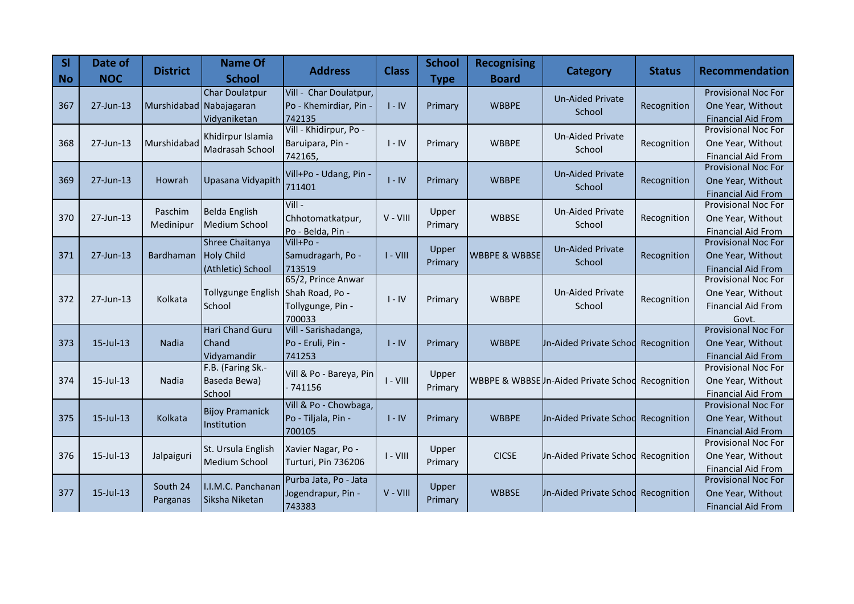| SI<br><b>No</b> | Date of<br><b>NOC</b> | <b>District</b>         | <b>Name Of</b><br><b>School</b>                           | <b>Address</b>                                             | <b>Class</b> | <b>School</b><br><b>Type</b> | <b>Recognising</b><br><b>Board</b> | Category                              | <b>Status</b> | Recommendation                                                                        |
|-----------------|-----------------------|-------------------------|-----------------------------------------------------------|------------------------------------------------------------|--------------|------------------------------|------------------------------------|---------------------------------------|---------------|---------------------------------------------------------------------------------------|
| 367             | 27-Jun-13             | Murshidabad Nabajagaran | <b>Char Doulatpur</b><br>Vidyaniketan                     | Vill - Char Doulatpur,<br>Po - Khemirdiar, Pin -<br>742135 | $I - IV$     | Primary                      | <b>WBBPE</b>                       | <b>Un-Aided Private</b><br>School     | Recognition   | <b>Provisional Noc For</b><br>One Year, Without<br><b>Financial Aid From</b>          |
| 368             | 27-Jun-13             | Murshidabad             | Khidirpur Islamia<br>Madrasah School                      | Vill - Khidirpur, Po -<br>Baruipara, Pin -<br>742165,      | $I - IV$     | Primary                      | <b>WBBPE</b>                       | <b>Un-Aided Private</b><br>School     | Recognition   | <b>Provisional Noc For</b><br>One Year, Without<br><b>Financial Aid From</b>          |
| 369             | 27-Jun-13             | Howrah                  | Upasana Vidyapith                                         | Vill+Po - Udang, Pin<br>711401                             | $I - IV$     | Primary                      | <b>WBBPE</b>                       | <b>Un-Aided Private</b><br>School     | Recognition   | <b>Provisional Noc For</b><br>One Year, Without<br><b>Financial Aid From</b>          |
| 370             | 27-Jun-13             | Paschim<br>Medinipur    | Belda English<br>Medium School                            | $VIII -$<br>Chhotomatkatpur,<br>Po - Belda, Pin -          | $V - VIII$   | Upper<br>Primary             | <b>WBBSE</b>                       | <b>Un-Aided Private</b><br>School     | Recognition   | <b>Provisional Noc For</b><br>One Year, Without<br>Financial Aid From                 |
| 371             | 27-Jun-13             | Bardhaman               | Shree Chaitanya<br><b>Holy Child</b><br>(Athletic) School | Vill+Po -<br>Samudragarh, Po -<br>713519                   | $I - VIII$   | Upper<br>Primary             | <b>WBBPE &amp; WBBSE</b>           | <b>Un-Aided Private</b><br>School     | Recognition   | <b>Provisional Noc For</b><br>One Year, Without<br><b>Financial Aid From</b>          |
| 372             | 27-Jun-13             | Kolkata                 | Tollygunge English Shah Road, Po -<br>School              | 65/2, Prince Anwar<br>Tollygunge, Pin -<br>700033          | $I - IV$     | Primary                      | <b>WBBPE</b>                       | <b>Un-Aided Private</b><br>School     | Recognition   | <b>Provisional Noc For</b><br>One Year, Without<br><b>Financial Aid From</b><br>Govt. |
| 373             | $15$ -Jul- $13$       | Nadia                   | <b>Hari Chand Guru</b><br>Chand<br>Vidyamandir            | Vill - Sarishadanga,<br>Po - Eruli, Pin -<br>741253        | $I - IV$     | Primary                      | <b>WBBPE</b>                       | <b>Jn-Aided Private Schod</b>         | Recognition   | <b>Provisional Noc For</b><br>One Year, Without<br><b>Financial Aid From</b>          |
| 374             | 15-Jul-13             | Nadia                   | F.B. (Faring Sk.-<br>Baseda Bewa)<br>School               | Vill & Po - Bareya, Pin<br>$-741156$                       | $I - VIII$   | Upper<br>Primary             |                                    | WBBPE & WBBSE In-Aided Private School | Recognition   | <b>Provisional Noc For</b><br>One Year, Without<br><b>Financial Aid From</b>          |
| 375             | 15-Jul-13             | Kolkata                 | <b>Bijoy Pramanick</b><br>Institution                     | Vill & Po - Chowbaga,<br>Po - Tiljala, Pin -<br>700105     | $I - IV$     | Primary                      | <b>WBBPE</b>                       | <b>Jn-Aided Private Schod</b>         | Recognition   | Provisional Noc For<br>One Year, Without<br><b>Financial Aid From</b>                 |
| 376             | 15-Jul-13             | Jalpaiguri              | St. Ursula English<br>Medium School                       | Xavier Nagar, Po -<br>Turturi, Pin 736206                  | $I - VIII$   | Upper<br>Primary             | <b>CICSE</b>                       | <b>Jn-Aided Private Schod</b>         | Recognition   | <b>Provisional Noc For</b><br>One Year, Without<br><b>Financial Aid From</b>          |
| 377             | 15-Jul-13             | South 24<br>Parganas    | I.I.M.C. Panchanan<br>Siksha Niketan                      | Purba Jata, Po - Jata<br>Jogendrapur, Pin -<br>743383      | $V - VIII$   | Upper<br>Primary             | <b>WBBSE</b>                       | Un-Aided Private Schod                | Recognition   | <b>Provisional Noc For</b><br>One Year, Without<br><b>Financial Aid From</b>          |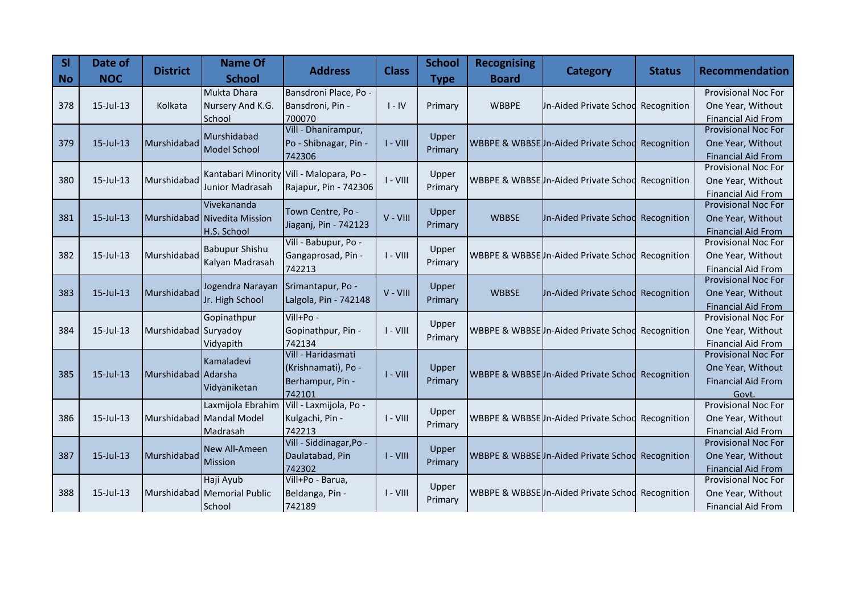| <b>SI</b><br>$\overline{\phantom{a}}$ No | Date of<br><b>NOC</b> | <b>District</b>      | <b>Name Of</b><br><b>School</b>                            | <b>Address</b>                                                          | <b>Class</b> | <b>School</b><br><b>Type</b> | <b>Recognising</b><br><b>Board</b> | <b>Category</b>                       | <b>Status</b> | <b>Recommendation</b>                                                                 |
|------------------------------------------|-----------------------|----------------------|------------------------------------------------------------|-------------------------------------------------------------------------|--------------|------------------------------|------------------------------------|---------------------------------------|---------------|---------------------------------------------------------------------------------------|
| 378                                      | 15-Jul-13             | Kolkata              | Mukta Dhara<br>Nursery And K.G.<br>School                  | Bansdroni Place, Po -<br>Bansdroni, Pin -<br>700070                     | $I - IV$     | Primary                      | <b>WBBPE</b>                       | <b>Jn-Aided Private Schod</b>         | Recognition   | <b>Provisional Noc For</b><br>One Year, Without<br><b>Financial Aid From</b>          |
| 379                                      | 15-Jul-13             | Murshidabad          | Murshidabad<br><b>Model School</b>                         | Vill - Dhanirampur,<br>Po - Shibnagar, Pin -<br>742306                  | $I - VIII$   | Upper<br>Primary             |                                    | WBBPE & WBBSE In-Aided Private School | Recognition   | <b>Provisional Noc For</b><br>One Year, Without<br><b>Financial Aid From</b>          |
| 380                                      | 15-Jul-13             | Murshidabad          | Junior Madrasah                                            | Kantabari Minority Vill - Malopara, Po -<br>Rajapur, Pin - 742306       | $I - VIII$   | Upper<br>Primary             |                                    | WBBPE & WBBSE In-Aided Private School | Recognition   | <b>Provisional Noc For</b><br>One Year, Without<br><b>Financial Aid From</b>          |
| 381                                      | 15-Jul-13             |                      | Vivekananda<br>Murshidabad Nivedita Mission<br>H.S. School | Town Centre, Po -<br>Jiaganj, Pin - 742123                              | V - VIII     | Upper<br>Primary             | <b>WBBSE</b>                       | <b>Jn-Aided Private Schod</b>         | Recognition   | Provisional Noc For<br>One Year, Without<br><b>Financial Aid From</b>                 |
| 382                                      | 15-Jul-13             | Murshidabad          | <b>Babupur Shishu</b><br>Kalyan Madrasah                   | Vill - Babupur, Po -<br>Gangaprosad, Pin -<br>742213                    | $I - VIII$   | Upper<br>Primary             |                                    | WBBPE & WBBSE In-Aided Private Schoo  | Recognition   | <b>Provisional Noc For</b><br>One Year, Without<br><b>Financial Aid From</b>          |
| 383                                      | 15-Jul-13             | Murshidabad          | Jogendra Narayan<br>Jr. High School                        | Srimantapur, Po -<br>Lalgola, Pin - 742148                              | $V - VIII$   | Upper<br>Primary             | <b>WBBSE</b>                       | <b>Jn-Aided Private Schod</b>         | Recognition   | <b>Provisional Noc For</b><br>One Year, Without<br><b>Financial Aid From</b>          |
| 384                                      | $15$ -Jul-13          | Murshidabad Suryadoy | Gopinathpur<br>Vidyapith                                   | Vill+Po -<br>Gopinathpur, Pin -<br>742134                               | $I - VIII$   | Upper<br>Primary             |                                    | WBBPE & WBBSE In-Aided Private School | Recognition   | Provisional Noc For<br>One Year, Without<br><b>Financial Aid From</b>                 |
| 385                                      | 15-Jul-13             | Murshidabad Adarsha  | Kamaladevi<br>Vidyaniketan                                 | Vill - Haridasmati<br>(Krishnamati), Po -<br>Berhampur, Pin -<br>742101 | $I - VIII$   | Upper<br>Primary             |                                    | WBBPE & WBBSE In-Aided Private Schod  | Recognition   | <b>Provisional Noc For</b><br>One Year, Without<br><b>Financial Aid From</b><br>Govt. |
| 386                                      | $15$ -Jul-13          |                      | Laxmijola Ebrahim<br>Murshidabad Mandal Model<br>Madrasah  | Vill - Laxmijola, Po -<br>Kulgachi, Pin -<br>742213                     | $I - VIII$   | Upper<br>Primary             |                                    | WBBPE & WBBSEUn-Aided Private Schod   | Recognition   | <b>Provisional Noc For</b><br>One Year, Without<br><b>Financial Aid From</b>          |
| 387                                      | $15$ -Jul-13          | Murshidabad          | New All-Ameen<br><b>Mission</b>                            | Vill - Siddinagar, Po -<br>Daulatabad, Pin<br>742302                    | $I - VIII$   | Upper<br>Primary             |                                    | WBBPE & WBBSE In-Aided Private School | Recognition   | <b>Provisional Noc For</b><br>One Year, Without<br><b>Financial Aid From</b>          |
| 388                                      | 15-Jul-13             |                      | Haji Ayub<br>Murshidabad Memorial Public<br>School         | Vill+Po - Barua,<br>Beldanga, Pin -<br>742189                           | $I - VIII$   | Upper<br>Primary             |                                    | WBBPE & WBBSE In-Aided Private Schod  | Recognition   | Provisional Noc For<br>One Year, Without<br><b>Financial Aid From</b>                 |